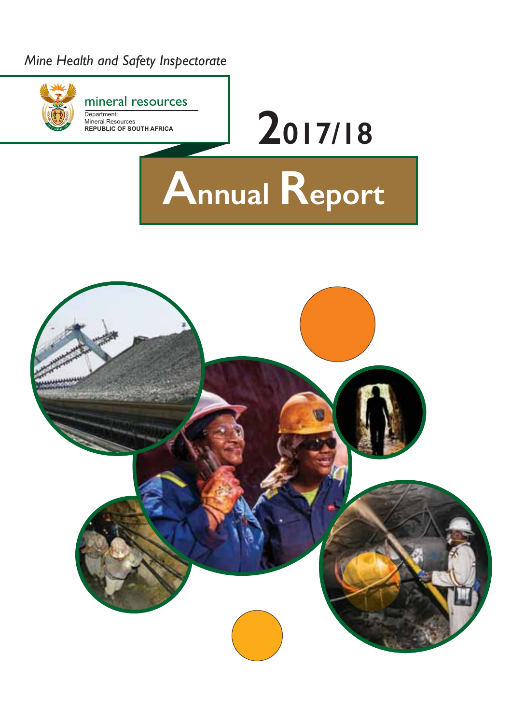# *Mine Health and Safety Inspectorate*

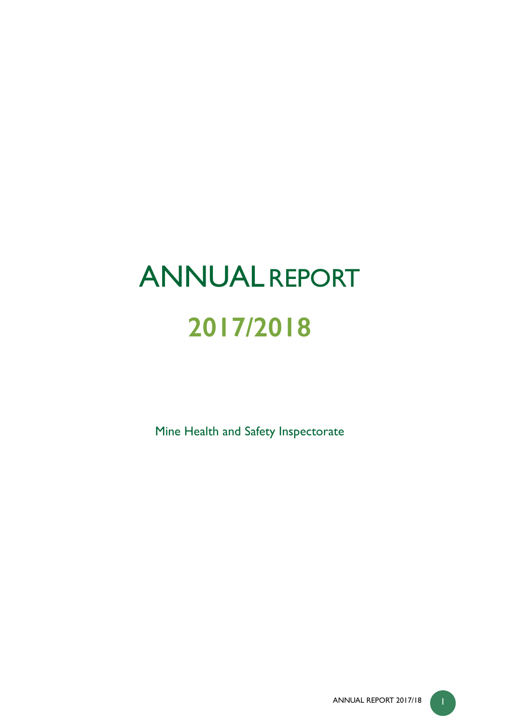# **ANNUALREPORT 2017/2018**

Mine Health and Safety Inspectorate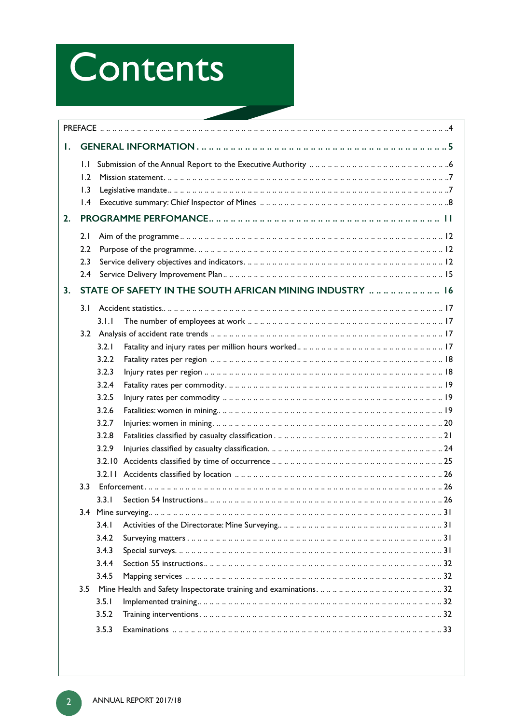# Contents

| Τ. |                                                          |       |                                                          |  |  |  |  |
|----|----------------------------------------------------------|-------|----------------------------------------------------------|--|--|--|--|
|    | $\mathsf{L} \mathsf{L}$<br>1.2<br>1.3<br>$\mathsf{I}$ .4 |       |                                                          |  |  |  |  |
| 2. |                                                          |       |                                                          |  |  |  |  |
|    | 2.1                                                      |       |                                                          |  |  |  |  |
|    | 2.2                                                      |       |                                                          |  |  |  |  |
|    | 2.3                                                      |       |                                                          |  |  |  |  |
|    | 2.4                                                      |       |                                                          |  |  |  |  |
| 3. |                                                          |       | STATE OF SAFETY IN THE SOUTH AFRICAN MINING INDUSTRY  16 |  |  |  |  |
|    | 3.1                                                      |       |                                                          |  |  |  |  |
|    |                                                          | 3.1.1 |                                                          |  |  |  |  |
|    |                                                          |       |                                                          |  |  |  |  |
|    |                                                          | 3.2.1 |                                                          |  |  |  |  |
|    |                                                          | 3.2.2 |                                                          |  |  |  |  |
|    |                                                          | 3.2.3 |                                                          |  |  |  |  |
|    |                                                          | 3.2.4 |                                                          |  |  |  |  |
|    |                                                          | 3.2.5 |                                                          |  |  |  |  |
|    |                                                          | 3.2.6 |                                                          |  |  |  |  |
|    |                                                          | 3.2.7 |                                                          |  |  |  |  |
|    |                                                          | 3.2.8 |                                                          |  |  |  |  |
|    |                                                          | 3.2.9 |                                                          |  |  |  |  |
|    |                                                          |       |                                                          |  |  |  |  |
|    |                                                          |       |                                                          |  |  |  |  |
|    | 3.3                                                      |       |                                                          |  |  |  |  |
|    |                                                          | 3.3.1 |                                                          |  |  |  |  |
|    |                                                          |       |                                                          |  |  |  |  |
|    |                                                          | 3.4.1 |                                                          |  |  |  |  |
|    |                                                          | 3.4.2 |                                                          |  |  |  |  |
|    |                                                          | 3.4.3 |                                                          |  |  |  |  |
|    |                                                          | 3.4.4 |                                                          |  |  |  |  |
|    |                                                          | 3.4.5 |                                                          |  |  |  |  |
|    | $3.5^{\circ}$                                            |       |                                                          |  |  |  |  |
|    |                                                          | 3.5.1 |                                                          |  |  |  |  |
|    |                                                          | 3.5.2 |                                                          |  |  |  |  |
|    |                                                          | 3.5.3 |                                                          |  |  |  |  |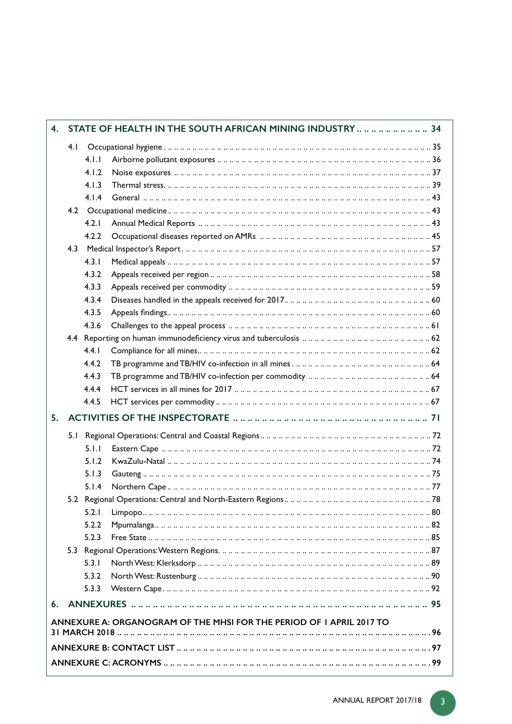| $\overline{4}$ . | STATE OF HEALTH IN THE SOUTH AFRICAN MINING INDUSTRY         34      |       |                                                       |  |  |  |  |
|------------------|----------------------------------------------------------------------|-------|-------------------------------------------------------|--|--|--|--|
|                  | 4.1                                                                  |       |                                                       |  |  |  |  |
|                  |                                                                      | 4.1.1 |                                                       |  |  |  |  |
|                  |                                                                      | 4.1.2 | Noise exposures ……………………………………………………………………………………37    |  |  |  |  |
|                  |                                                                      | 4.1.3 |                                                       |  |  |  |  |
|                  |                                                                      | 4.1.4 |                                                       |  |  |  |  |
|                  |                                                                      |       |                                                       |  |  |  |  |
|                  |                                                                      | 4 2 1 |                                                       |  |  |  |  |
|                  |                                                                      | 4.2.2 |                                                       |  |  |  |  |
|                  | 4.3                                                                  |       |                                                       |  |  |  |  |
|                  |                                                                      | 4.3.1 |                                                       |  |  |  |  |
|                  |                                                                      | 4.3.2 |                                                       |  |  |  |  |
|                  |                                                                      | 4.3.3 |                                                       |  |  |  |  |
|                  |                                                                      | 4.3.4 |                                                       |  |  |  |  |
|                  |                                                                      | 4.3.5 |                                                       |  |  |  |  |
|                  |                                                                      | 4.3.6 |                                                       |  |  |  |  |
|                  |                                                                      |       |                                                       |  |  |  |  |
|                  |                                                                      | 4.4.1 |                                                       |  |  |  |  |
|                  |                                                                      | 4.4.2 |                                                       |  |  |  |  |
|                  |                                                                      | 4.4.3 | TB programme and TB/HIV co-infection per commodity 64 |  |  |  |  |
|                  |                                                                      | 4.4.4 |                                                       |  |  |  |  |
|                  |                                                                      | 4.4.5 |                                                       |  |  |  |  |
| 5.               |                                                                      |       |                                                       |  |  |  |  |
|                  | 5.1                                                                  |       |                                                       |  |  |  |  |
|                  |                                                                      | 5.1.1 |                                                       |  |  |  |  |
|                  |                                                                      | 5.1.2 |                                                       |  |  |  |  |
|                  |                                                                      | 5.1.3 |                                                       |  |  |  |  |
|                  |                                                                      | 5.1.4 |                                                       |  |  |  |  |
|                  |                                                                      |       |                                                       |  |  |  |  |
|                  |                                                                      | 5.2.1 |                                                       |  |  |  |  |
|                  |                                                                      | 5.2.2 |                                                       |  |  |  |  |
|                  |                                                                      | 5.2.3 |                                                       |  |  |  |  |
|                  |                                                                      |       |                                                       |  |  |  |  |
|                  |                                                                      | 5.3.1 |                                                       |  |  |  |  |
|                  |                                                                      | 5.3.2 |                                                       |  |  |  |  |
|                  |                                                                      | 5.3.3 |                                                       |  |  |  |  |
| 6.               |                                                                      |       |                                                       |  |  |  |  |
|                  | ANNEXURE A: ORGANOGRAM OF THE MHSI FOR THE PERIOD OF I APRIL 2017 TO |       |                                                       |  |  |  |  |
|                  |                                                                      |       |                                                       |  |  |  |  |
|                  |                                                                      |       |                                                       |  |  |  |  |

I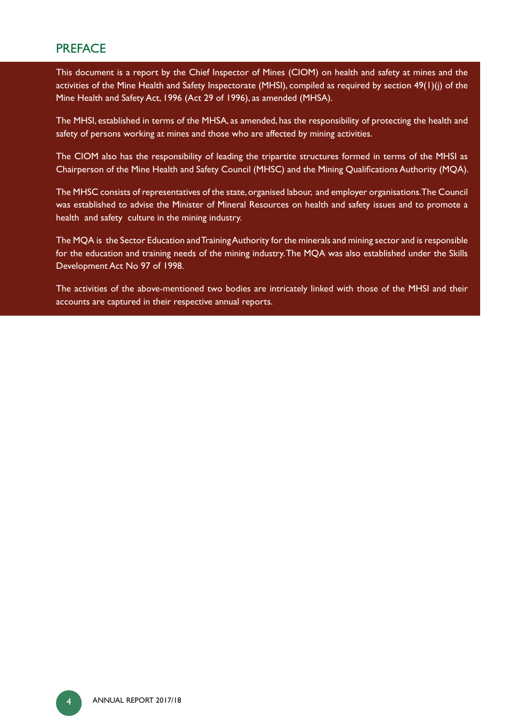# **PREFACE**

This document is a report by the Chief Inspector of Mines (CIOM) on health and safety at mines and the activities of the Mine Health and Safety Inspectorate (MHSI), compiled as required by section 49(1)(j) of the Mine Health and Safety Act, 1996 (Act 29 of 1996), as amended (MHSA).

The MHSI, established in terms of the MHSA, as amended, has the responsibility of protecting the health and safety of persons working at mines and those who are affected by mining activities.

The CIOM also has the responsibility of leading the tripartite structures formed in terms of the MHSI as Chairperson of the Mine Health and Safety Council (MHSC) and the Mining Qualifications Authority (MQA).

The MHSC consists of representatives of the state, organised labour, and employer organisations. The Council was established to advise the Minister of Mineral Resources on health and safety issues and to promote a health and safety culture in the mining industry.

The MQA is the Sector Education and Training Authority for the minerals and mining sector and is responsible for the education and training needs of the mining industry. The MQA was also established under the Skills Development Act No 97 of 1998.

The activities of the above-mentioned two bodies are intricately linked with those of the MHSI and their accounts are captured in their respective annual reports.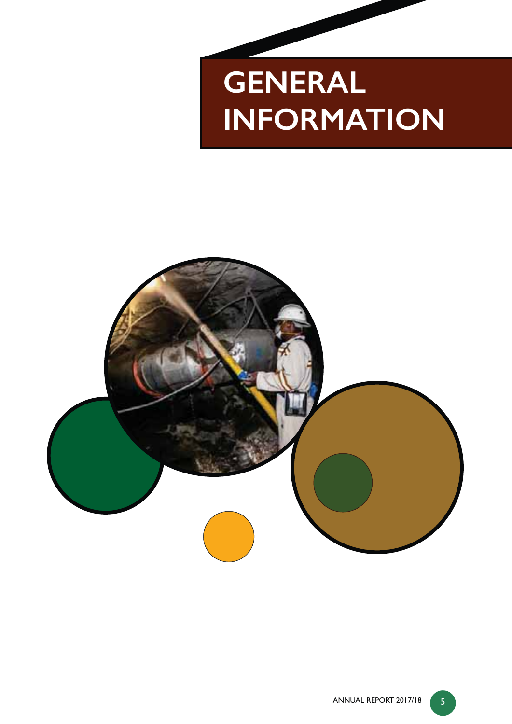# **GENERAL INFORMATION**

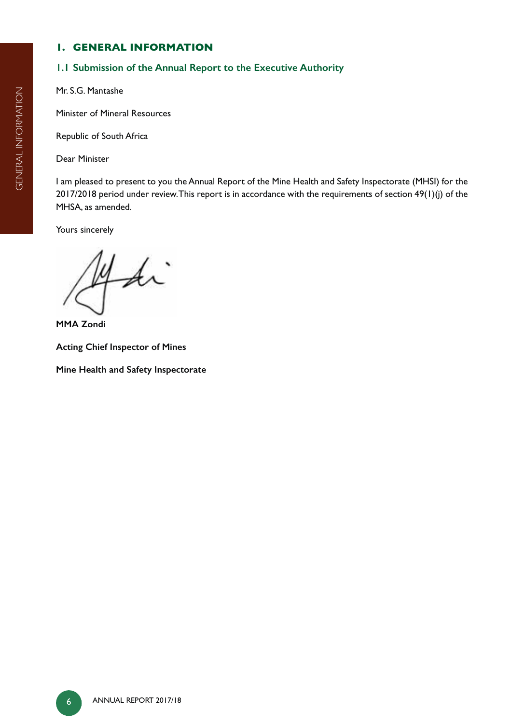# **1. GENERAL INFORMATION**

# **1.1 Submission of the Annual Report to the Executive Authority**

Mr. S.G. Mantashe

Minister of Mineral Resources

Republic of South Africa

Dear Minister

I am pleased to present to you the Annual Report of the Mine Health and Safety Inspectorate (MHSI) for the 2017/2018 period under review. This report is in accordance with the requirements of section 49(1)(j) of the MHSA, as amended.

Yours sincerely

y di

**MMA Zondi**

**Acting Chief Inspector of Mines** 

**Mine Health and Safety Inspectorate**

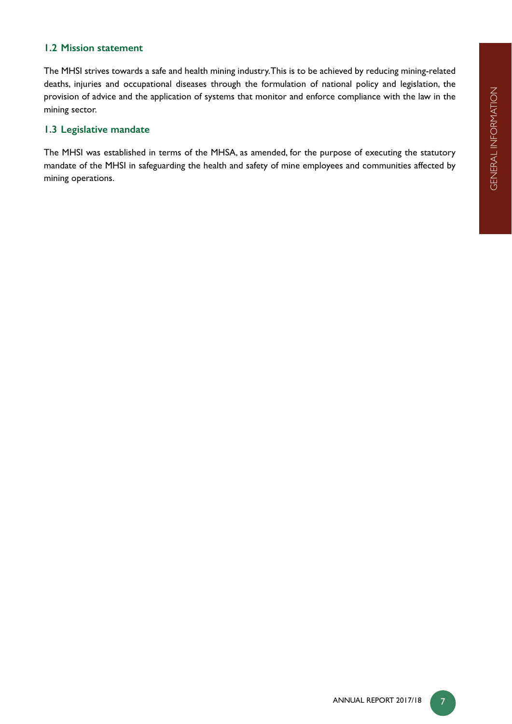# **1.2 Mission statement**

The MHSI strives towards a safe and health mining industry. This is to be achieved by reducing mining-related deaths, injuries and occupational diseases through the formulation of national policy and legislation, the provision of advice and the application of systems that monitor and enforce compliance with the law in the mining sector.

# **1.3 Legislative mandate**

The MHSI was established in terms of the MHSA, as amended, for the purpose of executing the statutory mandate of the MHSI in safeguarding the health and safety of mine employees and communities affected by mining operations.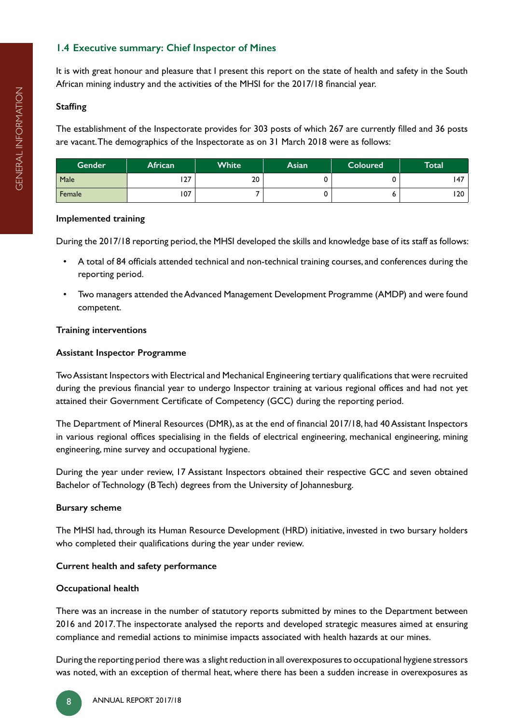# **1.4 Executive summary: Chief Inspector of Mines**

It is with great honour and pleasure that I present this report on the state of health and safety in the South African mining industry and the activities of the MHSI for the 2017/18 financial year.

# **Staffing**

The establishment of the Inspectorate provides for 303 posts of which 267 are currently filled and 36 posts are vacant. The demographics of the Inspectorate as on 31 March 2018 were as follows:

| <b>Gender</b> | African         | <b>White</b> | Asian | <b>Coloured</b> | Total |
|---------------|-----------------|--------------|-------|-----------------|-------|
| Male          | 77<br><b>LI</b> | 20           |       |                 | 147   |
| Female        | 107             |              |       |                 | 120   |

#### **Implemented training**

During the 2017/18 reporting period, the MHSI developed the skills and knowledge base of its staff as follows:

- A total of 84 officials attended technical and non-technical training courses, and conferences during the reporting period.
- Two managers attended the Advanced Management Development Programme (AMDP) and were found competent.

# **Training interventions**

# **Assistant Inspector Programme**

Two Assistant Inspectors with Electrical and Mechanical Engineering tertiary qualifications that were recruited during the previous financial year to undergo Inspector training at various regional offices and had not yet attained their Government Certificate of Competency (GCC) during the reporting period.

The Department of Mineral Resources (DMR), as at the end of financial 2017/18, had 40 Assistant Inspectors in various regional offices specialising in the fields of electrical engineering, mechanical engineering, mining engineering, mine survey and occupational hygiene.

During the year under review, 17 Assistant Inspectors obtained their respective GCC and seven obtained Bachelor of Technology (B Tech) degrees from the University of Johannesburg.

# **Bursary scheme**

The MHSI had, through its Human Resource Development (HRD) initiative, invested in two bursary holders who completed their qualifications during the year under review.

# **Current health and safety performance**

# **Occupational health**

There was an increase in the number of statutory reports submitted by mines to the Department between 2016 and 2017. The inspectorate analysed the reports and developed strategic measures aimed at ensuring compliance and remedial actions to minimise impacts associated with health hazards at our mines.

During the reporting period there was a slight reduction in all overexposures to occupational hygiene stressors was noted, with an exception of thermal heat, where there has been a sudden increase in overexposures as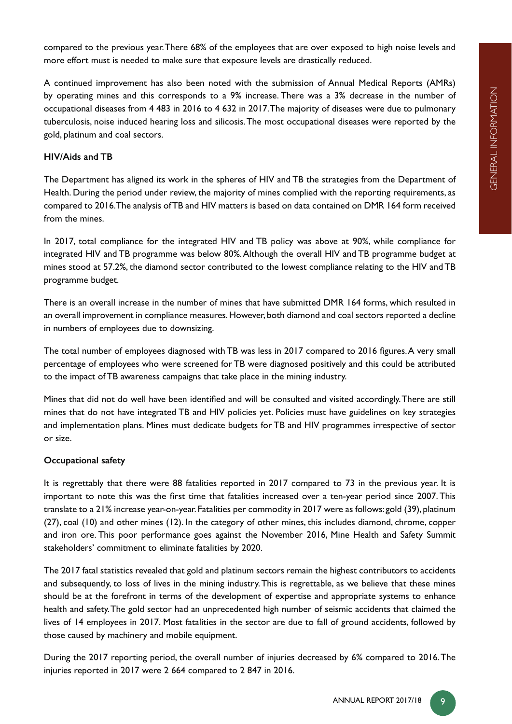compared to the previous year. There 68% of the employees that are over exposed to high noise levels and more effort must is needed to make sure that exposure levels are drastically reduced.

A continued improvement has also been noted with the submission of Annual Medical Reports (AMRs) by operating mines and this corresponds to a 9% increase. There was a 3% decrease in the number of occupational diseases from 4 483 in 2016 to 4 632 in 2017. The majority of diseases were due to pulmonary tuberculosis, noise induced hearing loss and silicosis. The most occupational diseases were reported by the gold, platinum and coal sectors.

# **HIV/Aids and TB**

The Department has aligned its work in the spheres of HIV and TB the strategies from the Department of Health. During the period under review, the majority of mines complied with the reporting requirements, as compared to 2016. The analysis of TB and HIV matters is based on data contained on DMR 164 form received from the mines.

In 2017, total compliance for the integrated HIV and TB policy was above at 90%, while compliance for integrated HIV and TB programme was below 80%. Although the overall HIV and TB programme budget at mines stood at 57.2%, the diamond sector contributed to the lowest compliance relating to the HIV and TB programme budget.

There is an overall increase in the number of mines that have submitted DMR 164 forms, which resulted in an overall improvement in compliance measures. However, both diamond and coal sectors reported a decline in numbers of employees due to downsizing.

The total number of employees diagnosed with TB was less in 2017 compared to 2016 figures. A very small percentage of employees who were screened for TB were diagnosed positively and this could be attributed to the impact of TB awareness campaigns that take place in the mining industry.

Mines that did not do well have been identified and will be consulted and visited accordingly. There are still mines that do not have integrated TB and HIV policies yet. Policies must have guidelines on key strategies and implementation plans. Mines must dedicate budgets for TB and HIV programmes irrespective of sector or size.

# **Occupational safety**

It is regrettably that there were 88 fatalities reported in 2017 compared to 73 in the previous year. It is important to note this was the first time that fatalities increased over a ten-year period since 2007. This translate to a 21% increase year-on-year. Fatalities per commodity in 2017 were as follows: gold (39), platinum (27), coal (10) and other mines (12). In the category of other mines, this includes diamond, chrome, copper and iron ore. This poor performance goes against the November 2016, Mine Health and Safety Summit stakeholders' commitment to eliminate fatalities by 2020.

The 2017 fatal statistics revealed that gold and platinum sectors remain the highest contributors to accidents and subsequently, to loss of lives in the mining industry. This is regrettable, as we believe that these mines should be at the forefront in terms of the development of expertise and appropriate systems to enhance health and safety. The gold sector had an unprecedented high number of seismic accidents that claimed the lives of 14 employees in 2017. Most fatalities in the sector are due to fall of ground accidents, followed by those caused by machinery and mobile equipment.

During the 2017 reporting period, the overall number of injuries decreased by 6% compared to 2016. The injuries reported in 2017 were 2 664 compared to 2 847 in 2016.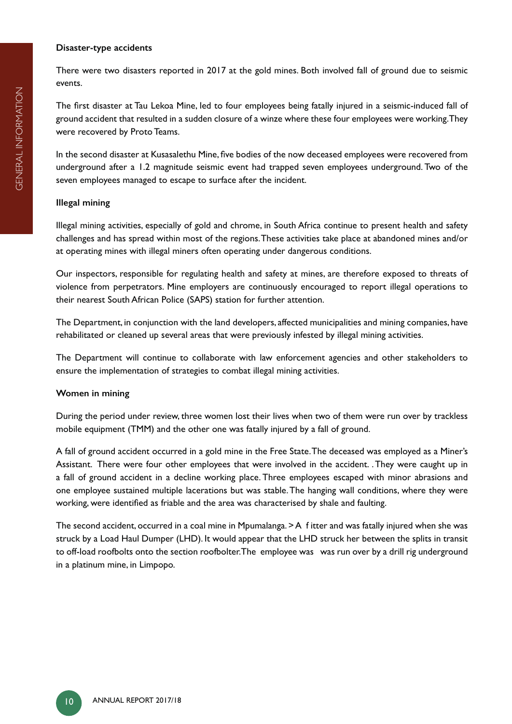#### **Disaster-type accidents**

There were two disasters reported in 2017 at the gold mines. Both involved fall of ground due to seismic events.

The first disaster at Tau Lekoa Mine, led to four employees being fatally injured in a seismic-induced fall of ground accident that resulted in a sudden closure of a winze where these four employees were working. They were recovered by Proto Teams.

In the second disaster at Kusasalethu Mine, five bodies of the now deceased employees were recovered from underground after a 1.2 magnitude seismic event had trapped seven employees underground. Two of the seven employees managed to escape to surface after the incident.

#### **Illegal mining**

Illegal mining activities, especially of gold and chrome, in South Africa continue to present health and safety challenges and has spread within most of the regions. These activities take place at abandoned mines and/or at operating mines with illegal miners often operating under dangerous conditions.

Our inspectors, responsible for regulating health and safety at mines, are therefore exposed to threats of violence from perpetrators. Mine employers are continuously encouraged to report illegal operations to their nearest South African Police (SAPS) station for further attention.

The Department, in conjunction with the land developers, affected municipalities and mining companies, have rehabilitated or cleaned up several areas that were previously infested by illegal mining activities.

The Department will continue to collaborate with law enforcement agencies and other stakeholders to ensure the implementation of strategies to combat illegal mining activities.

#### **Women in mining**

During the period under review, three women lost their lives when two of them were run over by trackless mobile equipment (TMM) and the other one was fatally injured by a fall of ground.

A fall of ground accident occurred in a gold mine in the Free State. The deceased was employed as a Miner's Assistant. There were four other employees that were involved in the accident. . They were caught up in a fall of ground accident in a decline working place. Three employees escaped with minor abrasions and one employee sustained multiple lacerations but was stable. The hanging wall conditions, where they were working, were identified as friable and the area was characterised by shale and faulting.

The second accident, occurred in a coal mine in Mpumalanga. > A f itter and was fatally injured when she was struck by a Load Haul Dumper (LHD). It would appear that the LHD struck her between the splits in transit to off-load roofbolts onto the section roofbolter. The employee was was run over by a drill rig underground in a platinum mine, in Limpopo.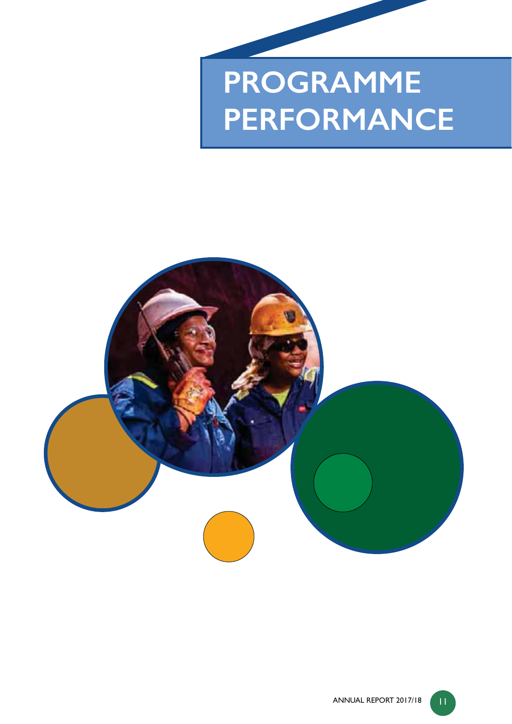# **PROGRAMME PERFORMANCE**

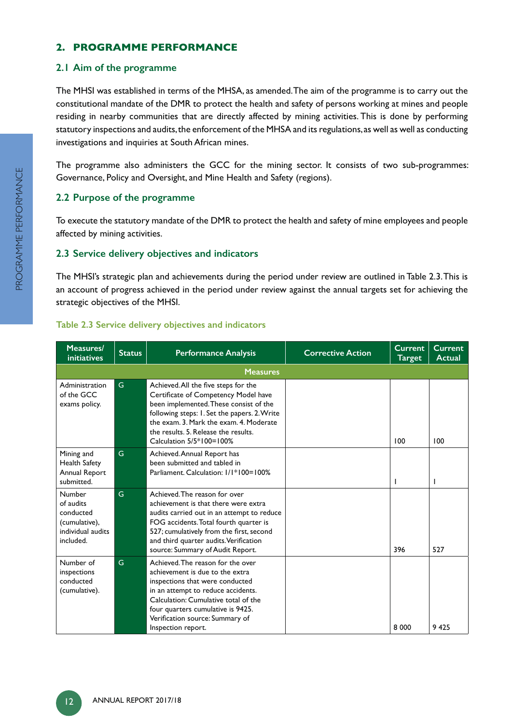# **2. PROGRAMME PERFORMANCE**

# **2.1 Aim of the programme**

The MHSI was established in terms of the MHSA, as amended. The aim of the programme is to carry out the constitutional mandate of the DMR to protect the health and safety of persons working at mines and people residing in nearby communities that are directly affected by mining activities. This is done by performing statutory inspections and audits, the enforcement of the MHSA and its regulations, as well as well as conducting investigations and inquiries at South African mines.

The programme also administers the GCC for the mining sector. It consists of two sub-programmes: Governance, Policy and Oversight, and Mine Health and Safety (regions).

# **2.2 Purpose of the programme**

To execute the statutory mandate of the DMR to protect the health and safety of mine employees and people affected by mining activities.

# **2.3 Service delivery objectives and indicators**

The MHSI's strategic plan and achievements during the period under review are outlined in Table 2.3. This is an account of progress achieved in the period under review against the annual targets set for achieving the strategic objectives of the MHSI.

| Measures/<br>initiatives                                                            | <b>Status</b> | <b>Performance Analysis</b>                                                                                                                                                                                                                                                            | <b>Corrective Action</b> | <b>Current</b><br><b>Target</b> | Current<br><b>Actual</b> |
|-------------------------------------------------------------------------------------|---------------|----------------------------------------------------------------------------------------------------------------------------------------------------------------------------------------------------------------------------------------------------------------------------------------|--------------------------|---------------------------------|--------------------------|
|                                                                                     |               | <b>Measures</b>                                                                                                                                                                                                                                                                        |                          |                                 |                          |
| Administration<br>of the GCC<br>exams policy.                                       | G.            | Achieved. All the five steps for the<br>Certificate of Competency Model have<br>been implemented. These consist of the<br>following steps: I. Set the papers. 2. Write<br>the exam. 3. Mark the exam. 4. Moderate<br>the results. 5. Release the results.<br>Calculation 5/5*100=100%  |                          | 100                             | 100                      |
| Mining and<br>Health Safety<br>Annual Report<br>submitted.                          | G             | Achieved. Annual Report has<br>been submitted and tabled in<br>Parliament, Calculation: 1/1*100=100%                                                                                                                                                                                   |                          | ı                               |                          |
| Number<br>of audits<br>conducted<br>(cumulative),<br>individual audits<br>included. | G             | Achieved The reason for over<br>achievement is that there were extra<br>audits carried out in an attempt to reduce<br>FOG accidents. Total fourth quarter is<br>527; cumulatively from the first, second<br>and third quarter audits. Verification<br>source: Summary of Audit Report. |                          | 396                             | 527                      |
| Number of<br>inspections<br>conducted<br>(cumulative).                              | G             | Achieved. The reason for the over<br>achievement is due to the extra-<br>inspections that were conducted<br>in an attempt to reduce accidents.<br>Calculation: Cumulative total of the<br>four quarters cumulative is 9425.<br>Verification source: Summary of<br>Inspection report.   |                          | 8 0 0 0                         | 9 4 2 5                  |

# **Table 2.3 Service delivery objectives and indicators**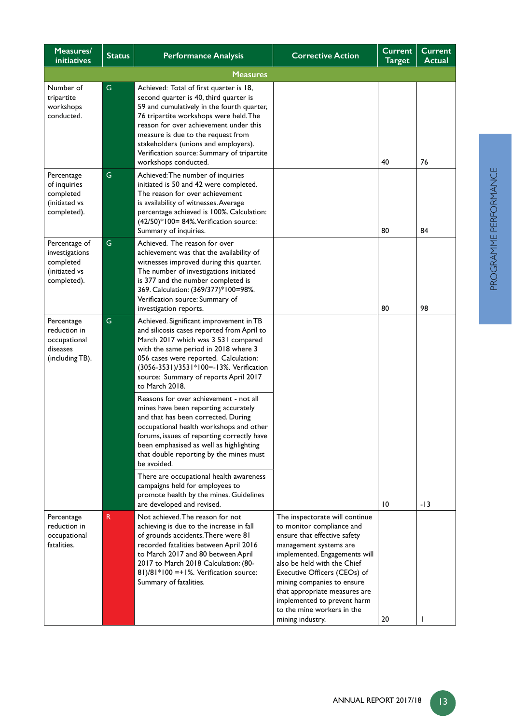| Measures/<br><b>initiatives</b>                                              | <b>Status</b> | <b>Performance Analysis</b>                                                                                                                                                                                                                                                                                                                                                                                                                                                                                                                                                                                                                                                                                                                                                                       | <b>Corrective Action</b>                                                                                                                                                                                                                                                                                                                                              | <b>Current</b><br><b>Target</b> | <b>Current</b><br>Actual |
|------------------------------------------------------------------------------|---------------|---------------------------------------------------------------------------------------------------------------------------------------------------------------------------------------------------------------------------------------------------------------------------------------------------------------------------------------------------------------------------------------------------------------------------------------------------------------------------------------------------------------------------------------------------------------------------------------------------------------------------------------------------------------------------------------------------------------------------------------------------------------------------------------------------|-----------------------------------------------------------------------------------------------------------------------------------------------------------------------------------------------------------------------------------------------------------------------------------------------------------------------------------------------------------------------|---------------------------------|--------------------------|
|                                                                              |               | <b>Measures</b>                                                                                                                                                                                                                                                                                                                                                                                                                                                                                                                                                                                                                                                                                                                                                                                   |                                                                                                                                                                                                                                                                                                                                                                       |                                 |                          |
| Number of<br>tripartite<br>workshops<br>conducted.                           | G             | Achieved: Total of first quarter is 18,<br>second quarter is 40, third quarter is<br>59 and cumulatively in the fourth quarter,<br>76 tripartite workshops were held. The<br>reason for over achievement under this<br>measure is due to the request from<br>stakeholders (unions and employers).<br>Verification source: Summary of tripartite<br>workshops conducted.                                                                                                                                                                                                                                                                                                                                                                                                                           |                                                                                                                                                                                                                                                                                                                                                                       | 40                              | 76                       |
| Percentage<br>of inquiries<br>completed<br>(initiated vs<br>completed).      | G             | Achieved: The number of inquiries<br>initiated is 50 and 42 were completed.<br>The reason for over achievement<br>is availability of witnesses. Average<br>percentage achieved is 100%. Calculation:<br>(42/50)*100= 84%. Verification source:<br>Summary of inquiries.                                                                                                                                                                                                                                                                                                                                                                                                                                                                                                                           |                                                                                                                                                                                                                                                                                                                                                                       | 80                              | 84                       |
| Percentage of<br>investigations<br>completed<br>(initiated vs<br>completed). | G             | Achieved. The reason for over<br>achievement was that the availability of<br>witnesses improved during this quarter.<br>The number of investigations initiated<br>is 377 and the number completed is<br>369. Calculation: (369/377)*100=98%.<br>Verification source: Summary of<br>investigation reports.                                                                                                                                                                                                                                                                                                                                                                                                                                                                                         |                                                                                                                                                                                                                                                                                                                                                                       | 80                              | 98                       |
| Percentage<br>reduction in<br>occupational<br>diseases<br>(including TB).    | G             | Achieved. Significant improvement in TB<br>and silicosis cases reported from April to<br>March 2017 which was 3 531 compared<br>with the same period in 2018 where 3<br>056 cases were reported. Calculation:<br>(3056-3531)/3531*100=-13%. Verification<br>source: Summary of reports April 2017<br>to March 2018.<br>Reasons for over achievement - not all<br>mines have been reporting accurately<br>and that has been corrected. During<br>occupational health workshops and other<br>forums, issues of reporting correctly have<br>been emphasised as well as highlighting<br>that double reporting by the mines must<br>be avoided.<br>There are occupational health awareness<br>campaigns held for employees to<br>promote health by the mines. Guidelines<br>are developed and revised. |                                                                                                                                                                                                                                                                                                                                                                       | $\overline{10}$                 | -13                      |
| Percentage<br>reduction in<br>occupational<br>fatalities.                    | $\mathsf{R}$  | Not achieved. The reason for not<br>achieving is due to the increase in fall<br>of grounds accidents. There were 81<br>recorded fatalities between April 2016<br>to March 2017 and 80 between April<br>2017 to March 2018 Calculation: (80-<br>81)/81*100 = +1%. Verification source:<br>Summary of fatalities.                                                                                                                                                                                                                                                                                                                                                                                                                                                                                   | The inspectorate will continue<br>to monitor compliance and<br>ensure that effective safety<br>management systems are<br>implemented. Engagements will<br>also be held with the Chief<br>Executive Officers (CEOs) of<br>mining companies to ensure<br>that appropriate measures are<br>implemented to prevent harm<br>to the mine workers in the<br>mining industry. | 20                              | ı                        |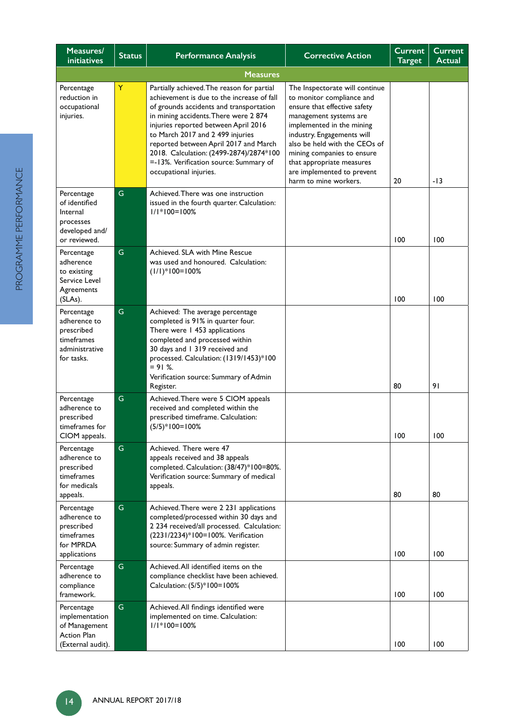| Measures/<br><b>initiatives</b>                                                          | <b>Status</b> | <b>Performance Analysis</b>                                                                                                                                                                                                                                                                                                                                                                                      | <b>Corrective Action</b>                                                                                                                                                                                                                                                                                                            | Current<br><b>Target</b> | <b>Current</b><br><b>Actual</b> |
|------------------------------------------------------------------------------------------|---------------|------------------------------------------------------------------------------------------------------------------------------------------------------------------------------------------------------------------------------------------------------------------------------------------------------------------------------------------------------------------------------------------------------------------|-------------------------------------------------------------------------------------------------------------------------------------------------------------------------------------------------------------------------------------------------------------------------------------------------------------------------------------|--------------------------|---------------------------------|
|                                                                                          |               |                                                                                                                                                                                                                                                                                                                                                                                                                  |                                                                                                                                                                                                                                                                                                                                     |                          |                                 |
| Percentage<br>reduction in<br>occupational<br>injuries.                                  | Y             | Partially achieved. The reason for partial<br>achievement is due to the increase of fall<br>of grounds accidents and transportation<br>in mining accidents. There were 2 874<br>injuries reported between April 2016<br>to March 2017 and 2 499 injuries<br>reported between April 2017 and March<br>2018. Calculation: (2499-2874)/2874*100<br>=-13%. Verification source: Summary of<br>occupational injuries. | The Inspectorate will continue<br>to monitor compliance and<br>ensure that effective safety<br>management systems are<br>implemented in the mining<br>industry. Engagements will<br>also be held with the CEOs of<br>mining companies to ensure<br>that appropriate measures<br>are implemented to prevent<br>harm to mine workers. | 20                       | -13                             |
| Percentage<br>of identified<br>Internal<br>processes<br>developed and/<br>or reviewed.   | G             | Achieved. There was one instruction<br>issued in the fourth quarter. Calculation:<br>$1/1*100=100%$                                                                                                                                                                                                                                                                                                              |                                                                                                                                                                                                                                                                                                                                     | 100                      | 100                             |
| Percentage<br>adherence<br>to existing<br>Service Level<br>Agreements<br>(SLAs).         | $\mathsf G$   | Achieved. SLA with Mine Rescue<br>was used and honoured. Calculation:<br>$(1/1)*100=100%$                                                                                                                                                                                                                                                                                                                        |                                                                                                                                                                                                                                                                                                                                     | 100                      | 100                             |
| Percentage<br>adherence to<br>prescribed<br>timeframes<br>administrative<br>for tasks.   | G             | Achieved: The average percentage<br>completed is 91% in quarter four.<br>There were 1 453 applications<br>completed and processed within<br>30 days and 1 319 received and<br>processed. Calculation: (1319/1453)*100<br>$= 91$ %.<br>Verification source: Summary of Admin<br>Register.                                                                                                                         |                                                                                                                                                                                                                                                                                                                                     | 80                       | 91                              |
| Percentage<br>adherence to<br>prescribed<br>timeframes for<br>CIOM appeals.              | G             | Achieved. There were 5 CIOM appeals<br>received and completed within the<br>prescribed timeframe. Calculation:<br>$(5/5)*100=100%$                                                                                                                                                                                                                                                                               |                                                                                                                                                                                                                                                                                                                                     | 100                      | 100                             |
| Percentage<br>adherence to<br>prescribed<br>timeframes<br>for medicals<br>appeals.       | ${\mathsf G}$ | Achieved. There were 47<br>appeals received and 38 appeals<br>completed. Calculation: (38/47)*100=80%.<br>Verification source: Summary of medical<br>appeals.                                                                                                                                                                                                                                                    |                                                                                                                                                                                                                                                                                                                                     | 80                       | 80                              |
| Percentage<br>adherence to<br>prescribed<br>timeframes<br>for MPRDA<br>applications      | ${\mathsf G}$ | Achieved. There were 2 231 applications<br>completed/processed within 30 days and<br>2 234 received/all processed. Calculation:<br>(2231/2234)*100=100%. Verification<br>source: Summary of admin register.                                                                                                                                                                                                      |                                                                                                                                                                                                                                                                                                                                     | 100                      | 100                             |
| Percentage<br>adherence to<br>compliance<br>framework.                                   | G             | Achieved. All identified items on the<br>compliance checklist have been achieved.<br>Calculation: (5/5)*100=100%                                                                                                                                                                                                                                                                                                 |                                                                                                                                                                                                                                                                                                                                     | 100                      | 100                             |
| Percentage<br>implementation<br>of Management<br><b>Action Plan</b><br>(External audit). | G             | Achieved. All findings identified were<br>implemented on time. Calculation:<br>$1/1*100=100%$                                                                                                                                                                                                                                                                                                                    |                                                                                                                                                                                                                                                                                                                                     | 100                      | 100                             |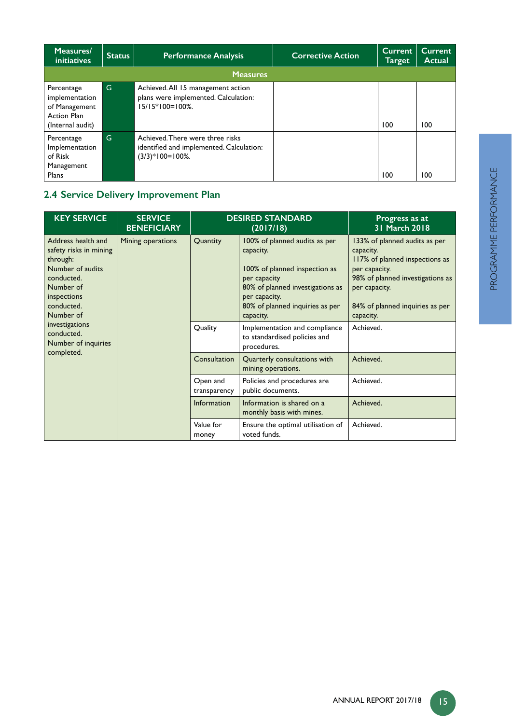| Measures/<br><i>initiatives</i>                                                  | <b>Status</b> | <b>Performance Analysis</b>                                                                        | <b>Corrective Action</b> | <b>Current</b><br>Target | Current<br><b>Actual</b> |
|----------------------------------------------------------------------------------|---------------|----------------------------------------------------------------------------------------------------|--------------------------|--------------------------|--------------------------|
|                                                                                  |               | <b>Measures</b>                                                                                    |                          |                          |                          |
| Percentage<br>implementation<br>of Management<br>Action Plan<br>(Internal audit) | G             | Achieved. All 15 management action<br>plans were implemented. Calculation:<br>$15/15*100=100%$ .   |                          | 100                      | 100                      |
| Percentage<br>Implementation<br>of Risk<br>Management<br>Plans                   | G             | Achieved. There were three risks<br>identified and implemented. Calculation:<br>$(3/3)*100=100%$ . |                          | 100                      | 100                      |

# **2.4 Service Delivery Improvement Plan**

| <b>KEY SERVICE</b><br><b>SERVICE</b><br><b>BENEFICIARY</b>                                                                                        |                   |                          | <b>DESIRED STANDARD</b><br>(2017/18)                                                                                                                                                             | Progress as at<br>31 March 2018                                                                                                                                                                    |
|---------------------------------------------------------------------------------------------------------------------------------------------------|-------------------|--------------------------|--------------------------------------------------------------------------------------------------------------------------------------------------------------------------------------------------|----------------------------------------------------------------------------------------------------------------------------------------------------------------------------------------------------|
| Address health and<br>safety risks in mining<br>through:<br>Number of audits<br>conducted.<br>Number of<br>inspections<br>conducted.<br>Number of | Mining operations | Quantity                 | 100% of planned audits as per<br>capacity.<br>100% of planned inspection as<br>per capacity<br>80% of planned investigations as<br>per capacity.<br>80% of planned inquiries as per<br>capacity. | 133% of planned audits as per<br>capacity.<br>117% of planned inspections as<br>per capacity.<br>98% of planned investigations as<br>per capacity.<br>84% of planned inquiries as per<br>capacity. |
| investigations<br>conducted.<br>Number of inquiries                                                                                               |                   | Quality                  | Implementation and compliance<br>to standardised policies and<br>procedures.                                                                                                                     | Achieved.                                                                                                                                                                                          |
| completed.                                                                                                                                        |                   | Consultation             | Quarterly consultations with<br>mining operations.                                                                                                                                               | Achieved.                                                                                                                                                                                          |
|                                                                                                                                                   |                   | Open and<br>transparency | Policies and procedures are<br>public documents.                                                                                                                                                 | Achieved.                                                                                                                                                                                          |
|                                                                                                                                                   |                   | <b>Information</b>       | Information is shared on a<br>monthly basis with mines.                                                                                                                                          | Achieved.                                                                                                                                                                                          |
|                                                                                                                                                   |                   | Value for<br>money       | Ensure the optimal utilisation of<br>voted funds.                                                                                                                                                | Achieved.                                                                                                                                                                                          |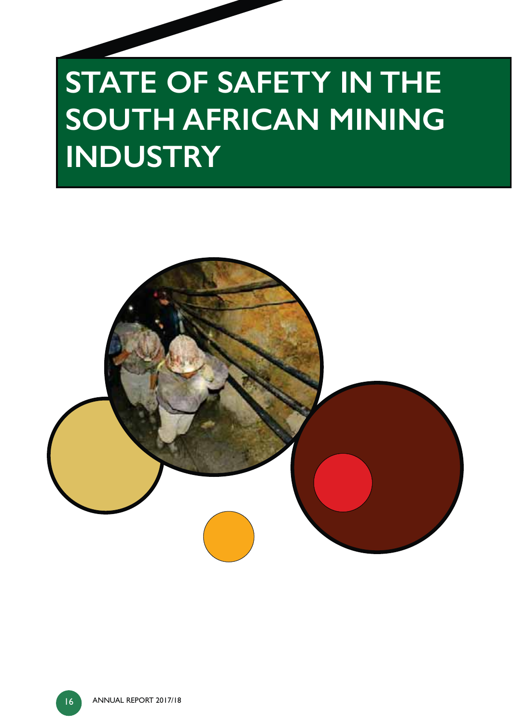# **STATE OF SAFETY IN THE SOUTH AFRICAN MINING INDUSTRY**

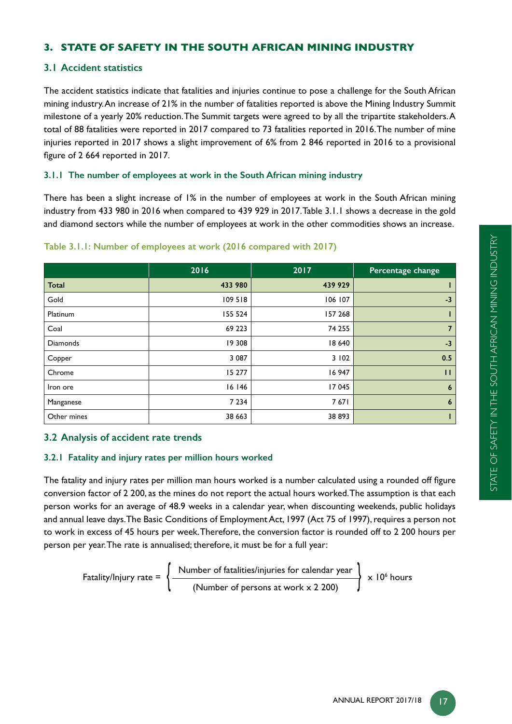# **3. STATE OF SAFETY IN THE SOUTH AFRICAN MINING INDUSTRY**

# **3.1 Accident statistics**

The accident statistics indicate that fatalities and injuries continue to pose a challenge for the South African mining industry. An increase of 21% in the number of fatalities reported is above the Mining Industry Summit milestone of a yearly 20% reduction. The Summit targets were agreed to by all the tripartite stakeholders. A total of 88 fatalities were reported in 2017 compared to 73 fatalities reported in 2016. The number of mine injuries reported in 2017 shows a slight improvement of 6% from 2 846 reported in 2016 to a provisional figure of  $2664$  reported in  $2017$ .

# **3.1.1 The number of employees at work in the South African mining industry**

There has been a slight increase of 1% in the number of employees at work in the South African mining industry from 433 980 in 2016 when compared to 439 929 in 2017. Table 3.1.1 shows a decrease in the gold and diamond sectors while the number of employees at work in the other commodities shows an increase.

|                 | 2016    | 2017    | Percentage change |
|-----------------|---------|---------|-------------------|
| <b>Total</b>    | 433 980 | 439 929 |                   |
| Gold            | 109 518 | 106 107 | $-3$              |
| Platinum        | 155 524 | 157 268 |                   |
| Coal            | 69 223  | 74 255  | $\overline{7}$    |
| <b>Diamonds</b> | 19 308  | 18 640  | $-3$              |
| Copper          | 3 0 8 7 | 3 102   | 0.5               |
| Chrome          | 15 277  | 16 947  | $\mathbf{H}$      |
| Iron ore        | 16 146  | 17 045  | $\boldsymbol{6}$  |
| Manganese       | 7 2 3 4 | 7671    | $6\overline{6}$   |
| Other mines     | 38 663  | 38 893  |                   |

#### **Table 3.1.1: Number of employees at work (2016 compared with 2017)**

# **3.2 Analysis of accident rate trends**

# **3.2.1 Fatality and injury rates per million hours worked**

The fatality and injury rates per million man hours worked is a number calculated using a rounded off figure conversion factor of 2 200, as the mines do not report the actual hours worked. The assumption is that each person works for an average of 48.9 weeks in a calendar year, when discounting weekends, public holidays and annual leave days. The Basic Conditions of Employment Act, 1997 (Act 75 of 1997), requires a person not to work in excess of 45 hours per week. Therefore, the conversion factor is rounded off to 2 200 hours per person per year. The rate is annualised; therefore, it must be for a full year:

Fatality/Injury rate = 
$$
\left\{\frac{\text{Number of facilities/injuries for calendar year}}{\text{(Number of persons at work x 2 200)}}\right\} \times 10^6 \text{ hours}
$$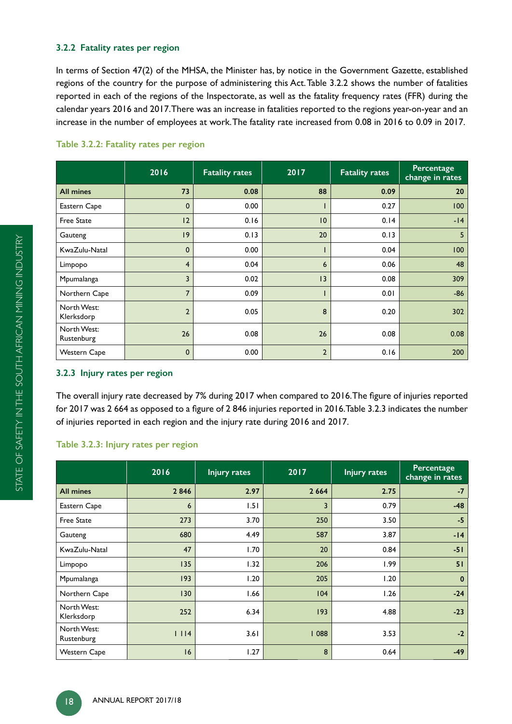# **3.2.2 Fatality rates per region**

In terms of Section 47(2) of the MHSA, the Minister has, by notice in the Government Gazette, established regions of the country for the purpose of administering this Act. Table 3.2.2 shows the number of fatalities reported in each of the regions of the Inspectorate, as well as the fatality frequency rates (FFR) during the calendar years 2016 and 2017. There was an increase in fatalities reported to the regions year-on-year and an increase in the number of employees at work. The fatality rate increased from 0.08 in 2016 to 0.09 in 2017.

|                           | 2016           | <b>Fatality rates</b> | 2017           | <b>Fatality rates</b> | Percentage<br>change in rates |
|---------------------------|----------------|-----------------------|----------------|-----------------------|-------------------------------|
| <b>All mines</b>          | 73             | 0.08                  | 88             | 0.09                  | 20                            |
| Eastern Cape              | $\mathbf{0}$   | 0.00                  |                | 0.27                  | 100                           |
| <b>Free State</b>         | 2              | 0.16                  | $ 0\rangle$    | 0.14                  | $-14$                         |
| Gauteng                   | $ 9\rangle$    | 0.13                  | 20             | 0.13                  | 5                             |
| KwaZulu-Natal             | $\mathbf 0$    | 0.00                  |                | 0.04                  | 100                           |
| Limpopo                   | $\overline{4}$ | 0.04                  | 6              | 0.06                  | 48                            |
| Mpumalanga                | $\overline{3}$ | 0.02                  | 3              | 0.08                  | 309                           |
| Northern Cape             | $\overline{7}$ | 0.09                  |                | 0.01                  | $-86$                         |
| North West:<br>Klerksdorp | $\overline{2}$ | 0.05                  | 8              | 0.20                  | 302                           |
| North West:<br>Rustenburg | 26             | 0.08                  | 26             | 0.08                  | 0.08                          |
| <b>Western Cape</b>       | $\mathbf 0$    | 0.00                  | $\overline{2}$ | 0.16                  | 200                           |

#### **Table 3.2.2: Fatality rates per region**

#### **3.2.3 Injury rates per region**

The overall injury rate decreased by 7% during 2017 when compared to 2016. The figure of injuries reported for 2017 was 2 664 as opposed to a figure of 2 846 injuries reported in 2016.Table 3.2.3 indicates the number of injuries reported in each region and the injury rate during 2016 and 2017.

#### **Table 3.2.3: Injury rates per region**

|                           | 2016 | <b>Injury rates</b> | 2017    | Injury rates | Percentage<br>change in rates |
|---------------------------|------|---------------------|---------|--------------|-------------------------------|
| <b>All mines</b>          | 2846 | 2.97                | 2 6 6 4 | 2.75         | $-7$                          |
| Eastern Cape              | 6    | 1.51                | 3       | 0.79         | $-48$                         |
| <b>Free State</b>         | 273  | 3.70                | 250     | 3.50         | $-5$                          |
| Gauteng                   | 680  | 4.49                | 587     | 3.87         | $-14$                         |
| KwaZulu-Natal             | 47   | 1.70                | 20      | 0.84         | $-51$                         |
| Limpopo                   | 135  | 1.32                | 206     | 1.99         | 51                            |
| Mpumalanga                | 193  | 1.20                | 205     | 1.20         | $\mathbf{0}$                  |
| Northern Cape             | 130  | 1.66                | 104     | 1.26         | $-24$                         |
| North West:<br>Klerksdorp | 252  | 6.34                | 193     | 4.88         | $-23$                         |
| North West:<br>Rustenburg | 1114 | 3.61                | 088     | 3.53         | $-2$                          |
| <b>Western Cape</b>       | 16   | 1.27                | 8       | 0.64         | $-49$                         |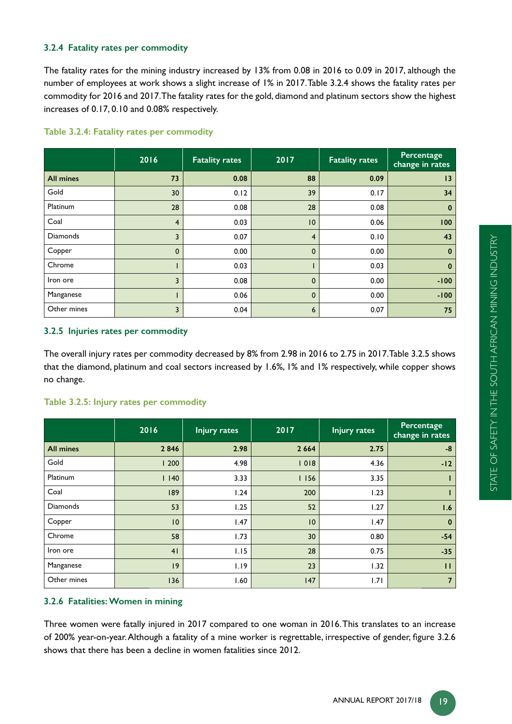# **3.2.4 Fatality rates per commodity**

The fatality rates for the mining industry increased by 13% from 0.08 in 2016 to 0.09 in 2017, although the number of employees at work shows a slight increase of 1% in 2017. Table 3.2.4 shows the fatality rates per commodity for 2016 and 2017. The fatality rates for the gold, diamond and platinum sectors show the highest increases of 0.17, 0.10 and 0.08% respectively.

|                  | 2016           | <b>Fatality rates</b> | 2017           | <b>Fatality rates</b> | <b>Percentage</b><br>change in rates |
|------------------|----------------|-----------------------|----------------|-----------------------|--------------------------------------|
| <b>All mines</b> | 73             | 0.08                  | 88             | 0.09                  | 13                                   |
| Gold             | 30             | 0.12                  | 39             | 0.17                  | 34                                   |
| Platinum         | 28             | 0.08                  | 28             | 0.08                  | $\bf{0}$                             |
| Coal             | $\overline{4}$ | 0.03                  | 10             | 0.06                  | 100                                  |
| <b>Diamonds</b>  | 3              | 0.07                  | $\overline{4}$ | 0.10                  | 43                                   |
| Copper           | $\mathbf 0$    | 0.00                  | $\mathbf{0}$   | 0.00                  | $\bf{0}$                             |
| Chrome           |                | 0.03                  |                | 0.03                  | $\mathbf 0$                          |
| Iron ore         | 3              | 0.08                  | $\mathbf{0}$   | 0.00                  | $-100$                               |
| Manganese        |                | 0.06                  | $\mathbf 0$    | 0.00                  | $-100$                               |
| Other mines      | 3              | 0.04                  | 6              | 0.07                  | 75                                   |

#### **Table 3.2.4: Fatality rates per commodity**

#### **3.2.5 Injuries rates per commodity**

The overall injury rates per commodity decreased by 8% from 2.98 in 2016 to 2.75 in 2017. Table 3.2.5 shows that the diamond, platinum and coal sectors increased by 1.6%, 1% and 1% respectively, while copper shows no change.

#### **Table 3.2.5: Injury rates per commodity**

|                  | 2016 | <b>Injury rates</b> | 2017    | <b>Injury rates</b> | Percentage<br>change in rates |
|------------------|------|---------------------|---------|---------------------|-------------------------------|
| <b>All mines</b> | 2846 | 2.98                | 2 6 6 4 | 2.75                | $-8$                          |
| Gold             | 1200 | 4.98                | 1018    | 4.36                | $-12$                         |
| Platinum         | 1140 | 3.33                | 1156    | 3.35                |                               |
| Coal             | 189  | 1.24                | 200     | 1.23                |                               |
| <b>Diamonds</b>  | 53   | 1.25                | 52      | 1.27                | 1.6                           |
| Copper           | 10   | 1.47                | 10      | 1.47                | $\mathbf{0}$                  |
| Chrome           | 58   | 1.73                | 30      | 0.80                | $-54$                         |
| Iron ore         | 41   | 1.15                | 28      | 0.75                | $-35$                         |
| Manganese        | 9    | 1.19                | 23      | 1.32                | $\mathbf{H}$                  |
| Other mines      | 136  | 1.60                | 147     | 1.71                | $\overline{7}$                |

# **3.2.6 Fatalities: Women in mining**

Three women were fatally injured in 2017 compared to one woman in 2016. This translates to an increase of 200% year-on-year. Although a fatality of a mine worker is regrettable, irrespective of gender, figure 3.2.6 shows that there has been a decline in women fatalities since 2012.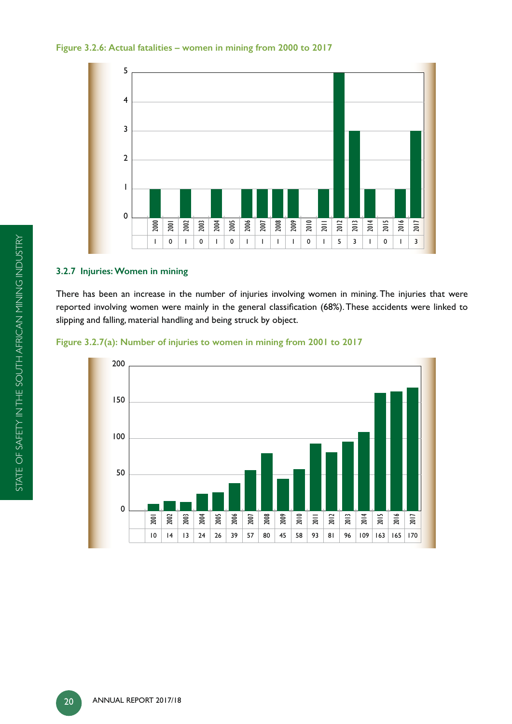#### **Figure 3.2.6: Actual fatalities – women in mining from 2000 to 2017**



# **3.2.7 Injuries: Women in mining**

There has been an increase in the number of injuries involving women in mining. The injuries that were reported involving women were mainly in the general classification (68%). These accidents were linked to slipping and falling, material handling and being struck by object.



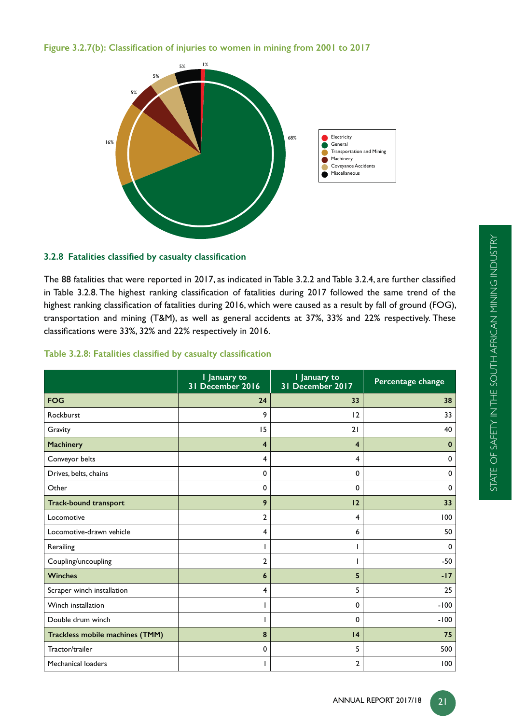Figure 3.2.7(b): Classification of injuries to women in mining from 2001 to 2017



# 3.2.8 Fatalities classified by casualty classification

The 88 fatalities that were reported in 2017, as indicated in Table 3.2.2 and Table 3.2.4, are further classified in Table 3.2.8. The highest ranking classification of fatalities during 2017 followed the same trend of the highest ranking classification of fatalities during 2016, which were caused as a result by fall of ground (FOG), transportation and mining (T&M), as well as general accidents at 37%, 33% and 22% respectively. These classifications were 33%, 32% and 22% respectively in 2016.

# Table 3.2.8: Fatalities classified by casualty classification

|                                 | I January to<br>31 December 2016 | I January to<br>31 December 2017 | Percentage change |
|---------------------------------|----------------------------------|----------------------------------|-------------------|
| <b>FOG</b>                      | 24                               | 33                               | 38                |
| Rockburst                       | 9                                | 12                               | 33                |
| Gravity                         | 15                               | 21                               | 40                |
| Machinery                       | $\overline{4}$                   | 4                                | $\mathbf 0$       |
| Conveyor belts                  | 4                                | 4                                | 0                 |
| Drives, belts, chains           | $\mathbf 0$                      | 0                                | $\mathbf 0$       |
| Other                           | $\mathbf 0$                      | 0                                | 0                 |
| <b>Track-bound transport</b>    | 9                                | 12                               | 33                |
| Locomotive                      | $\overline{2}$                   | 4                                | 100               |
| Locomotive-drawn vehicle        | 4                                | 6                                | 50                |
| Rerailing                       | T                                |                                  | $\mathbf 0$       |
| Coupling/uncoupling             | $\overline{2}$                   |                                  | $-50$             |
| <b>Winches</b>                  | 6                                | 5                                | $-17$             |
| Scraper winch installation      | 4                                | 5                                | 25                |
| Winch installation              | п                                | 0                                | $-100$            |
| Double drum winch               | ı                                | 0                                | $-100$            |
| Trackless mobile machines (TMM) | 8                                | 4                                | 75                |
| Tractor/trailer                 | 0                                | 5                                | 500               |
| Mechanical loaders              | п                                | $\mathbf{2}$                     | 100               |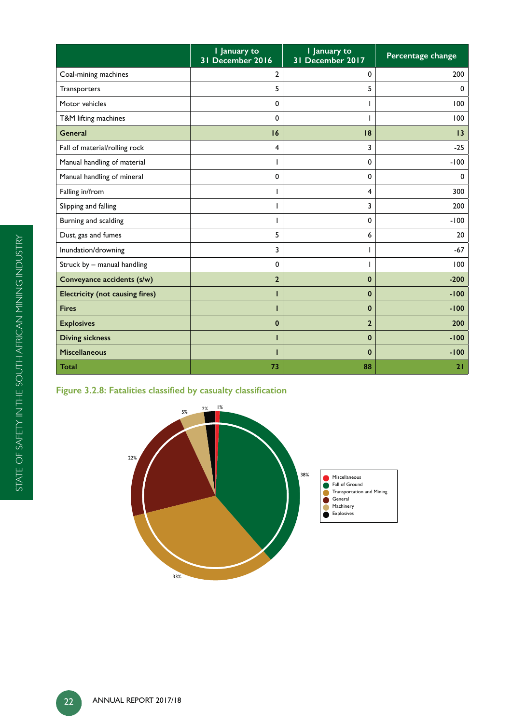|                                        | I January to<br>31 December 2016 | I January to<br>31 December 2017 | Percentage change |
|----------------------------------------|----------------------------------|----------------------------------|-------------------|
| Coal-mining machines                   | $\overline{2}$                   | 0                                | 200               |
| Transporters                           | 5                                | 5                                | 0                 |
| Motor vehicles                         | 0                                |                                  | 100               |
| T&M lifting machines                   | 0                                |                                  | 100               |
| <b>General</b>                         | 16                               | 8                                | 13                |
| Fall of material/rolling rock          | 4                                | 3                                | $-25$             |
| Manual handling of material            |                                  | 0                                | $-100$            |
| Manual handling of mineral             | $\mathbf 0$                      | 0                                | $\mathbf 0$       |
| Falling in/from                        |                                  | 4                                | 300               |
| Slipping and falling                   |                                  | 3                                | 200               |
| Burning and scalding                   | L                                | 0                                | $-100$            |
| Dust, gas and fumes                    | 5                                | 6                                | 20                |
| Inundation/drowning                    | 3                                |                                  | $-67$             |
| Struck by - manual handling            | 0                                |                                  | 100               |
| Conveyance accidents (s/w)             | $\overline{2}$                   | 0                                | $-200$            |
| <b>Electricity (not causing fires)</b> | ı                                | $\mathbf 0$                      | $-100$            |
| <b>Fires</b>                           | ı                                | $\mathbf{0}$                     | $-100$            |
| <b>Explosives</b>                      | 0                                | $\mathbf{z}$                     | 200               |
| <b>Diving sickness</b>                 |                                  | $\mathbf{0}$                     | $-100$            |
| <b>Miscellaneous</b>                   |                                  | $\bf{0}$                         | $-100$            |
| Total                                  | 73                               | 88                               | 21                |

# Figure 3.2.8: Fatalities classified by casualty classification

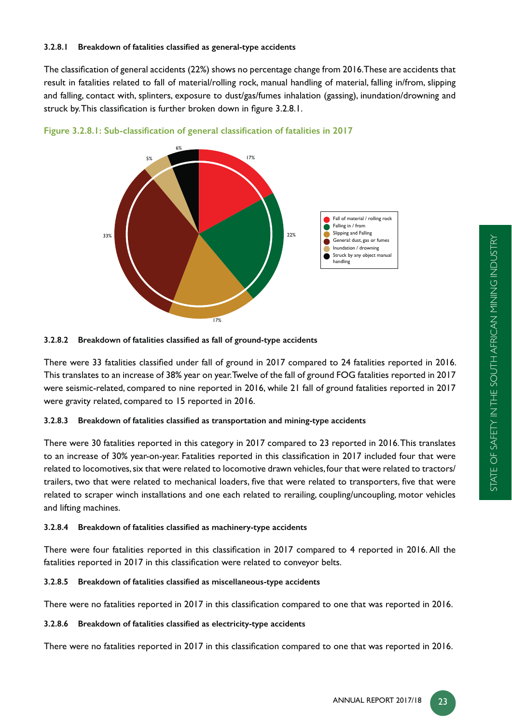The classification of general accidents (22%) shows no percentage change from 2016.These are accidents that result in fatalities related to fall of material/rolling rock, manual handling of material, falling in/from, slipping and falling, contact with, splinters, exposure to dust/gas/fumes inhalation (gassing), inundation/drowning and struck by. This classification is further broken down in figure 3.2.8.1.







There were 33 fatalities classified under fall of ground in 2017 compared to 24 fatalities reported in 2016. This translates to an increase of 38% year on year. Twelve of the fall of ground FOG fatalities reported in 2017 were seismic-related, compared to nine reported in 2016, while 21 fall of ground fatalities reported in 2017 were gravity related, compared to 15 reported in 2016.

# 3.2.8.3 Breakdown of fatalities classified as transportation and mining-type accidents

There were 30 fatalities reported in this category in 2017 compared to 23 reported in 2016. This translates to an increase of 30% year-on-year. Fatalities reported in this classification in 2017 included four that were related to locomotives, six that were related to locomotive drawn vehicles, four that were related to tractors/ trailers, two that were related to mechanical loaders, five that were related to transporters, five that were related to scraper winch installations and one each related to rerailing, coupling/uncoupling, motor vehicles and lifting machines.

# 3.2.8.4 Breakdown of fatalities classified as machinery-type accidents

There were four fatalities reported in this classification in 2017 compared to 4 reported in 2016. All the fatalities reported in 2017 in this classification were related to conveyor belts.

# 3.2.8.5 Breakdown of fatalities classified as miscellaneous-type accidents

There were no fatalities reported in 2017 in this classification compared to one that was reported in 2016.

# 3.2.8.6 Breakdown of fatalities classified as electricity-type accidents

There were no fatalities reported in 2017 in this classification compared to one that was reported in 2016.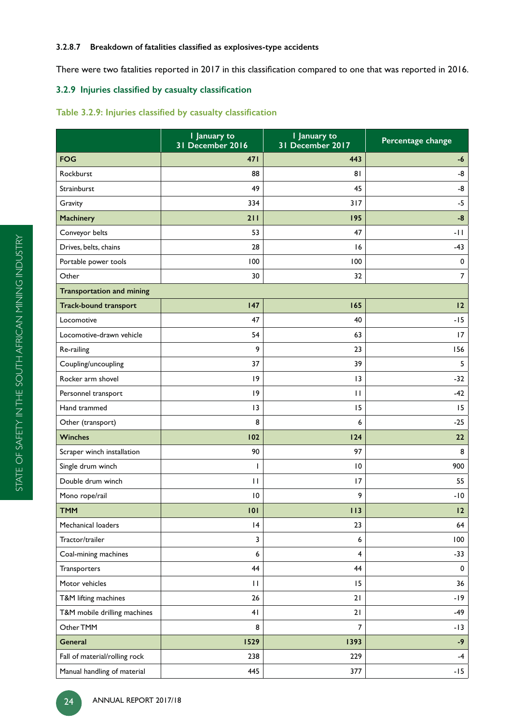#### 3.2.8.7 Breakdown of fatalities classified as explosives-type accidents

There were two fatalities reported in 2017 in this classification compared to one that was reported in 2016.

# 3.2.9 Injuries classified by casualty classification

# Table 3.2.9: Injuries classified by casualty classification

|                                  | I January to<br>31 December 2016 | I January to<br>31 December 2017 | Percentage change |
|----------------------------------|----------------------------------|----------------------------------|-------------------|
| <b>FOG</b>                       | 471                              | 443                              | -6                |
| Rockburst                        | 88                               | 81                               | -8                |
| Strainburst                      | 49                               | 45                               | -8                |
| Gravity                          | 334                              | 317                              | $-5$              |
| Machinery                        | 211                              | 195                              | $-8$              |
| Conveyor belts                   | 53                               | 47                               | -11               |
| Drives, belts, chains            | 28                               | 16                               | $-43$             |
| Portable power tools             | 100                              | 100                              | 0                 |
| Other                            | 30                               | 32                               | $\overline{7}$    |
| <b>Transportation and mining</b> |                                  |                                  |                   |
| <b>Track-bound transport</b>     | 147                              | 165                              | 12                |
| Locomotive                       | 47                               | 40                               | $-15$             |
| Locomotive-drawn vehicle         | 54                               | 63                               | 17                |
| Re-railing                       | 9                                | 23                               | 156               |
| Coupling/uncoupling              | 37                               | 39                               | 5                 |
| Rocker arm shovel                | 9                                | 13                               | $-32$             |
| Personnel transport              | 9                                | П                                | $-42$             |
| Hand trammed                     | 13                               | 15                               | 15                |
| Other (transport)                | 8                                | 6                                | $-25$             |
| <b>Winches</b>                   | 102                              | 124                              | 22                |
| Scraper winch installation       | 90                               | 97                               | 8                 |
| Single drum winch                | Т                                | 10                               | 900               |
| Double drum winch                | $\mathbf{H}$                     | 17                               | 55                |
| Mono rope/rail                   | $\overline{10}$                  | 9                                | $-10$             |
| <b>TMM</b>                       | 101                              | 113                              | 12                |
| Mechanical loaders               | 4                                | 23                               | 64                |
| Tractor/trailer                  | 3                                | 6                                | 100               |
| Coal-mining machines             | 6                                | 4                                | $-33$             |
| Transporters                     | 44                               | 44                               | 0                 |
| Motor vehicles                   | П                                | 15                               | 36                |
| T&M lifting machines             | 26                               | 21                               | $-19$             |
| T&M mobile drilling machines     | 41                               | 21                               | $-49$             |
| Other TMM                        | 8                                | $\overline{7}$                   | $-13$             |
| General                          | 1529                             | 1393                             | $-9$              |
| Fall of material/rolling rock    | 238                              | 229                              | $-4$              |
| Manual handling of material      | 445                              | 377                              | $-15$             |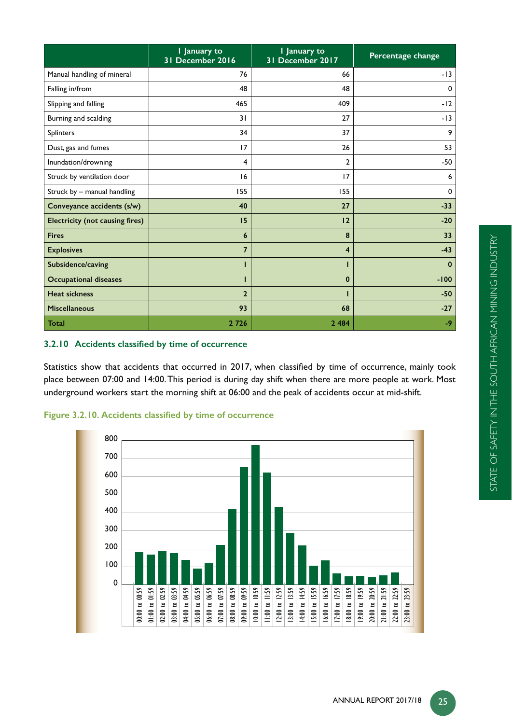|                                        | I January to<br>31 December 2016 | I January to<br>31 December 2017 | Percentage change |
|----------------------------------------|----------------------------------|----------------------------------|-------------------|
| Manual handling of mineral             | 76                               | 66                               | $-13$             |
| Falling in/from                        | 48                               | 48                               | 0                 |
| Slipping and falling                   | 465                              | 409                              | $-12$             |
| Burning and scalding                   | 31                               | 27                               | $-13$             |
| Splinters                              | 34                               | 37                               | 9                 |
| Dust, gas and fumes                    | 17                               | 26                               | 53                |
| Inundation/drowning                    | 4                                | $\overline{2}$                   | $-50$             |
| Struck by ventilation door             | 16                               | 17                               | 6                 |
| Struck by - manual handling            | 155                              | 155                              | $\mathbf 0$       |
| Conveyance accidents (s/w)             | 40                               | 27                               | $-33$             |
| <b>Electricity (not causing fires)</b> | 15                               | 12                               | $-20$             |
| <b>Fires</b>                           | 6                                | 8                                | 33                |
| <b>Explosives</b>                      | $\overline{7}$                   | $\overline{\mathbf{4}}$          | $-43$             |
| Subsidence/caving                      | п                                | ı                                | $\mathbf{0}$      |
| <b>Occupational diseases</b>           | ı                                | $\mathbf{0}$                     | $-100$            |
| <b>Heat sickness</b>                   | $\overline{2}$                   |                                  | $-50$             |
| <b>Miscellaneous</b>                   | 93                               | 68                               | $-27$             |
| <b>Total</b>                           | 2726                             | 2 4 8 4                          | $-9$              |

# 3.2.10 Accidents classified by time of occurrence

Statistics show that accidents that occurred in 2017, when classified by time of occurrence, mainly took place between 07:00 and 14:00. This period is during day shift when there are more people at work. Most underground workers start the morning shift at 06:00 and the peak of accidents occur at mid-shift.



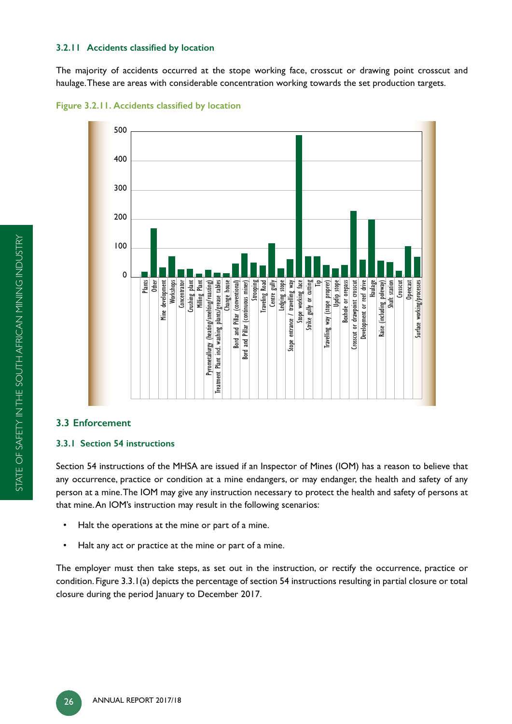#### **3.2.11 Accidents classified by location**

The majority of accidents occurred at the stope working face, crosscut or drawing point crosscut and haulage. These are areas with considerable concentration working towards the set production targets.





# **3.3 Enforcement**

#### **3.3.1 Section 54 instructions**

Section 54 instructions of the MHSA are issued if an Inspector of Mines (IOM) has a reason to believe that any occurrence, practice or condition at a mine endangers, or may endanger, the health and safety of any person at a mine. The IOM may give any instruction necessary to protect the health and safety of persons at that mine. An IOM's instruction may result in the following scenarios:

- Halt the operations at the mine or part of a mine.
- Halt any act or practice at the mine or part of a mine.

The employer must then take steps, as set out in the instruction, or rectify the occurrence, practice or condition. Figure 3.3.1(a) depicts the percentage of section 54 instructions resulting in partial closure or total closure during the period January to December 2017.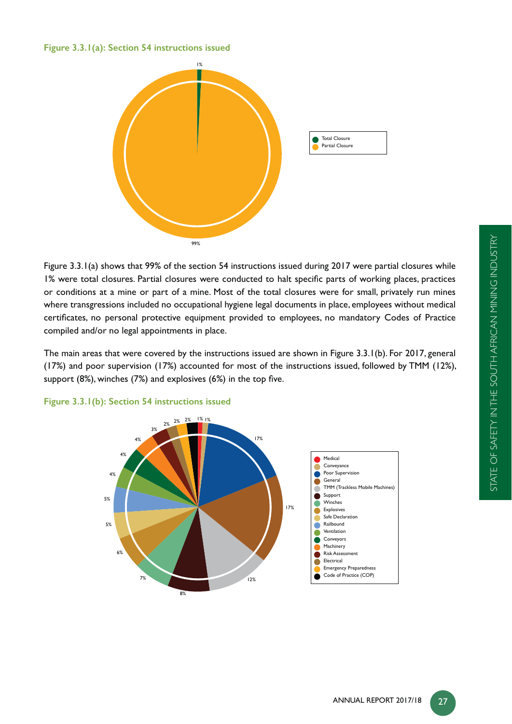# **Figure 3.3.1(a): Section 54 instructions issued**



Figure 3.3.1(a) shows that 99% of the section 54 instructions issued during 2017 were partial closures while 1% were total closures. Partial closures were conducted to halt specific parts of working places, practices or conditions at a mine or part of a mine. Most of the total closures were for small, privately run mines where transgressions included no occupational hygiene legal documents in place, employees without medical certificates, no personal protective equipment provided to employees, no mandatory Codes of Practice compiled and/or no legal appointments in place.

The main areas that were covered by the instructions issued are shown in Figure 3.3.1(b). For 2017, general (17%) and poor supervision (17%) accounted for most of the instructions issued, followed by TMM (12%), support (8%), winches  $(7%)$  and explosives  $(6%)$  in the top five.



**Figure 3.3.1(b): Section 54 instructions issued**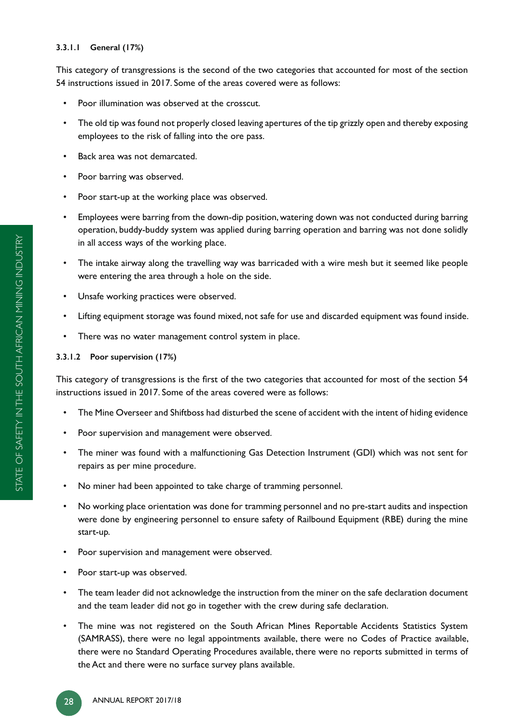# **3.3.1.1 General (17%)**

This category of transgressions is the second of the two categories that accounted for most of the section 54 instructions issued in 2017. Some of the areas covered were as follows:

- Poor illumination was observed at the crosscut.
- The old tip was found not properly closed leaving apertures of the tip grizzly open and thereby exposing employees to the risk of falling into the ore pass.
- Back area was not demarcated.
- Poor barring was observed.
- Poor start-up at the working place was observed.
- Employees were barring from the down-dip position, watering down was not conducted during barring operation, buddy-buddy system was applied during barring operation and barring was not done solidly in all access ways of the working place.
- The intake airway along the travelling way was barricaded with a wire mesh but it seemed like people were entering the area through a hole on the side.
- Unsafe working practices were observed.
- Lifting equipment storage was found mixed, not safe for use and discarded equipment was found inside.
- There was no water management control system in place.

# **3.3.1.2 Poor supervision (17%)**

This category of transgressions is the first of the two categories that accounted for most of the section 54 instructions issued in 2017. Some of the areas covered were as follows:

- The Mine Overseer and Shiftboss had disturbed the scene of accident with the intent of hiding evidence
- Poor supervision and management were observed.
- The miner was found with a malfunctioning Gas Detection Instrument (GDI) which was not sent for repairs as per mine procedure.
- No miner had been appointed to take charge of tramming personnel.
- No working place orientation was done for tramming personnel and no pre-start audits and inspection were done by engineering personnel to ensure safety of Railbound Equipment (RBE) during the mine start-up.
- Poor supervision and management were observed.
- Poor start-up was observed.
- The team leader did not acknowledge the instruction from the miner on the safe declaration document and the team leader did not go in together with the crew during safe declaration.
- The mine was not registered on the South African Mines Reportable Accidents Statistics System (SAMRASS), there were no legal appointments available, there were no Codes of Practice available, there were no Standard Operating Procedures available, there were no reports submitted in terms of the Act and there were no surface survey plans available.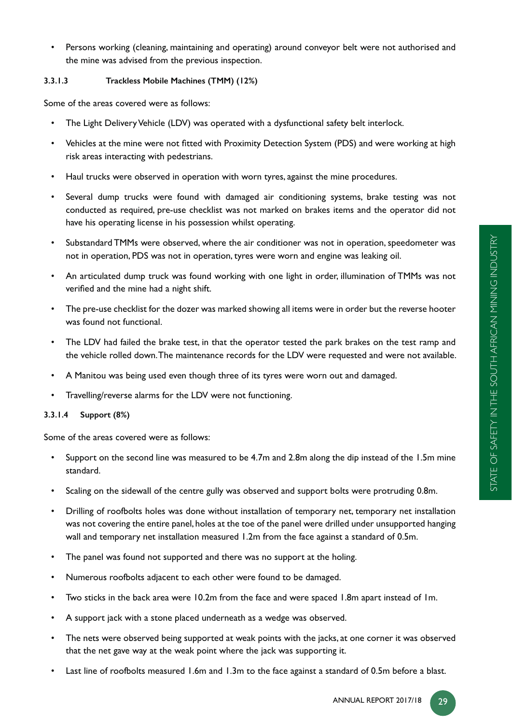• Persons working (cleaning, maintaining and operating) around conveyor belt were not authorised and the mine was advised from the previous inspection.

# **3.3.1.3 Trackless Mobile Machines (TMM) (12%)**

Some of the areas covered were as follows:

- The Light Delivery Vehicle (LDV) was operated with a dysfunctional safety belt interlock.
- Vehicles at the mine were not fitted with Proximity Detection System (PDS) and were working at high risk areas interacting with pedestrians.
- Haul trucks were observed in operation with worn tyres, against the mine procedures.
- Several dump trucks were found with damaged air conditioning systems, brake testing was not conducted as required, pre-use checklist was not marked on brakes items and the operator did not have his operating license in his possession whilst operating.
- Substandard TMMs were observed, where the air conditioner was not in operation, speedometer was not in operation, PDS was not in operation, tyres were worn and engine was leaking oil.
- An articulated dump truck was found working with one light in order, illumination of TMMs was not verified and the mine had a night shift.
- The pre-use checklist for the dozer was marked showing all items were in order but the reverse hooter was found not functional.
- The LDV had failed the brake test, in that the operator tested the park brakes on the test ramp and the vehicle rolled down. The maintenance records for the LDV were requested and were not available.
- A Manitou was being used even though three of its tyres were worn out and damaged.
- Travelling/reverse alarms for the LDV were not functioning.

# **3.3.1.4 Support (8%)**

Some of the areas covered were as follows:

- Support on the second line was measured to be 4.7m and 2.8m along the dip instead of the 1.5m mine standard.
- Scaling on the sidewall of the centre gully was observed and support bolts were protruding 0.8m.
- Drilling of roofbolts holes was done without installation of temporary net, temporary net installation was not covering the entire panel, holes at the toe of the panel were drilled under unsupported hanging wall and temporary net installation measured 1.2m from the face against a standard of 0.5m.
- The panel was found not supported and there was no support at the holing.
- Numerous roofbolts adjacent to each other were found to be damaged.
- Two sticks in the back area were 10.2m from the face and were spaced 1.8m apart instead of 1m.
- A support jack with a stone placed underneath as a wedge was observed.
- The nets were observed being supported at weak points with the jacks, at one corner it was observed that the net gave way at the weak point where the jack was supporting it.
- Last line of roofbolts measured 1.6m and 1.3m to the face against a standard of 0.5m before a blast.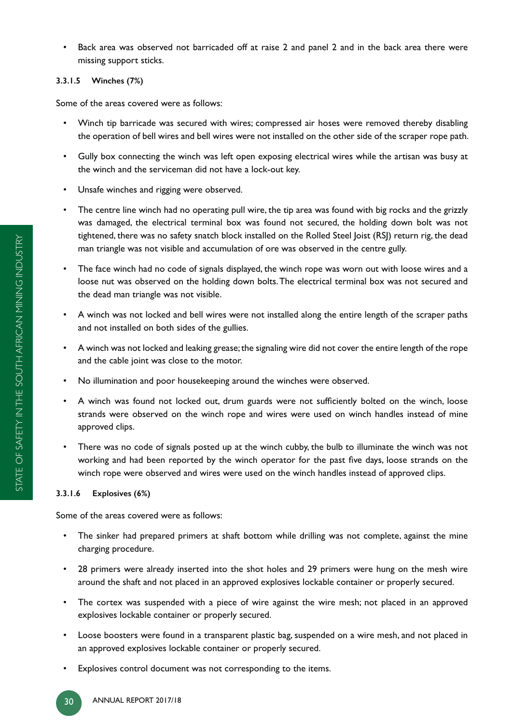• Back area was observed not barricaded off at raise 2 and panel 2 and in the back area there were missing support sticks.

# **3.3.1.5 Winches (7%)**

Some of the areas covered were as follows:

- Winch tip barricade was secured with wires; compressed air hoses were removed thereby disabling the operation of bell wires and bell wires were not installed on the other side of the scraper rope path.
- Gully box connecting the winch was left open exposing electrical wires while the artisan was busy at the winch and the serviceman did not have a lock-out key.
- Unsafe winches and rigging were observed.
- The centre line winch had no operating pull wire, the tip area was found with big rocks and the grizzly was damaged, the electrical terminal box was found not secured, the holding down bolt was not tightened, there was no safety snatch block installed on the Rolled Steel Joist (RSJ) return rig, the dead man triangle was not visible and accumulation of ore was observed in the centre gully.
- The face winch had no code of signals displayed, the winch rope was worn out with loose wires and a loose nut was observed on the holding down bolts. The electrical terminal box was not secured and the dead man triangle was not visible.
- A winch was not locked and bell wires were not installed along the entire length of the scraper paths and not installed on both sides of the gullies.
- A winch was not locked and leaking grease; the signaling wire did not cover the entire length of the rope and the cable joint was close to the motor.
- No illumination and poor housekeeping around the winches were observed.
- A winch was found not locked out, drum guards were not sufficiently bolted on the winch, loose strands were observed on the winch rope and wires were used on winch handles instead of mine approved clips.
- There was no code of signals posted up at the winch cubby, the bulb to illuminate the winch was not working and had been reported by the winch operator for the past five days, loose strands on the winch rope were observed and wires were used on the winch handles instead of approved clips.

# **3.3.1.6 Explosives (6%)**

Some of the areas covered were as follows:

- The sinker had prepared primers at shaft bottom while drilling was not complete, against the mine charging procedure.
- 28 primers were already inserted into the shot holes and 29 primers were hung on the mesh wire around the shaft and not placed in an approved explosives lockable container or properly secured.
- The cortex was suspended with a piece of wire against the wire mesh; not placed in an approved explosives lockable container or properly secured.
- Loose boosters were found in a transparent plastic bag, suspended on a wire mesh, and not placed in an approved explosives lockable container or properly secured.
- Explosives control document was not corresponding to the items.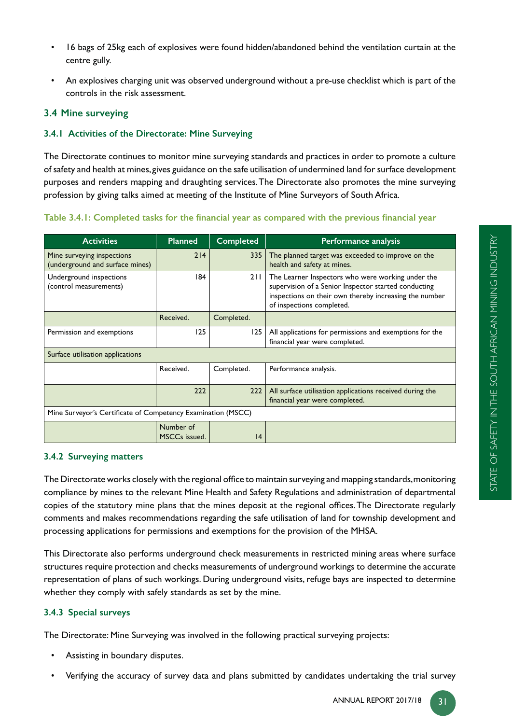- 16 bags of 25kg each of explosives were found hidden/abandoned behind the ventilation curtain at the centre gully.
- An explosives charging unit was observed underground without a pre-use checklist which is part of the controls in the risk assessment.

# **3.4 Mine surveying**

#### **3.4.1 Activities of the Directorate: Mine Surveying**

The Directorate continues to monitor mine surveying standards and practices in order to promote a culture of safety and health at mines, gives guidance on the safe utilisation of undermined land for surface development purposes and renders mapping and draughting services. The Directorate also promotes the mine surveying profession by giving talks aimed at meeting of the Institute of Mine Surveyors of South Africa.

**Activities Planned Completed Performance analysis** Mine surveying inspections (underground and surface mines) 214  $\vert$  335 The planned target was exceeded to improve on the health and safety at mines. Underground inspections (control measurements) 184 211 The Learner Inspectors who were working under the supervision of a Senior Inspector started conducting inspections on their own thereby increasing the number of inspections completed. Received. Completed. Permission and exemptions  $\vert$  125 | All applications for permissions and exemptions for the financial year were completed. Surface utilisation applications Received. | Completed. | Performance analysis.  $222$  222 All surface utilisation applications received during the financial year were completed. Mine Surveyor's Certificate of Competency Examination (MSCC) Number of MSCCs issued. 14

# Table 3.4.1: Completed tasks for the financial year as compared with the previous financial year

#### **3.4.2 Surveying matters**

The Directorate works closely with the regional office to maintain surveying and mapping standards, monitoring compliance by mines to the relevant Mine Health and Safety Regulations and administration of departmental copies of the statutory mine plans that the mines deposit at the regional offices. The Directorate regularly comments and makes recommendations regarding the safe utilisation of land for township development and processing applications for permissions and exemptions for the provision of the MHSA.

This Directorate also performs underground check measurements in restricted mining areas where surface structures require protection and checks measurements of underground workings to determine the accurate representation of plans of such workings. During underground visits, refuge bays are inspected to determine whether they comply with safely standards as set by the mine.

#### **3.4.3 Special surveys**

The Directorate: Mine Surveying was involved in the following practical surveying projects:

- Assisting in boundary disputes.
- Verifying the accuracy of survey data and plans submitted by candidates undertaking the trial survey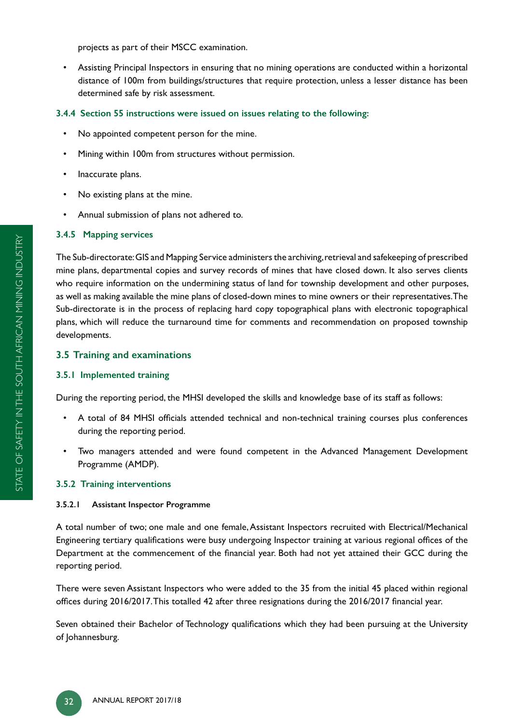projects as part of their MSCC examination.

• Assisting Principal Inspectors in ensuring that no mining operations are conducted within a horizontal distance of 100m from buildings/structures that require protection, unless a lesser distance has been determined safe by risk assessment.

# **3.4.4 Section 55 instructions were issued on issues relating to the following:**

- No appointed competent person for the mine.
- Mining within 100m from structures without permission.
- Inaccurate plans.
- No existing plans at the mine.
- Annual submission of plans not adhered to.

# **3.4.5 Mapping services**

The Sub-directorate: GIS and Mapping Service administers the archiving, retrieval and safekeeping of prescribed mine plans, departmental copies and survey records of mines that have closed down. It also serves clients who require information on the undermining status of land for township development and other purposes, as well as making available the mine plans of closed-down mines to mine owners or their representatives. The Sub-directorate is in the process of replacing hard copy topographical plans with electronic topographical plans, which will reduce the turnaround time for comments and recommendation on proposed township developments.

# **3.5 Training and examinations**

# **3.5.1 Implemented training**

During the reporting period, the MHSI developed the skills and knowledge base of its staff as follows:

- A total of 84 MHSI officials attended technical and non-technical training courses plus conferences during the reporting period.
- Two managers attended and were found competent in the Advanced Management Development Programme (AMDP).

# **3.5.2 Training interventions**

# **3.5.2.1 Assistant Inspector Programme**

A total number of two; one male and one female, Assistant Inspectors recruited with Electrical/Mechanical Engineering tertiary qualifications were busy undergoing Inspector training at various regional offices of the Department at the commencement of the financial year. Both had not yet attained their GCC during the reporting period.

There were seven Assistant Inspectors who were added to the 35 from the initial 45 placed within regional offices during 2016/2017. This totalled 42 after three resignations during the 2016/2017 financial year.

Seven obtained their Bachelor of Technology qualifications which they had been pursuing at the University of Johannesburg.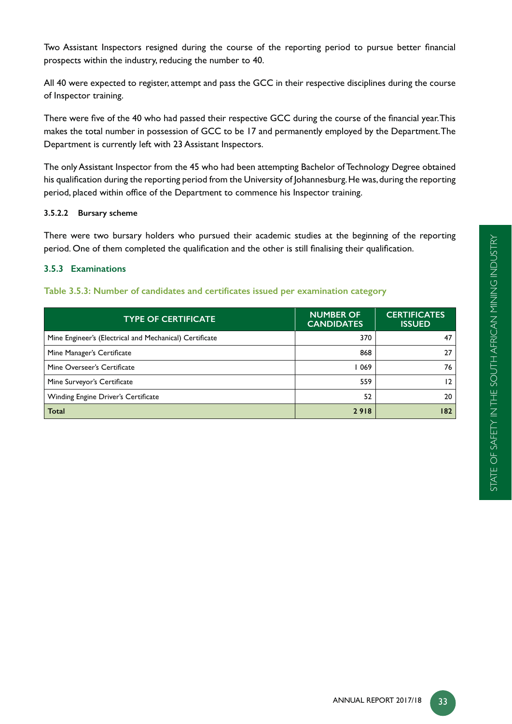Two Assistant Inspectors resigned during the course of the reporting period to pursue better financial prospects within the industry, reducing the number to 40.

All 40 were expected to register, attempt and pass the GCC in their respective disciplines during the course of Inspector training.

There were five of the 40 who had passed their respective GCC during the course of the financial year. This makes the total number in possession of GCC to be 17 and permanently employed by the Department. The Department is currently left with 23 Assistant Inspectors.

The only Assistant Inspector from the 45 who had been attempting Bachelor of Technology Degree obtained his qualification during the reporting period from the University of Johannesburg. He was, during the reporting period, placed within office of the Department to commence his Inspector training.

# **3.5.2.2 Bursary scheme**

There were two bursary holders who pursued their academic studies at the beginning of the reporting period. One of them completed the qualification and the other is still finalising their qualification.

# **3.5.3 Examinations**

#### Table 3.5.3: Number of candidates and certificates issued per examination category

| <b>TYPE OF CERTIFICATE</b>                              | <b>NUMBER OF</b><br><b>CANDIDATES</b> | <b>CERTIFICATES</b><br><b>ISSUED</b> |
|---------------------------------------------------------|---------------------------------------|--------------------------------------|
| Mine Engineer's (Electrical and Mechanical) Certificate | 370                                   | 47                                   |
| Mine Manager's Certificate                              | 868                                   | 27                                   |
| Mine Overseer's Certificate                             | 069                                   | 76                                   |
| Mine Surveyor's Certificate                             | 559                                   | 12                                   |
| Winding Engine Driver's Certificate                     | 52                                    | 20                                   |
| <b>Total</b>                                            | 2918                                  | 182                                  |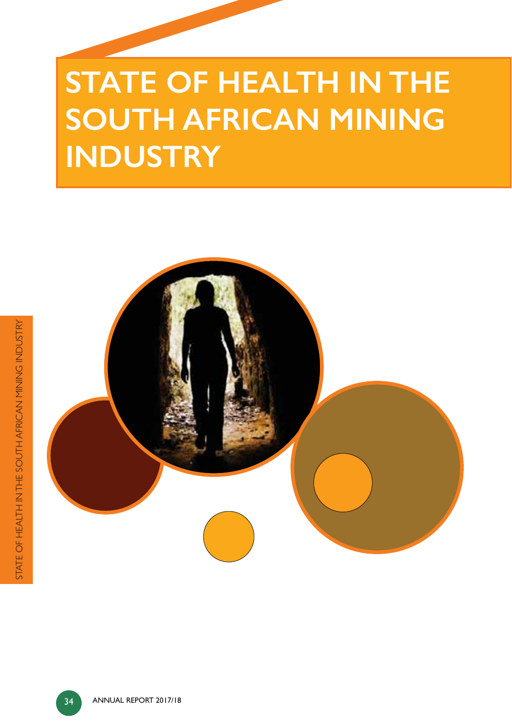# **STATE OF HEALTH IN THE SOUTH AFRICAN MINING INDUSTRY**

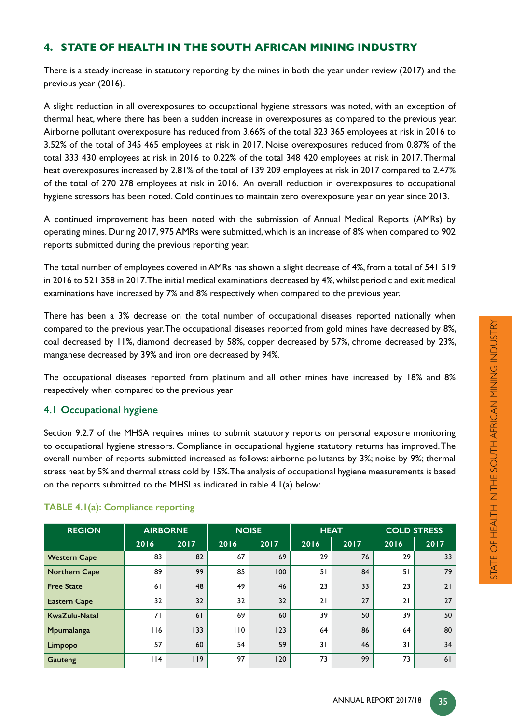# **4. STATE OF HEALTH IN THE SOUTH AFRICAN MINING INDUSTRY**

There is a steady increase in statutory reporting by the mines in both the year under review (2017) and the previous year (2016).

A slight reduction in all overexposures to occupational hygiene stressors was noted, with an exception of thermal heat, where there has been a sudden increase in overexposures as compared to the previous year. Airborne pollutant overexposure has reduced from 3.66% of the total 323 365 employees at risk in 2016 to 3.52% of the total of 345 465 employees at risk in 2017. Noise overexposures reduced from 0.87% of the total 333 430 employees at risk in 2016 to 0.22% of the total 348 420 employees at risk in 2017. Thermal heat overexposures increased by 2.81% of the total of 139 209 employees at risk in 2017 compared to 2.47% of the total of 270 278 employees at risk in 2016. An overall reduction in overexposures to occupational hygiene stressors has been noted. Cold continues to maintain zero overexposure year on year since 2013.

A continued improvement has been noted with the submission of Annual Medical Reports (AMRs) by operating mines. During 2017, 975 AMRs were submitted, which is an increase of 8% when compared to 902 reports submitted during the previous reporting year.

The total number of employees covered in AMRs has shown a slight decrease of 4%, from a total of 541 519 in 2016 to 521 358 in 2017. The initial medical examinations decreased by 4%, whilst periodic and exit medical examinations have increased by 7% and 8% respectively when compared to the previous year.

There has been a 3% decrease on the total number of occupational diseases reported nationally when compared to the previous year. The occupational diseases reported from gold mines have decreased by 8%, coal decreased by 11%, diamond decreased by 58%, copper decreased by 57%, chrome decreased by 23%, manganese decreased by 39% and iron ore decreased by 94%.

The occupational diseases reported from platinum and all other mines have increased by 18% and 8% respectively when compared to the previous year

# **4.1 Occupational hygiene**

Section 9.2.7 of the MHSA requires mines to submit statutory reports on personal exposure monitoring to occupational hygiene stressors. Compliance in occupational hygiene statutory returns has improved. The overall number of reports submitted increased as follows: airborne pollutants by 3%; noise by 9%; thermal stress heat by 5% and thermal stress cold by 15%. The analysis of occupational hygiene measurements is based on the reports submitted to the MHSI as indicated in table 4.1(a) below:

| <b>REGION</b>        |      | <b>AIRBORNE</b> |      | <b>NOISE</b> | <b>HEAT</b> |      |      | <b>COLD STRESS</b> |
|----------------------|------|-----------------|------|--------------|-------------|------|------|--------------------|
|                      | 2016 | 2017            | 2016 | 2017         | 2016        | 2017 | 2016 | 2017               |
| <b>Western Cape</b>  | 83   | 82              | 67   | 69           | 29          | 76   | 29   | 33                 |
| <b>Northern Cape</b> | 89   | 99              | 85   | 100          | 51          | 84   | 51   | 79                 |
| <b>Free State</b>    | 61   | 48              | 49   | 46           | 23          | 33   | 23   | 21                 |
| <b>Eastern Cape</b>  | 32   | 32              | 32   | 32           | 21          | 27   | 21   | 27                 |
| KwaZulu-Natal        | 71   | 61              | 69   | 60           | 39          | 50   | 39   | 50                 |
| Mpumalanga           | l 16 | 133             | 110  | 123          | 64          | 86   | 64   | 80                 |
| Limpopo              | 57   | 60              | 54   | 59           | 31          | 46   | 31   | 34                 |
| Gauteng              | l 14 | 119             | 97   | 120          | 73          | 99   | 73   | 61                 |

# **TABLE 4.1(a): Compliance reporting**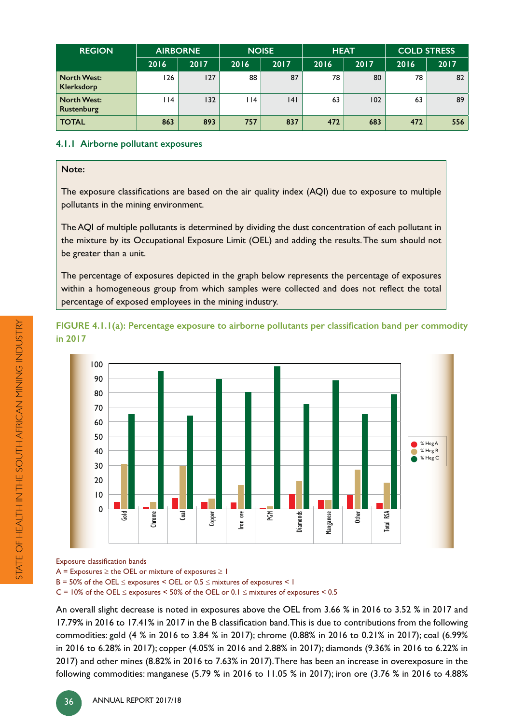| <b>REGION</b>                           |      | <b>AIRBORNE</b> |                 | <b>NOISE</b> | <b>HEAT</b> |      | <b>COLD STRESS</b> |      |  |
|-----------------------------------------|------|-----------------|-----------------|--------------|-------------|------|--------------------|------|--|
|                                         | 2016 | 2017            | 2016            | 2017         | 2016        | 2017 | 2016               | 2017 |  |
| <b>North West:</b><br>Klerksdorp        | 126  | 127             | 88              | 87           | 78          | 80   | 78                 | 82   |  |
| <b>North West:</b><br><b>Rustenburg</b> | l 14 | 132             | $\overline{14}$ | 4            | 63          | 102  | 63                 | 89   |  |
| <b>TOTAL</b>                            | 863  | 893             | 757             | 837          | 472         | 683  | 472                | 556  |  |

#### **4.1.1 Airborne pollutant exposures**

#### **Note:**

The exposure classifications are based on the air quality index (AQI) due to exposure to multiple pollutants in the mining environment.

The AQI of multiple pollutants is determined by dividing the dust concentration of each pollutant in the mixture by its Occupational Exposure Limit (OEL) and adding the results. The sum should not be greater than a unit.

The percentage of exposures depicted in the graph below represents the percentage of exposures within a homogeneous group from which samples were collected and does not reflect the total percentage of exposed employees in the mining industry.

FIGURE 4.1.1(a): Percentage exposure to airborne pollutants per classification band per commodity **in 2017** 



Exposure classification bands

 $A =$  Exposures  $\ge$  the OEL or mixture of exposures  $\ge 1$ 

 $B = 50\%$  of the OEL  $\leq$  exposures  $\leq$  OEL or 0.5  $\leq$  mixtures of exposures  $\leq$  1

C = 10% of the OEL  $\leq$  exposures < 50% of the OEL or 0.1  $\leq$  mixtures of exposures < 0.5

An overall slight decrease is noted in exposures above the OEL from 3.66 % in 2016 to 3.52 % in 2017 and 17.79% in 2016 to 17.41% in 2017 in the B classification band. This is due to contributions from the following commodities: gold (4 % in 2016 to 3.84 % in 2017); chrome (0.88% in 2016 to 0.21% in 2017); coal (6.99% in 2016 to 6.28% in 2017); copper (4.05% in 2016 and 2.88% in 2017); diamonds (9.36% in 2016 to 6.22% in 2017) and other mines (8.82% in 2016 to 7.63% in 2017). There has been an increase in overexposure in the following commodities: manganese (5.79 % in 2016 to 11.05 % in 2017); iron ore (3.76 % in 2016 to 4.88%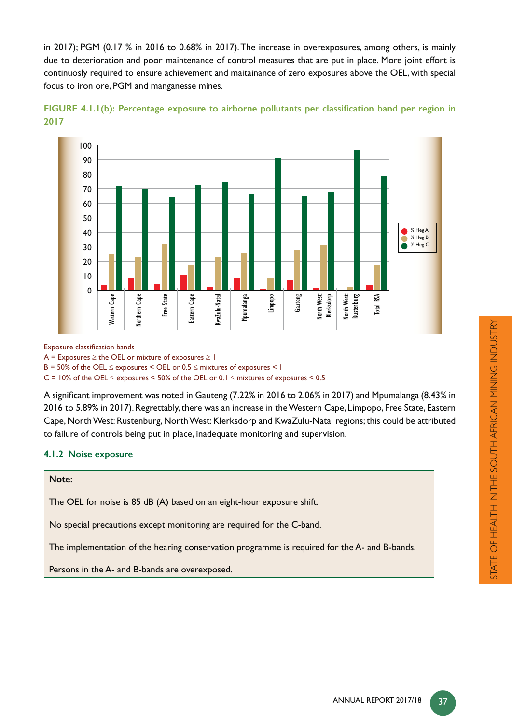in 2017); PGM (0.17 % in 2016 to 0.68% in 2017). The increase in overexposures, among others, is mainly due to deterioration and poor maintenance of control measures that are put in place. More joint effort is continuosly required to ensure achievement and maitainance of zero exposures above the OEL, with special focus to iron ore, PGM and manganesse mines.





Exposure classification bands

 $A =$  Exposures  $\ge$  the OEL or mixture of exposures  $\ge$  1

 $B = 50\%$  of the OEL  $\leq$  exposures  $\leq$  OEL or 0.5  $\leq$  mixtures of exposures  $\leq$  1

C = 10% of the OEL  $\leq$  exposures < 50% of the OEL or 0.1  $\leq$  mixtures of exposures < 0.5

A significant improvement was noted in Gauteng (7.22% in 2016 to 2.06% in 2017) and Mpumalanga (8.43% in 2016 to 5.89% in 2017). Regrettably, there was an increase in the Western Cape, Limpopo, Free State, Eastern Cape, North West: Rustenburg, North West: Klerksdorp and KwaZulu-Natal regions; this could be attributed to failure of controls being put in place, inadequate monitoring and supervision.

#### **4.1.2 Noise exposure**

# **Note:**

The OEL for noise is 85 dB (A) based on an eight-hour exposure shift.

No special precautions except monitoring are required for the C-band.

The implementation of the hearing conservation programme is required for the A- and B-bands.

Persons in the A- and B-bands are overexposed.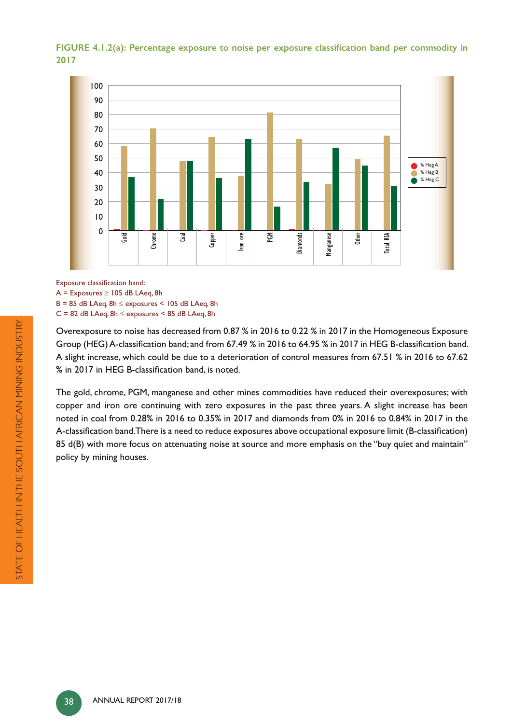FIGURE 4.1.2(a): Percentage exposure to noise per exposure classification band per commodity in **2017**



Exposure classification band:

 $A =$  Exposures  $\ge$  105 dB LAeq, 8h

 $B = 85$  dB LAeq,  $8h \le$  exposures  $\le$  105 dB LAeq,  $8h$  $C = 82$  dB LAeq,  $8h \le$  exposures  $\le$  85 dB LAeq,  $8h$ 

Overexposure to noise has decreased from 0.87 % in 2016 to 0.22 % in 2017 in the Homogeneous Exposure Group (HEG) A-classification band; and from 67.49 % in 2016 to 64.95 % in 2017 in HEG B-classification band. A slight increase, which could be due to a deterioration of control measures from 67.51 % in 2016 to 67.62  $\%$  in 2017 in HEG B-classification band, is noted.

The gold, chrome, PGM, manganese and other mines commodities have reduced their overexposures; with copper and iron ore continuing with zero exposures in the past three years. A slight increase has been noted in coal from 0.28% in 2016 to 0.35% in 2017 and diamonds from 0% in 2016 to 0.84% in 2017 in the A-classification band.There is a need to reduce exposures above occupational exposure limit (B-classification) 85 d(B) with more focus on attenuating noise at source and more emphasis on the "buy quiet and maintain" policy by mining houses.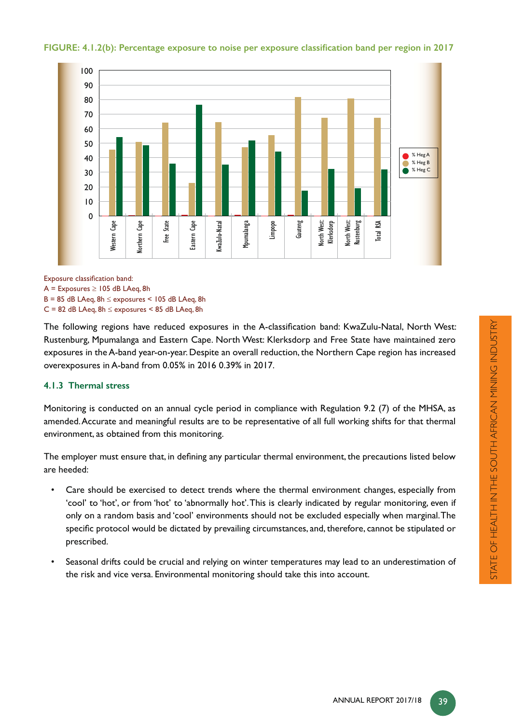

# FIGURE: 4.1.2(b): Percentage exposure to noise per exposure classification band per region in 2017

Exposure classification band:

 $A =$  Exposures  $\ge$  105 dB LAeq, 8h

 $B = 85$  dB LAeq,  $8h \le$  exposures  $\le$  105 dB LAeq,  $8h$ 

 $C = 82$  dB LAeq,  $8h \le$  exposures  $\le$  85 dB LAeq,  $8h$ 

The following regions have reduced exposures in the A-classification band: KwaZulu-Natal, North West: Rustenburg, Mpumalanga and Eastern Cape. North West: Klerksdorp and Free State have maintained zero exposures in the A-band year-on-year. Despite an overall reduction, the Northern Cape region has increased overexposures in A-band from 0.05% in 2016 0.39% in 2017.

#### **4.1.3 Thermal stress**

Monitoring is conducted on an annual cycle period in compliance with Regulation 9.2 (7) of the MHSA, as amended. Accurate and meaningful results are to be representative of all full working shifts for that thermal environment, as obtained from this monitoring.

The employer must ensure that, in defining any particular thermal environment, the precautions listed below are heeded:

- Care should be exercised to detect trends where the thermal environment changes, especially from 'cool' to 'hot', or from 'hot' to 'abnormally hot'. This is clearly indicated by regular monitoring, even if only on a random basis and 'cool' environments should not be excluded especially when marginal. The specific protocol would be dictated by prevailing circumstances, and, therefore, cannot be stipulated or prescribed.
- Seasonal drifts could be crucial and relying on winter temperatures may lead to an underestimation of the risk and vice versa. Environmental monitoring should take this into account.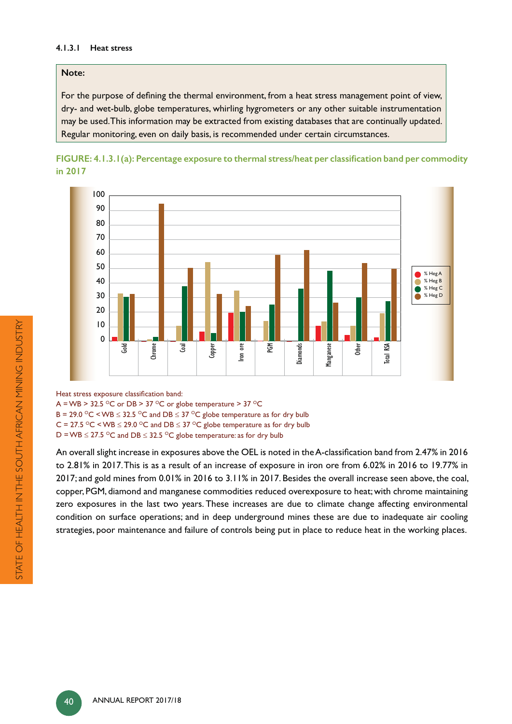#### **4.1.3.1 Heat stress**

#### **Note:**

For the purpose of defining the thermal environment, from a heat stress management point of view, dry- and wet-bulb, globe temperatures, whirling hygrometers or any other suitable instrumentation may be used. This information may be extracted from existing databases that are continually updated. Regular monitoring, even on daily basis, is recommended under certain circumstances.





Heat stress exposure classification band:

A = WB > 32.5 °C or DB > 37 °C or globe temperature > 37 °C

B = 29.0  $\degree$ C < WB  $\leq$  32.5  $\degree$ C and DB  $\leq$  37  $\degree$ C globe temperature as for dry bulb

C = 27.5  $\textdegree$ C < WB  $\leq$  29.0  $\textdegree$ C and DB  $\leq$  37  $\textdegree$ C globe temperature as for dry bulb

D = WB  $\leq$  27.5 °C and DB  $\leq$  32.5 °C globe temperature: as for dry bulb

An overall slight increase in exposures above the OEL is noted in the A-classification band from 2.47% in 2016 to 2.81% in 2017. This is as a result of an increase of exposure in iron ore from 6.02% in 2016 to 19.77% in 2017; and gold mines from 0.01% in 2016 to 3.11% in 2017. Besides the overall increase seen above, the coal, copper, PGM, diamond and manganese commodities reduced overexposure to heat; with chrome maintaining zero exposures in the last two years. These increases are due to climate change affecting environmental condition on surface operations; and in deep underground mines these are due to inadequate air cooling strategies, poor maintenance and failure of controls being put in place to reduce heat in the working places.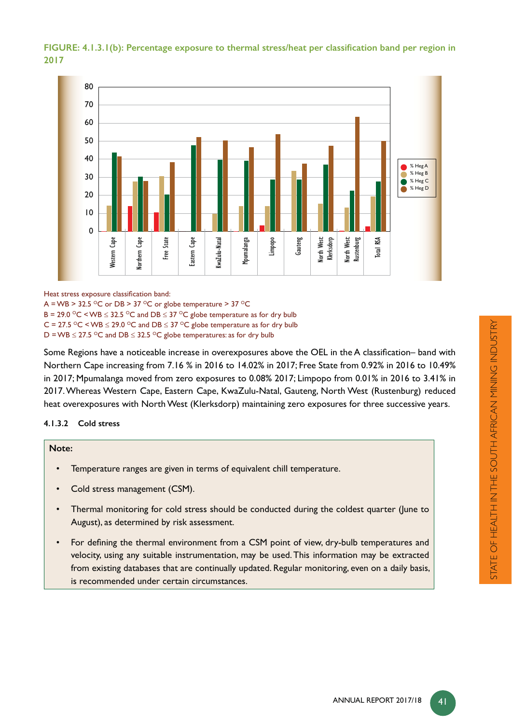# FIGURE: 4.1.3.1(b): Percentage exposure to thermal stress/heat per classification band per region in **2017**



Heat stress exposure classification band:

A = WB > 32.5  $\degree$ C or DB > 37  $\degree$ C or globe temperature > 37  $\degree$ C

B = 29.0  $\degree$ C < WB  $\leq$  32.5  $\degree$ C and DB  $\leq$  37  $\degree$ C globe temperature as for dry bulb

C = 27.5  $\textdegree$ C < WB  $\leq$  29.0  $\textdegree$ C and DB  $\leq$  37  $\textdegree$ C globe temperature as for dry bulb

D = WB  $\leq$  27.5 °C and DB  $\leq$  32.5 °C globe temperatures: as for dry bulb

Some Regions have a noticeable increase in overexposures above the OEL in the A classification– band with Northern Cape increasing from 7.16 % in 2016 to 14.02% in 2017; Free State from 0.92% in 2016 to 10.49% in 2017; Mpumalanga moved from zero exposures to 0.08% 2017; Limpopo from 0.01% in 2016 to 3.41% in 2017. Whereas Western Cape, Eastern Cape, KwaZulu-Natal, Gauteng, North West (Rustenburg) reduced heat overexposures with North West (Klerksdorp) maintaining zero exposures for three successive years.

#### **4.1.3.2 Cold stress**

# **Note:**

- Temperature ranges are given in terms of equivalent chill temperature.
- Cold stress management (CSM).
- Thermal monitoring for cold stress should be conducted during the coldest quarter (June to August), as determined by risk assessment.
- For defining the thermal environment from a CSM point of view, dry-bulb temperatures and velocity, using any suitable instrumentation, may be used. This information may be extracted from existing databases that are continually updated. Regular monitoring, even on a daily basis, is recommended under certain circumstances.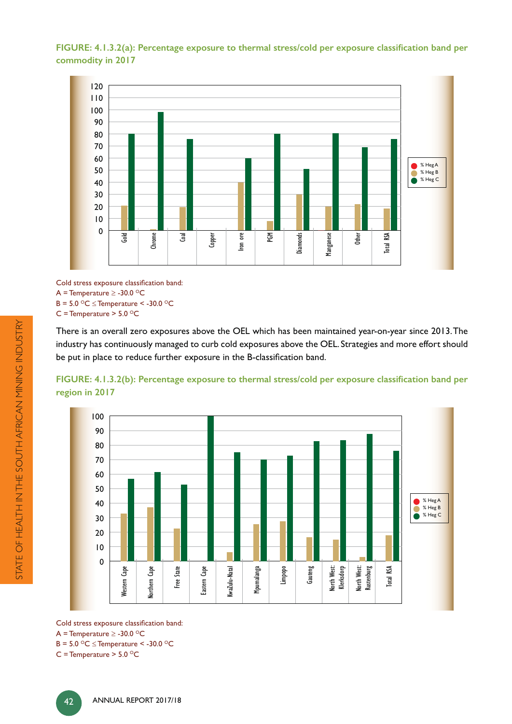FIGURE: 4.1.3.2(a): Percentage exposure to thermal stress/cold per exposure classification band per **commodity in 2017**



Cold stress exposure classification band:  $A =$  Temperature  $\geq$  -30.0 <sup>o</sup>C  $B = 5.0$  °C  $\leq$  Temperature < -30.0 °C C = Temperature >  $5.0 °C$ 

There is an overall zero exposures above the OEL which has been maintained year-on-year since 2013. The industry has continuously managed to curb cold exposures above the OEL. Strategies and more effort should be put in place to reduce further exposure in the B-classification band.

FIGURE: 4.1.3.2(b): Percentage exposure to thermal stress/cold per exposure classification band per **region in 2017**



Cold stress exposure classification band:  $A =$  Temperature  $\geq$  -30.0 <sup>o</sup>C  $B = 5.0 °C \leq$  Temperature < -30.0 °C

C = Temperature >  $5.0 °C$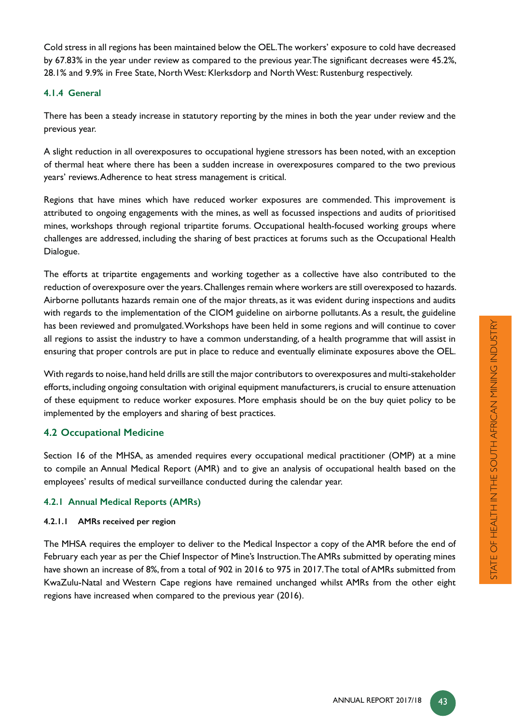Cold stress in all regions has been maintained below the OEL. The workers' exposure to cold have decreased by 67.83% in the year under review as compared to the previous year. The significant decreases were 45.2%, 28.1% and 9.9% in Free State, North West: Klerksdorp and North West: Rustenburg respectively.

#### **4.1.4 General**

There has been a steady increase in statutory reporting by the mines in both the year under review and the previous year.

A slight reduction in all overexposures to occupational hygiene stressors has been noted, with an exception of thermal heat where there has been a sudden increase in overexposures compared to the two previous years' reviews. Adherence to heat stress management is critical.

Regions that have mines which have reduced worker exposures are commended. This improvement is attributed to ongoing engagements with the mines, as well as focussed inspections and audits of prioritised mines, workshops through regional tripartite forums. Occupational health-focused working groups where challenges are addressed, including the sharing of best practices at forums such as the Occupational Health Dialogue.

The efforts at tripartite engagements and working together as a collective have also contributed to the reduction of overexposure over the years. Challenges remain where workers are still overexposed to hazards. Airborne pollutants hazards remain one of the major threats, as it was evident during inspections and audits with regards to the implementation of the CIOM guideline on airborne pollutants. As a result, the guideline has been reviewed and promulgated. Workshops have been held in some regions and will continue to cover all regions to assist the industry to have a common understanding, of a health programme that will assist in ensuring that proper controls are put in place to reduce and eventually eliminate exposures above the OEL.

With regards to noise, hand held drills are still the major contributors to overexposures and multi-stakeholder efforts, including ongoing consultation with original equipment manufacturers, is crucial to ensure attenuation of these equipment to reduce worker exposures. More emphasis should be on the buy quiet policy to be implemented by the employers and sharing of best practices.

# **4.2 Occupational Medicine**

Section 16 of the MHSA, as amended requires every occupational medical practitioner (OMP) at a mine to compile an Annual Medical Report (AMR) and to give an analysis of occupational health based on the employees' results of medical surveillance conducted during the calendar year.

#### **4.2.1 Annual Medical Reports (AMRs)**

#### **4.2.1.1 AMRs received per region**

The MHSA requires the employer to deliver to the Medical Inspector a copy of the AMR before the end of February each year as per the Chief Inspector of Mine's Instruction. The AMRs submitted by operating mines have shown an increase of 8%, from a total of 902 in 2016 to 975 in 2017. The total of AMRs submitted from KwaZulu-Natal and Western Cape regions have remained unchanged whilst AMRs from the other eight regions have increased when compared to the previous year (2016).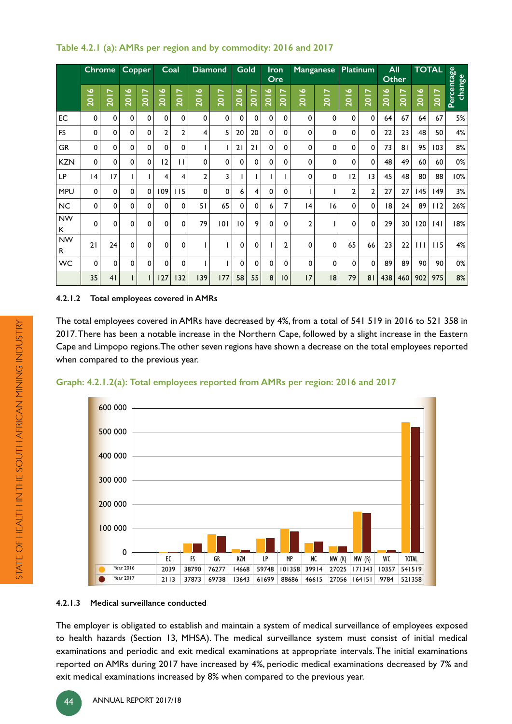|                 |             | <b>Chrome</b>    | Copper   |          | Coal     |                | <b>Diamond</b> |             | Gold        |             | <b>Iron</b> | Ore            |              | Manganese | Platinum       |                  |      | All<br><b>Other</b> |              | <b>TOTAL</b>      |                      |
|-----------------|-------------|------------------|----------|----------|----------|----------------|----------------|-------------|-------------|-------------|-------------|----------------|--------------|-----------|----------------|------------------|------|---------------------|--------------|-------------------|----------------------|
|                 | 2016        | $\overline{201}$ | 2016     | 2017     | 2016     | <b>2017</b>    | 2016           | <b>Z017</b> | 2016        | 2017        | 2016        | <b>Z017</b>    | 2016         | 2017      | 2016           | $\overline{201}$ | 2016 | 2017                | 2016         | $\overline{2017}$ | Percentage<br>change |
| EC              | $\mathbf 0$ | $\mathbf 0$      | 0        | 0        | 0        | 0              | 0              | 0           | $\mathbf 0$ | $\mathbf 0$ | $\mathbf 0$ | $\mathbf 0$    | 0            | 0         | $\mathbf 0$    | 0                | 64   | 67                  | 64           | 67                | 5%                   |
| <b>FS</b>       | $\mathbf 0$ | 0                | 0        | $\Omega$ | 2        | $\overline{2}$ | 4              | 5           | 20          | 20          | 0           | 0              | 0            | 0         | 0              | $\Omega$         | 22   | 23                  | 48           | 50                | 4%                   |
| <b>GR</b>       | $\mathbf 0$ | $\Omega$         | $\Omega$ | $\Omega$ | 0        | 0              |                |             | 21          | 21          | $\mathbf 0$ | $\mathbf 0$    | 0            | 0         | 0              | $\mathbf 0$      | 73   | 81                  | 95           | 103               | 8%                   |
| <b>KZN</b>      | $\Omega$    | $\Omega$         | $\Omega$ | $\Omega$ | 12       | $\mathbf{H}$   | $\Omega$       | 0           | $\Omega$    | $\Omega$    | $\Omega$    | $\Omega$       | 0            | 0         | 0              | $\Omega$         | 48   | 49                  | 60           | 60                | 0%                   |
| LP              | 4           | 17               |          |          | 4        | 4              | $\overline{2}$ | 3           |             |             |             |                | 0            | 0         | 12             | 13               | 45   | 48                  | 80           | 88                | 10%                  |
| <b>MPU</b>      | 0           | $\Omega$         | $\Omega$ | 0        | 109      | 115            | $\mathbf 0$    | 0           | 6           | 4           | 0           | 0              |              |           | $\overline{2}$ | $\overline{2}$   | 27   | 27                  | 145          | $ 49\rangle$      | 3%                   |
| <b>NC</b>       | 0           | 0                | 0        | 0        | 0        | 0              | 51             | 65          | 0           | 0           | 6           | 7              | 4            | 16        | 0              | 0                | 18   | 24                  | 89           | 112               | 26%                  |
| <b>NW</b><br>K  | 0           | $\mathbf 0$      | 0        | 0        | 0        | 0              | 79             | 101         | 10          | 9           | 0           | 0              | $\mathbf{2}$ |           | 0              | 0                | 29   | 30                  | 120          | 4                 | 18%                  |
| <b>NW</b><br>R. | 21          | 24               | 0        | 0        | $\Omega$ | $\Omega$       |                |             | 0           | 0           |             | $\overline{2}$ | 0            | 0         | 65             | 66               | 23   | 22                  | $\mathbf{H}$ | 115               | 4%                   |
| WC              | $\Omega$    | $\Omega$         | $\Omega$ | 0        | $\Omega$ | $\Omega$       |                |             | $\Omega$    | 0           | 0           | $\mathbf 0$    | 0            | 0         | 0              | $\Omega$         | 89   | 89                  | 90           | 90                | 0%                   |
|                 | 35          | 41               |          |          | 127      | 132            | 139            | 177         | 58          | 55          | 8           | 10             | 17           | 8         | 79             | 81               | 438  | 460                 | 902          | 975               | 8%                   |

# **Table 4.2.1 (a): AMRs per region and by commodity: 2016 and 2017**

#### **4.2.1.2 Total employees covered in AMRs**

The total employees covered in AMRs have decreased by 4%, from a total of 541 519 in 2016 to 521 358 in 2017. There has been a notable increase in the Northern Cape, followed by a slight increase in the Eastern Cape and Limpopo regions. The other seven regions have shown a decrease on the total employees reported when compared to the previous year.





#### **4.2.1.3 Medical surveillance conducted**

The employer is obligated to establish and maintain a system of medical surveillance of employees exposed to health hazards (Section 13, MHSA). The medical surveillance system must consist of initial medical examinations and periodic and exit medical examinations at appropriate intervals. The initial examinations reported on AMRs during 2017 have increased by 4%, periodic medical examinations decreased by 7% and exit medical examinations increased by 8% when compared to the previous year.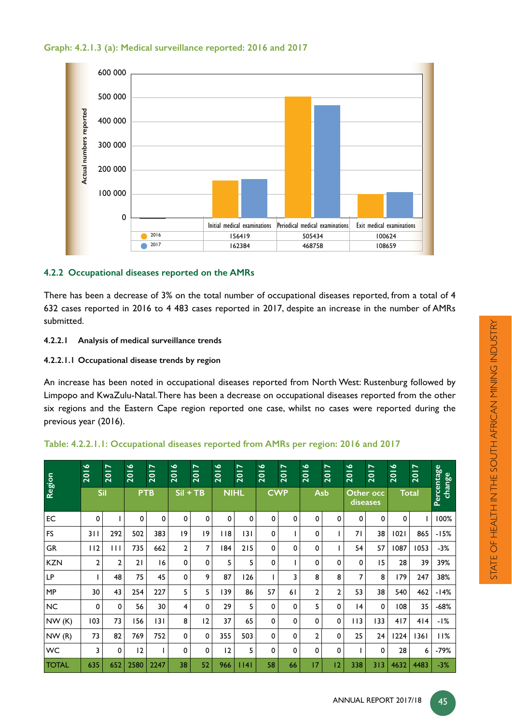



# **4.2.2 Occupational diseases reported on the AMRs**

There has been a decrease of 3% on the total number of occupational diseases reported, from a total of 4 632 cases reported in 2016 to 4 483 cases reported in 2017, despite an increase in the number of AMRs submitted.

- **4.2.2.1 Analysis of medical surveillance trends**
- **4.2.2.1.1 Occupational disease trends by region**

An increase has been noted in occupational diseases reported from North West: Rustenburg followed by Limpopo and KwaZulu-Natal. There has been a decrease on occupational diseases reported from the other six regions and the Eastern Cape region reported one case, whilst no cases were reported during the previous year (2016).

| Table: 4.2.2.1.1: Occupational diseases reported from AMRs per region: 2016 and 2017 |  |  |
|--------------------------------------------------------------------------------------|--|--|
|                                                                                      |  |  |

| Region       | 2016           | $\overline{\phantom{0}}$<br>201 | $\bullet$<br>$\frac{1}{2}$ | 2017 | $\bullet$<br>$\overline{201}$ | 2017 | 2016        | $\overline{\phantom{a}}$<br>201 | 2016 | $\overline{\phantom{0}}$<br>$\frac{1}{2}$ | 2016           | $\overline{\phantom{0}}$<br>$\frac{1}{2}$ | $\bullet$<br>$\frac{1}{2}$ | $\overline{\phantom{0}}$<br>$\frac{1}{2}$ | $\bullet$<br>$\frac{1}{2}$ | $\overline{\phantom{0}}$<br>201 | Percentage<br>change |
|--------------|----------------|---------------------------------|----------------------------|------|-------------------------------|------|-------------|---------------------------------|------|-------------------------------------------|----------------|-------------------------------------------|----------------------------|-------------------------------------------|----------------------------|---------------------------------|----------------------|
|              |                | <b>Sil</b>                      | <b>PTB</b>                 |      | $SiI + TB$                    |      | <b>NIHL</b> |                                 |      | <b>CWP</b>                                |                | Asb                                       |                            | Other occ<br>diseases                     | <b>Total</b>               |                                 |                      |
| EC           | $\mathbf 0$    |                                 | 0                          | 0    | 0                             | 0    | 0           | 0                               | 0    | 0                                         | 0              | 0                                         | 0                          | 0                                         | 0                          |                                 | 100%                 |
| <b>FS</b>    | 311            | 292                             | 502                        | 383  | 9                             | 19   | $ $ $ $ 8   | 3                               | 0    |                                           | 0              |                                           | 71                         | 38                                        | 1021                       | 865                             | $-15%$               |
| GR           | 112            | $\mathbf{H}$                    | 735                        | 662  | $\overline{2}$                | 7    | 184         | 215                             | 0    | 0                                         | 0              |                                           | 54                         | 57                                        | 1087                       | 1053                            | $-3%$                |
| <b>KZN</b>   | $\overline{2}$ | $\overline{2}$                  | 21                         | 16   | 0                             | 0    | 5           | 5                               | 0    |                                           | $\Omega$       | $\Omega$                                  | 0                          | 15                                        | 28                         | 39                              | 39%                  |
| LP           |                | 48                              | 75                         | 45   | 0                             | 9    | 87          | 126                             |      | 3                                         | 8              | 8                                         | 7                          | 8                                         | 179                        | 247                             | 38%                  |
| <b>MP</b>    | 30             | 43                              | 254                        | 227  | 5                             | 5    | 139         | 86                              | 57   | 61                                        | $\overline{2}$ | $\overline{2}$                            | 53                         | 38                                        | 540                        | 462                             | $-14%$               |
| <b>NC</b>    | 0              | $\Omega$                        | 56                         | 30   | 4                             | 0    | 29          | 5                               | 0    | 0                                         | 5              | 0                                         | 4                          | $\mathbf 0$                               | 108                        | 35                              | $-68%$               |
| NW(K)        | 103            | 73                              | 156                        | 3    | 8                             | 12   | 37          | 65                              | 0    | 0                                         | 0              | 0                                         | 113                        | 133                                       | 417                        | 414                             | -1%                  |
| NW(R)        | 73             | 82                              | 769                        | 752  | 0                             | 0    | 355         | 503                             | 0    | 0                                         | $\overline{2}$ | 0                                         | 25                         | 24                                        | 1224                       | 1361                            | 11%                  |
| WC           | 3              | 0                               | 12                         |      | 0                             | 0    | 12          | 5                               | 0    | 0                                         | 0              | 0                                         |                            | 0                                         | 28                         | 6                               | $-79%$               |
| <b>TOTAL</b> | 635            | 652                             | 2580                       | 2247 | 38                            | 52   | 966         | 14                              | 58   | 66                                        | 17             | 2                                         | 338                        | 313                                       | 4632                       | 4483                            | $-3%$                |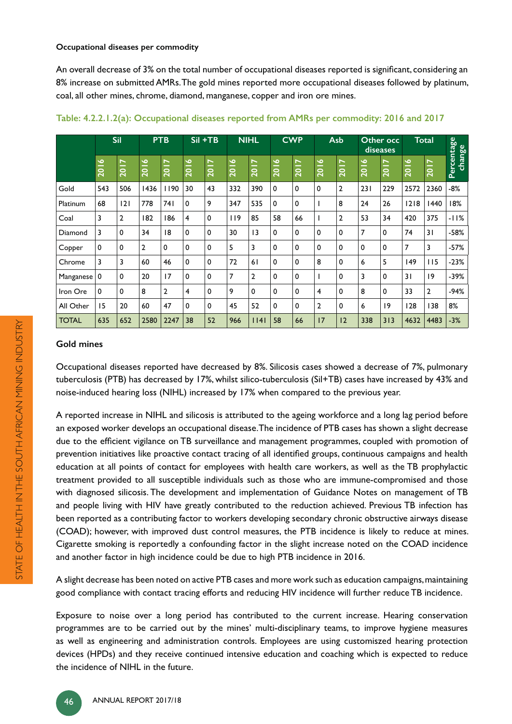#### **Occupational diseases per commodity**

An overall decrease of 3% on the total number of occupational diseases reported is significant, considering an 8% increase on submitted AMRs. The gold mines reported more occupational diseases followed by platinum, coal, all other mines, chrome, diamond, manganese, copper and iron ore mines.

|              |                            | <b>Sil</b>                      |                            | <b>PTB</b>        |             | Sil +TB          |      | <b>NIHL</b>    |             | <b>CWP</b> |                | Asb            |                            | Other occ<br>diseases           |                            | <b>Total</b>   |                      |
|--------------|----------------------------|---------------------------------|----------------------------|-------------------|-------------|------------------|------|----------------|-------------|------------|----------------|----------------|----------------------------|---------------------------------|----------------------------|----------------|----------------------|
|              | $\bullet$<br>$\frac{1}{2}$ | $\blacksquare$<br>$\frac{1}{2}$ | $\bullet$<br>$\frac{1}{2}$ | $\overline{2017}$ | 2016        | $\overline{201}$ | 2016 | 2017           | 2016        | 2017       | 2016           | <b>2017</b>    | $\bullet$<br>$\frac{1}{2}$ | $\overline{\phantom{0}}$<br>201 | $\bullet$<br>$\frac{1}{2}$ | <b>2017</b>    | Percentage<br>change |
| Gold         | 543                        | 506                             | 1436                       | 1190              | 30          | 43               | 332  | 390            | $\mathbf 0$ | 0          | 0              | $\overline{2}$ | 231                        | 229                             | 2572                       | 2360           | $-8%$                |
| Platinum     | 68                         | 2                               | 778                        | 74 I              | 0           | 9                | 347  | 535            | 0           | 0          |                | 8              | 24                         | 26                              | 1218                       | 1440           | 18%                  |
| Coal         | 3                          | 2                               | 182                        | 186               | 4           | 0                | 119  | 85             | 58          | 66         |                | $\overline{2}$ | 53                         | 34                              | 420                        | 375            | $-11%$               |
| Diamond      | 3                          | 0                               | 34                         | 18                | 0           | 0                | 30   | 3              | $\mathbf 0$ | 0          | 0              | 0              | 7                          | 0                               | 74                         | 31             | $-58%$               |
| Copper       | $\mathbf 0$                | 0                               | 2                          | 0                 | $\mathbf 0$ | 0                | 5    | 3              | 0           | 0          | 0              | 0              | 0                          | $\mathbf 0$                     | $\overline{7}$             | 3              | $-57%$               |
| Chrome       | 3                          | 3                               | 60                         | 46                | 0           | $\mathbf 0$      | 72   | 61             | $\mathbf 0$ | 0          | 8              | 0              | 6                          | 5                               | 149                        | 115            | $-23%$               |
| Manganese    | 0                          | 0                               | 20                         | 17                | 0           | $\mathbf 0$      | 7    | $\overline{2}$ | $\mathbf 0$ | 0          |                | 0              | 3                          | $\mathbf 0$                     | 31                         | 9              | $-39%$               |
| Iron Ore     | 0                          | 0                               | 8                          | $\overline{2}$    | 4           | 0                | 9    | $\mathbf 0$    | 0           | 0          | 4              | 0              | 8                          | 0                               | 33                         | $\overline{2}$ | $-94%$               |
| All Other    | 15                         | 20                              | 60                         | 47                | 0           | 0                | 45   | 52             | $\mathbf 0$ | 0          | $\overline{2}$ | 0              | 6                          | 19                              | 128                        | 138            | 8%                   |
| <b>TOTAL</b> | 635                        | 652                             | 2580                       | 2247              | 38          | 52               | 966  | 1141           | 58          | 66         | 17             | 12             | 338                        | 313                             | 4632                       | 4483           | $-3%$                |

#### **Gold mines**

Occupational diseases reported have decreased by 8%. Silicosis cases showed a decrease of 7%, pulmonary tuberculosis (PTB) has decreased by 17%, whilst silico-tuberculosis (Sil+TB) cases have increased by 43% and noise-induced hearing loss (NIHL) increased by 17% when compared to the previous year.

A reported increase in NIHL and silicosis is attributed to the ageing workforce and a long lag period before an exposed worker develops an occupational disease. The incidence of PTB cases has shown a slight decrease due to the efficient vigilance on TB surveillance and management programmes, coupled with promotion of prevention initiatives like proactive contact tracing of all identified groups, continuous campaigns and health education at all points of contact for employees with health care workers, as well as the TB prophylactic treatment provided to all susceptible individuals such as those who are immune-compromised and those with diagnosed silicosis. The development and implementation of Guidance Notes on management of TB and people living with HIV have greatly contributed to the reduction achieved. Previous TB infection has been reported as a contributing factor to workers developing secondary chronic obstructive airways disease (COAD); however, with improved dust control measures, the PTB incidence is likely to reduce at mines. Cigarette smoking is reportedly a confounding factor in the slight increase noted on the COAD incidence and another factor in high incidence could be due to high PTB incidence in 2016.

A slight decrease has been noted on active PTB cases and more work such as education campaigns, maintaining good compliance with contact tracing efforts and reducing HIV incidence will further reduce TB incidence.

Exposure to noise over a long period has contributed to the current increase. Hearing conservation programmes are to be carried out by the mines' multi-disciplinary teams, to improve hygiene measures as well as engineering and administration controls. Employees are using customiszed hearing protection devices (HPDs) and they receive continued intensive education and coaching which is expected to reduce the incidence of NIHL in the future.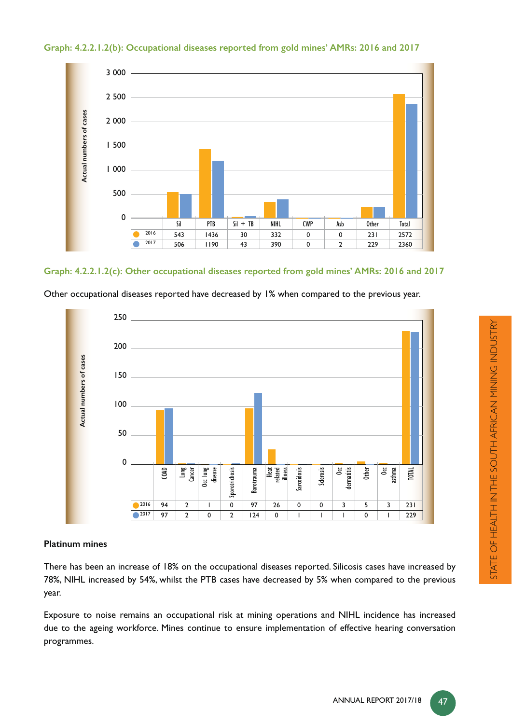



# **Graph: 4.2.2.1.2(c): Other occupational diseases reported from gold mines' AMRs: 2016 and 2017**



Other occupational diseases reported have decreased by 1% when compared to the previous year.

# **Platinum mines**

There has been an increase of 18% on the occupational diseases reported. Silicosis cases have increased by 78%, NIHL increased by 54%, whilst the PTB cases have decreased by 5% when compared to the previous year.

Exposure to noise remains an occupational risk at mining operations and NIHL incidence has increased due to the ageing workforce. Mines continue to ensure implementation of effective hearing conversation programmes.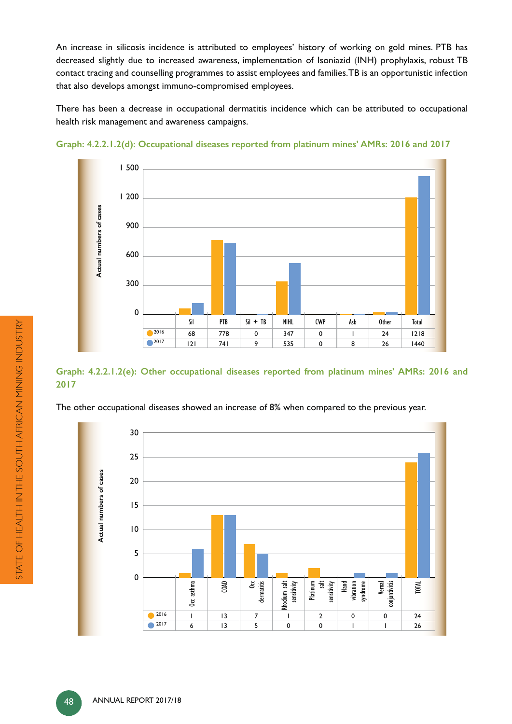An increase in silicosis incidence is attributed to employees' history of working on gold mines. PTB has decreased slightly due to increased awareness, implementation of Isoniazid (INH) prophylaxis, robust TB contact tracing and counselling programmes to assist employees and families. TB is an opportunistic infection that also develops amongst immuno-compromised employees.

There has been a decrease in occupational dermatitis incidence which can be attributed to occupational health risk management and awareness campaigns.



**Graph: 4.2.2.1.2(d): Occupational diseases reported from platinum mines' AMRs: 2016 and 2017**

# **Graph: 4.2.2.1.2(e): Other occupational diseases reported from platinum mines' AMRs: 2016 and 2017**

The other occupational diseases showed an increase of 8% when compared to the previous year.

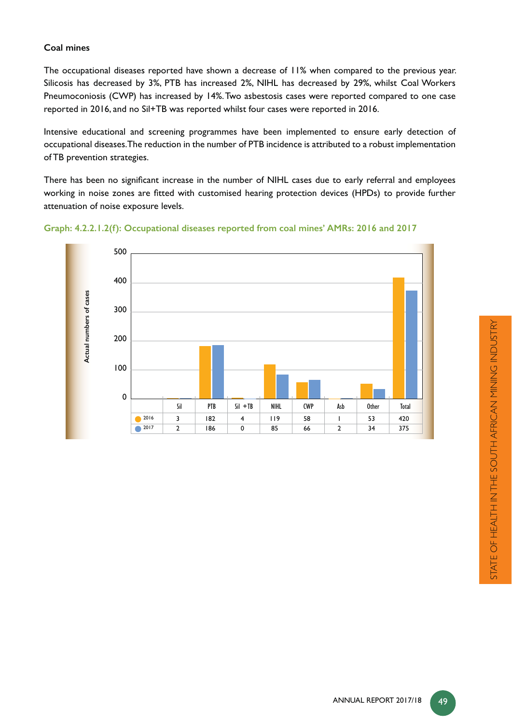# **Coal mines**

The occupational diseases reported have shown a decrease of 11% when compared to the previous year. Silicosis has decreased by 3%, PTB has increased 2%, NIHL has decreased by 29%, whilst Coal Workers Pneumoconiosis (CWP) has increased by 14%. Two asbestosis cases were reported compared to one case reported in 2016, and no Sil+TB was reported whilst four cases were reported in 2016.

Intensive educational and screening programmes have been implemented to ensure early detection of occupational diseases. The reduction in the number of PTB incidence is attributed to a robust implementation of TB prevention strategies.

There has been no significant increase in the number of NIHL cases due to early referral and employees working in noise zones are fitted with customised hearing protection devices (HPDs) to provide further attenuation of noise exposure levels.



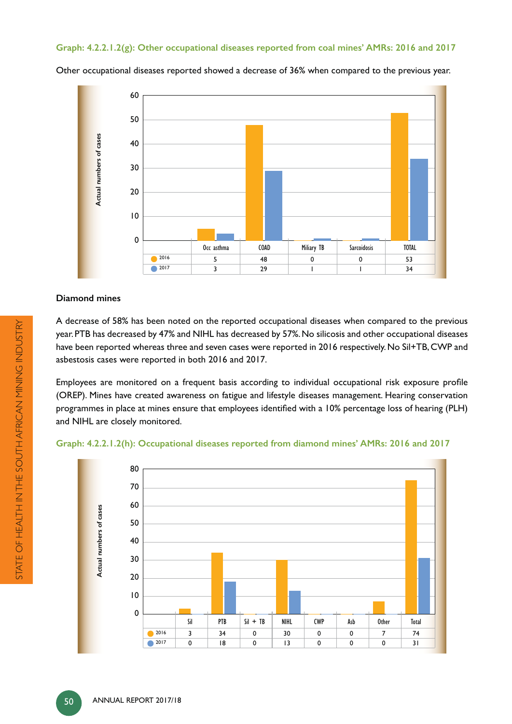#### **Graph: 4.2.2.1.2(g): Other occupational diseases reported from coal mines' AMRs: 2016 and 2017**

60 50 Actual numbers of cases **Actual numbers of cases** 40 30 20 10 0 Occ asthma | COAD | Miliary TB | Sarcoidosis | TOTAL 2016 5 48 0 0 53 2017 3 29 1 1 34

Other occupational diseases reported showed a decrease of 36% when compared to the previous year.

#### **Diamond mines**

A decrease of 58% has been noted on the reported occupational diseases when compared to the previous year. PTB has decreased by 47% and NIHL has decreased by 57%. No silicosis and other occupational diseases have been reported whereas three and seven cases were reported in 2016 respectively. No Sil+TB, CWP and asbestosis cases were reported in both 2016 and 2017.

Employees are monitored on a frequent basis according to individual occupational risk exposure profile (OREP). Mines have created awareness on fatigue and lifestyle diseases management. Hearing conservation programmes in place at mines ensure that employees identified with a 10% percentage loss of hearing (PLH) and NIHL are closely monitored.

#### **Graph: 4.2.2.1.2(h): Occupational diseases reported from diamond mines' AMRs: 2016 and 2017**

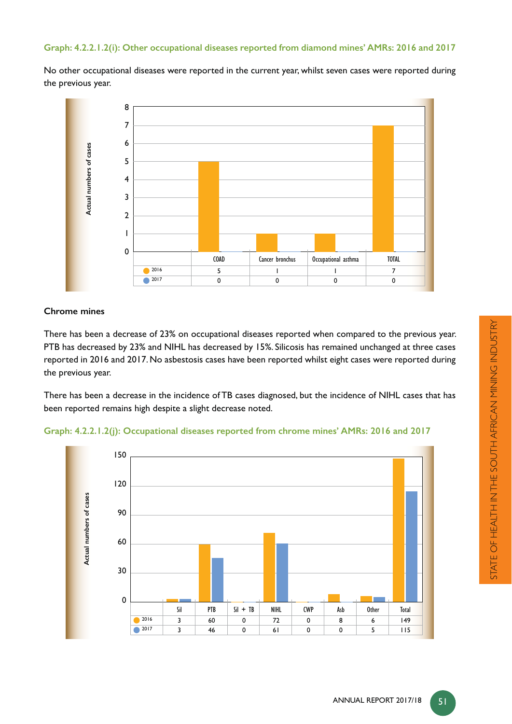#### **Graph: 4.2.2.1.2(i): Other occupational diseases reported from diamond mines' AMRs: 2016 and 2017**

No other occupational diseases were reported in the current year, whilst seven cases were reported during the previous year.



#### **Chrome mines**

There has been a decrease of 23% on occupational diseases reported when compared to the previous year. PTB has decreased by 23% and NIHL has decreased by 15%. Silicosis has remained unchanged at three cases reported in 2016 and 2017. No asbestosis cases have been reported whilst eight cases were reported during the previous year.

There has been a decrease in the incidence of TB cases diagnosed, but the incidence of NIHL cases that has been reported remains high despite a slight decrease noted.



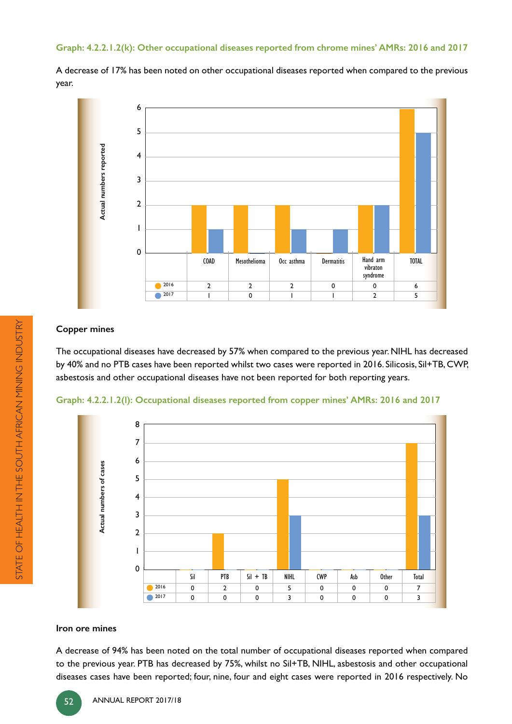#### **Graph: 4.2.2.1.2(k): Other occupational diseases reported from chrome mines' AMRs: 2016 and 2017**

A decrease of 17% has been noted on other occupational diseases reported when compared to the previous year.



#### **Copper mines**

The occupational diseases have decreased by 57% when compared to the previous year. NIHL has decreased by 40% and no PTB cases have been reported whilst two cases were reported in 2016. Silicosis, Sil+TB, CWP, asbestosis and other occupational diseases have not been reported for both reporting years.





#### **Iron ore mines**

A decrease of 94% has been noted on the total number of occupational diseases reported when compared to the previous year. PTB has decreased by 75%, whilst no Sil+TB, NIHL, asbestosis and other occupational diseases cases have been reported; four, nine, four and eight cases were reported in 2016 respectively. No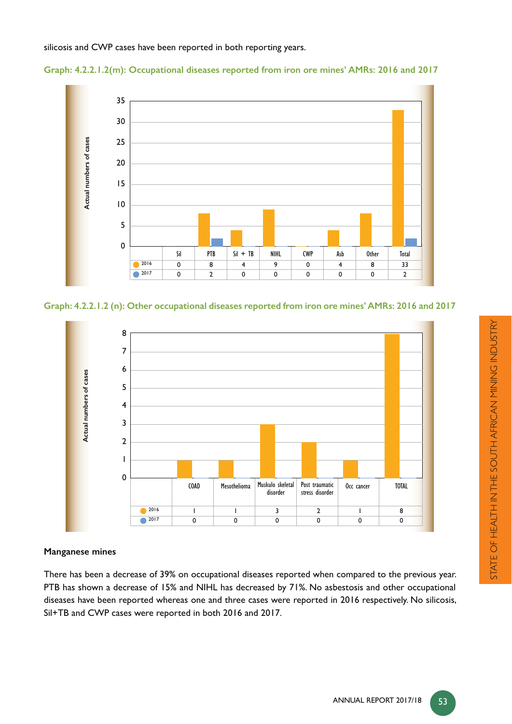silicosis and CWP cases have been reported in both reporting years.





**Graph: 4.2.2.1.2 (n): Other occupational diseases reported from iron ore mines' AMRs: 2016 and 2017**



# **Manganese mines**

There has been a decrease of 39% on occupational diseases reported when compared to the previous year. PTB has shown a decrease of 15% and NIHL has decreased by 71%. No asbestosis and other occupational diseases have been reported whereas one and three cases were reported in 2016 respectively. No silicosis, Sil+TB and CWP cases were reported in both 2016 and 2017.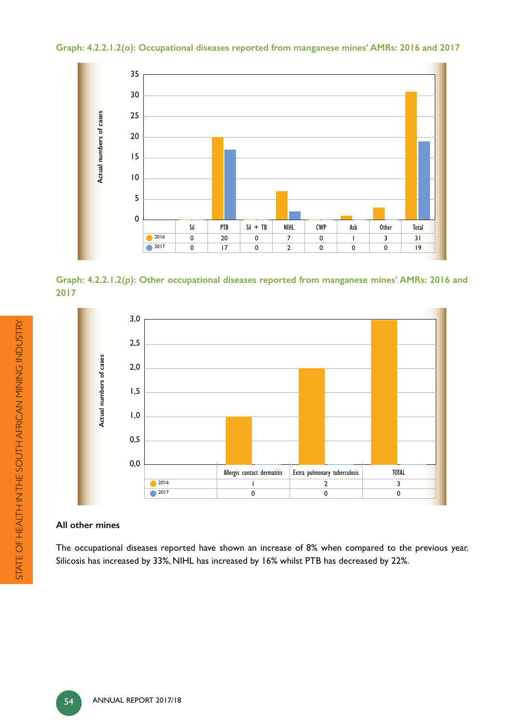**Graph: 4.2.2.1.2(o): Occupational diseases reported from manganese mines' AMRs: 2016 and 2017**



**Graph: 4.2.2.1.2(p): Other occupational diseases reported from manganese mines' AMRs: 2016 and 2017**



#### **All other mines**

The occupational diseases reported have shown an increase of 8% when compared to the previous year. Silicosis has increased by 33%, NIHL has increased by 16% whilst PTB has decreased by 22%.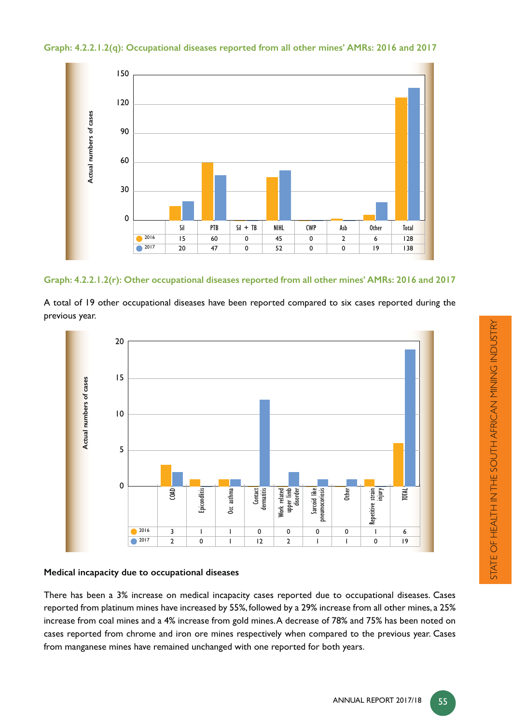**Graph: 4.2.2.1.2(q): Occupational diseases reported from all other mines' AMRs: 2016 and 2017**



**Graph: 4.2.2.1.2(r): Other occupational diseases reported from all other mines' AMRs: 2016 and 2017**

A total of 19 other occupational diseases have been reported compared to six cases reported during the previous year.



# **Medical incapacity due to occupational diseases**

There has been a 3% increase on medical incapacity cases reported due to occupational diseases. Cases reported from platinum mines have increased by 55%, followed by a 29% increase from all other mines, a 25% increase from coal mines and a 4% increase from gold mines. A decrease of 78% and 75% has been noted on cases reported from chrome and iron ore mines respectively when compared to the previous year. Cases from manganese mines have remained unchanged with one reported for both years.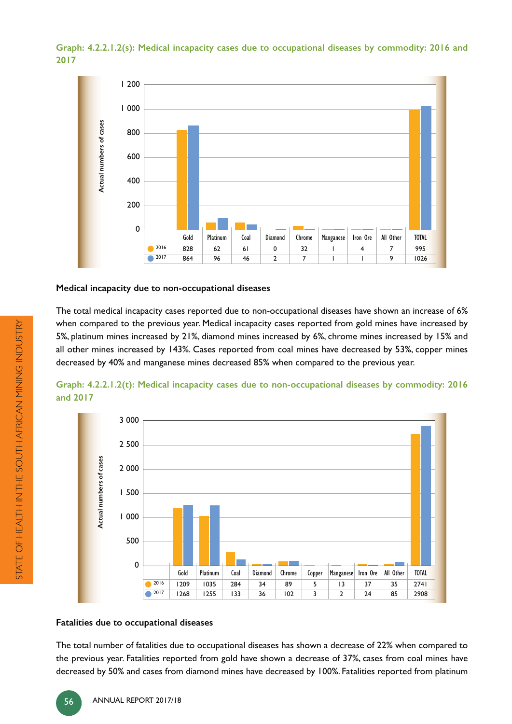**Graph: 4.2.2.1.2(s): Medical incapacity cases due to occupational diseases by commodity: 2016 and 2017**



#### **Medical incapacity due to non-occupational diseases**

The total medical incapacity cases reported due to non-occupational diseases have shown an increase of 6% when compared to the previous year. Medical incapacity cases reported from gold mines have increased by 5%, platinum mines increased by 21%, diamond mines increased by 6%, chrome mines increased by 15% and all other mines increased by 143%. Cases reported from coal mines have decreased by 53%, copper mines decreased by 40% and manganese mines decreased 85% when compared to the previous year.





#### **Fatalities due to occupational diseases**

The total number of fatalities due to occupational diseases has shown a decrease of 22% when compared to the previous year. Fatalities reported from gold have shown a decrease of 37%, cases from coal mines have decreased by 50% and cases from diamond mines have decreased by 100%. Fatalities reported from platinum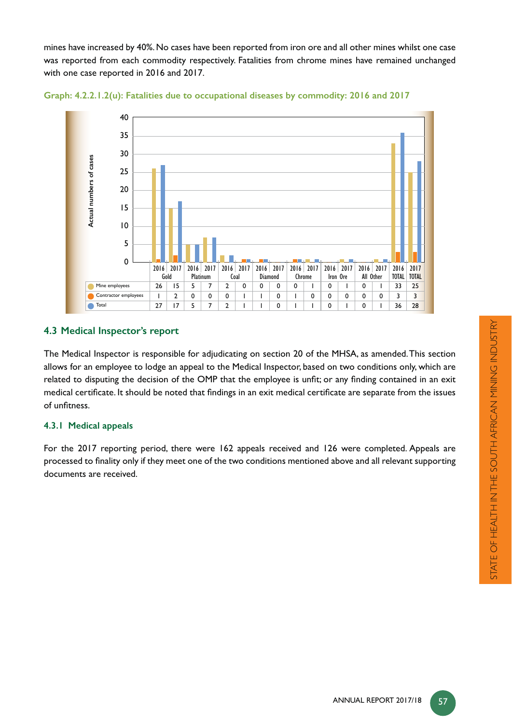mines have increased by 40%. No cases have been reported from iron ore and all other mines whilst one case was reported from each commodity respectively. Fatalities from chrome mines have remained unchanged with one case reported in 2016 and 2017.





# **4.3 Medical Inspector's report**

The Medical Inspector is responsible for adjudicating on section 20 of the MHSA, as amended. This section allows for an employee to lodge an appeal to the Medical Inspector, based on two conditions only, which are related to disputing the decision of the OMP that the employee is unfit; or any finding contained in an exit medical certificate. It should be noted that findings in an exit medical certificate are separate from the issues of unfitness.

# **4.3.1 Medical appeals**

For the 2017 reporting period, there were 162 appeals received and 126 were completed. Appeals are processed to finality only if they meet one of the two conditions mentioned above and all relevant supporting documents are received.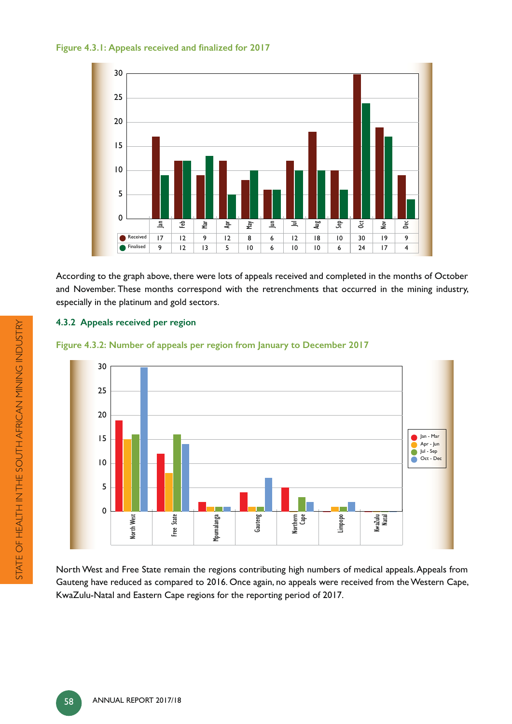



According to the graph above, there were lots of appeals received and completed in the months of October and November. These months correspond with the retrenchments that occurred in the mining industry, especially in the platinum and gold sectors.

# **4.3.2 Appeals received per region**





North West and Free State remain the regions contributing high numbers of medical appeals. Appeals from Gauteng have reduced as compared to 2016. Once again, no appeals were received from the Western Cape, KwaZulu-Natal and Eastern Cape regions for the reporting period of 2017.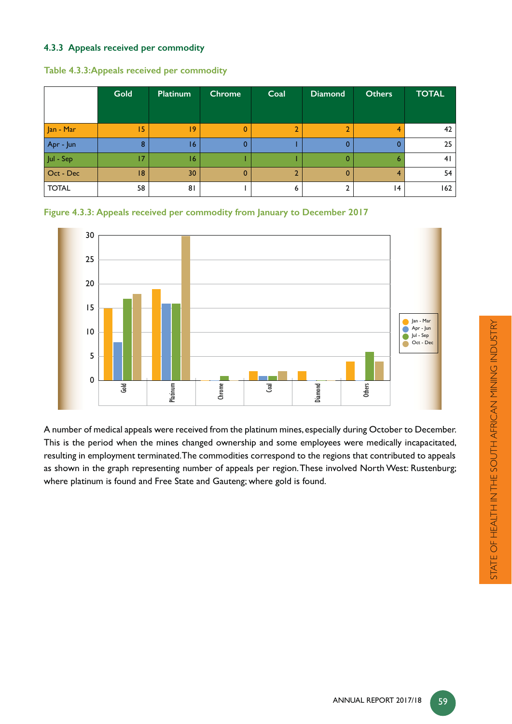# **4.3.3 Appeals received per commodity**

|                                                           | Gold | <b>Platinum</b> | <b>Chrome</b> | Coal | <b>Diamond</b> | <b>Others</b> | <b>TOTAL</b> |
|-----------------------------------------------------------|------|-----------------|---------------|------|----------------|---------------|--------------|
|                                                           |      |                 |               |      |                |               |              |
| Jan - Mar                                                 | 15   | 9               | 0             |      |                | 4             | 42           |
| Apr - Jun                                                 | 8    | 16              | 0             |      |                |               | 25           |
| $\ensuremath{\mathsf{Jul}}$ - $\ensuremath{\mathsf{Sep}}$ | 17   | 16              |               |      | 0              | 6             | 41           |
| Oct - Dec                                                 | 8    | 30              | $\mathbf 0$   |      | 0              | 4             | 54           |
| <b>TOTAL</b>                                              | 58   | 81              |               | 6    |                | 4             | 162          |

#### **Table 4.3.3:Appeals received per commodity**





A number of medical appeals were received from the platinum mines, especially during October to December. This is the period when the mines changed ownership and some employees were medically incapacitated, resulting in employment terminated. The commodities correspond to the regions that contributed to appeals as shown in the graph representing number of appeals per region. These involved North West: Rustenburg; where platinum is found and Free State and Gauteng; where gold is found.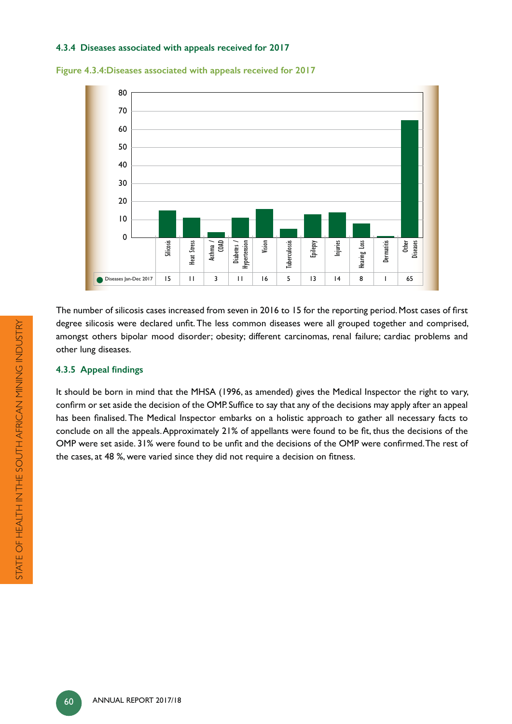#### **4.3.4 Diseases associated with appeals received for 2017**





The number of silicosis cases increased from seven in 2016 to 15 for the reporting period. Most cases of first degree silicosis were declared unfit. The less common diseases were all grouped together and comprised, amongst others bipolar mood disorder; obesity; different carcinomas, renal failure; cardiac problems and other lung diseases.

# **4.3.5 Appeal findings**

It should be born in mind that the MHSA (1996, as amended) gives the Medical Inspector the right to vary, confirm or set aside the decision of the OMP. Suffice to say that any of the decisions may apply after an appeal has been finalised. The Medical Inspector embarks on a holistic approach to gather all necessary facts to conclude on all the appeals. Approximately 21% of appellants were found to be fit, thus the decisions of the OMP were set aside. 31% were found to be unfit and the decisions of the OMP were confirmed. The rest of the cases, at 48 %, were varied since they did not require a decision on fitness.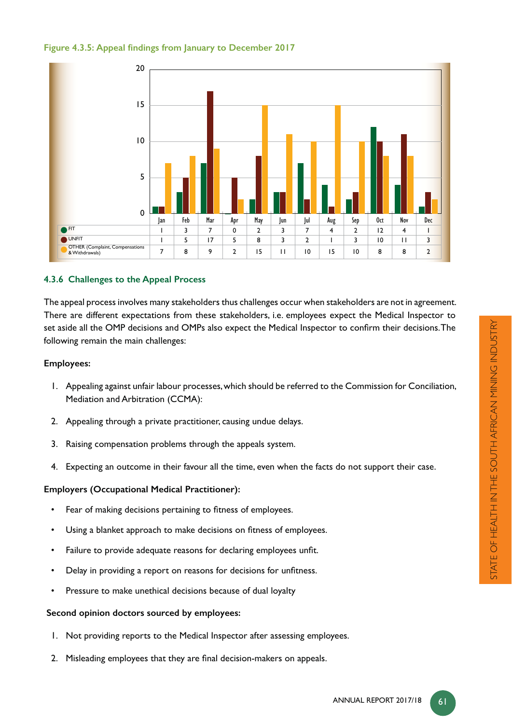



# **4.3.6 Challenges to the Appeal Process**

The appeal process involves many stakeholders thus challenges occur when stakeholders are not in agreement. There are different expectations from these stakeholders, i.e. employees expect the Medical Inspector to set aside all the OMP decisions and OMPs also expect the Medical Inspector to confirm their decisions. The following remain the main challenges:

#### **Employees:**

- 1. Appealing against unfair labour processes, which should be referred to the Commission for Conciliation, Mediation and Arbitration (CCMA):
- 2. Appealing through a private practitioner, causing undue delays.
- 3. Raising compensation problems through the appeals system.
- 4. Expecting an outcome in their favour all the time, even when the facts do not support their case.

# **Employers (Occupational Medical Practitioner):**

- Fear of making decisions pertaining to fitness of employees.
- Using a blanket approach to make decisions on fitness of employees.
- Failure to provide adequate reasons for declaring employees unfit.
- Delay in providing a report on reasons for decisions for unfitness.
- Pressure to make unethical decisions because of dual loyalty

#### **Second opinion doctors sourced by employees:**

- 1. Not providing reports to the Medical Inspector after assessing employees.
- 2. Misleading employees that they are final decision-makers on appeals.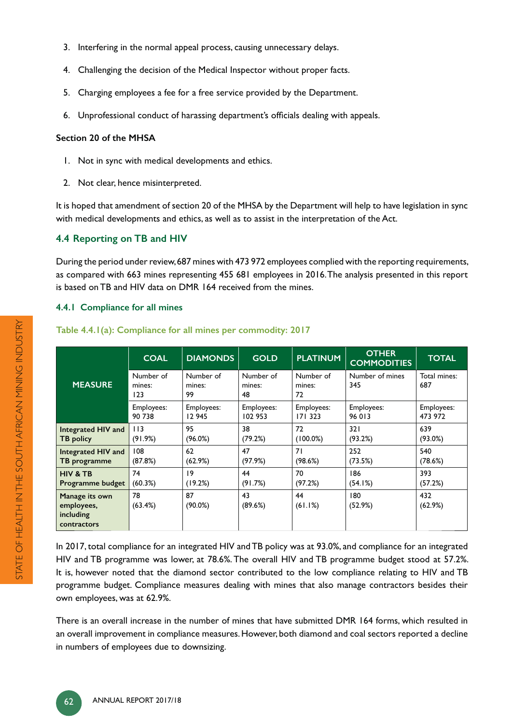- 3. Interfering in the normal appeal process, causing unnecessary delays.
- 4. Challenging the decision of the Medical Inspector without proper facts.
- 5. Charging employees a fee for a free service provided by the Department.
- 6. Unprofessional conduct of harassing department's officials dealing with appeals.

# **Section 20 of the MHSA**

- 1. Not in sync with medical developments and ethics.
- 2. Not clear, hence misinterpreted.

It is hoped that amendment of section 20 of the MHSA by the Department will help to have legislation in sync with medical developments and ethics, as well as to assist in the interpretation of the Act.

# **4.4 Reporting on TB and HIV**

During the period under review, 687 mines with 473 972 employees complied with the reporting requirements, as compared with 663 mines representing 455 681 employees in 2016. The analysis presented in this report is based on TB and HIV data on DMR 164 received from the mines.

# **4.4.1 Compliance for all mines**

|                                                          | <b>COAL</b>                | <b>DIAMONDS</b>           | <b>GOLD</b>               | <b>PLATINUM</b>           | <b>OTHER</b><br><b>COMMODITIES</b> | <b>TOTAL</b>        |
|----------------------------------------------------------|----------------------------|---------------------------|---------------------------|---------------------------|------------------------------------|---------------------|
| <b>MEASURE</b>                                           | Number of<br>mines:<br>123 | Number of<br>mines:<br>99 | Number of<br>mines:<br>48 | Number of<br>mines:<br>72 | Number of mines<br>345             | Total mines:<br>687 |
|                                                          | Employees:                 | Employees:                | Employees:                | Employees:                | Employees:                         | Employees:          |
|                                                          | 90 738                     | 12 945                    | 102 953                   | 171 323                   | 96 013                             | 473 972             |
| Integrated HIV and                                       | 113                        | 95                        | 38                        | 72                        | 321                                | 639                 |
| <b>TB</b> policy                                         | (91.9%)                    | (96.0%)                   | (79.2%)                   | $(100.0\%)$               | (93.2%)                            | (93.0%)             |
| Integrated HIV and                                       | 108                        | 62                        | 47                        | 71                        | 252                                | 540                 |
| TB programme                                             | (87.8%)                    | (62.9%)                   | (97.9%)                   | (98.6%)                   | (73.5%)                            | (78.6%)             |
| <b>HIV &amp; TB</b>                                      | 74                         | 9                         | 44                        | 70                        | 186                                | 393                 |
| Programme budget                                         | (60.3%)                    | (19.2%)                   | (91.7%)                   | (97.2%)                   | (54.1%)                            | (57.2%)             |
| Manage its own<br>employees,<br>including<br>contractors | 78<br>(63.4%)              | 87<br>$(90.0\%)$          | 43<br>(89.6%)             | 44<br>(61.1%)             | 180<br>(52.9%)                     | 432<br>(62.9%)      |

# **Table 4.4.1(a): Compliance for all mines per commodity: 2017**

In 2017, total compliance for an integrated HIV and TB policy was at 93.0%, and compliance for an integrated HIV and TB programme was lower, at 78.6%. The overall HIV and TB programme budget stood at 57.2%. It is, however noted that the diamond sector contributed to the low compliance relating to HIV and TB programme budget. Compliance measures dealing with mines that also manage contractors besides their own employees, was at 62.9%.

There is an overall increase in the number of mines that have submitted DMR 164 forms, which resulted in an overall improvement in compliance measures. However, both diamond and coal sectors reported a decline in numbers of employees due to downsizing.

STATE OF HEALTH IN THE SOUTH AFRICAN MINING INDUSTRY

STATE OF HEALTH IN THE SOUTH AFRICAN MINING INDUSTRY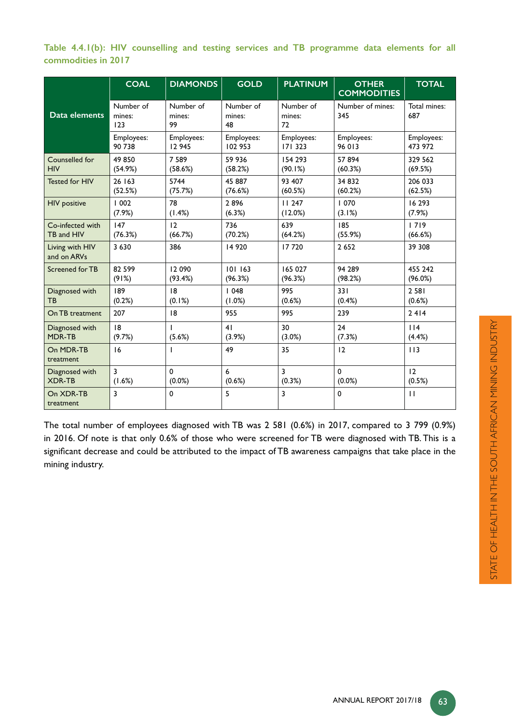|                     |  |  |  | Table 4.4.1(b): HIV counselling and testing services and TB programme data elements for all |  |  |
|---------------------|--|--|--|---------------------------------------------------------------------------------------------|--|--|
| commodities in 2017 |  |  |  |                                                                                             |  |  |

|                                | <b>COAL</b>                | <b>DIAMONDS</b>           | <b>GOLD</b>               | <b>PLATINUM</b>           | <b>OTHER</b><br><b>COMMODITIES</b> | <b>TOTAL</b>        |
|--------------------------------|----------------------------|---------------------------|---------------------------|---------------------------|------------------------------------|---------------------|
| Data elements                  | Number of<br>mines:<br>123 | Number of<br>mines:<br>99 | Number of<br>mines:<br>48 | Number of<br>mines:<br>72 | Number of mines:<br>345            | Total mines:<br>687 |
|                                | Employees:                 | Employees:                | Employees:                | Employees:                | Employees:                         | Employees:          |
|                                | 90 738                     | 12 945                    | 102 953                   | 171 323                   | 96 013                             | 473 972             |
| Counselled for                 | 49 850                     | 7 5 8 9                   | 59 936                    | 154 293                   | 57 894                             | 329 562             |
| <b>HIV</b>                     | (54.9%)                    | (58.6%)                   | (58.2%)                   | (90.1%)                   | (60.3%)                            | (69.5%)             |
| <b>Tested for HIV</b>          | 26 163                     | 5744                      | 45 887                    | 93 407                    | 34 832                             | 206 033             |
|                                | (52.5%)                    | (75.7%)                   | (76.6%)                   | (60.5%)                   | (60.2%)                            | (62.5%)             |
| <b>HIV</b> positive            | 1002                       | 78                        | 2896                      | 11247                     | 070                                | 16 293              |
|                                | (7.9%)                     | (1.4%)                    | (6.3%)                    | (12.0%)                   | (3.1%)                             | (7.9%)              |
| Co-infected with               | 147                        | 12                        | 736                       | 639                       | 185                                | 1719                |
| TB and HIV                     | (76.3%)                    | (66.7%)                   | (70.2%)                   | (64.2%)                   | (55.9%)                            | (66.6%)             |
| Living with HIV<br>and on ARVs | 3 6 3 0                    | 386                       | 14 9 20                   | 17720                     | 2 6 5 2                            | 39 308              |
| Screened for TB                | 82 599                     | 12 090                    | 101163                    | 165 027                   | 94 289                             | 455 242             |
|                                | (91%)                      | (93.4%)                   | (96.3%)                   | (96.3%)                   | (98.2%)                            | (96.0%)             |
| Diagnosed with                 | 189                        | 8                         | 1048                      | 995                       | 331                                | 2 5 8 1             |
| <b>TB</b>                      | (0.2%)                     | (0.1%)                    | (1.0%)                    | (0.6%)                    | (0.4%)                             | (0.6%)              |
| On TB treatment                | 207                        | 8                         | 955                       | 995                       | 239                                | 2414                |
| Diagnosed with                 | 8                          | I                         | 41                        | 30                        | 24                                 | 114                 |
| <b>MDR-TB</b>                  | (9.7%)                     | (5.6%)                    | (3.9%)                    | (3.0%)                    | (7.3%)                             | (4.4%)              |
| On MDR-TB<br>treatment         | 16                         | ı                         | 49                        | 35                        | 12                                 | 113                 |
| Diagnosed with                 | 3                          | 0                         | 6                         | 3                         | $\mathbf 0$                        | 12                  |
| <b>XDR-TB</b>                  | (1.6%)                     | (0.0%)                    | (0.6%)                    | (0.3%)                    | (0.0%)                             | (0.5%)              |
| On XDR-TB<br>treatment         | 3                          | 0                         | 5                         | 3                         | 0                                  | $\mathbf{H}$        |

The total number of employees diagnosed with TB was 2 581 (0.6%) in 2017, compared to 3 799 (0.9%) in 2016. Of note is that only 0.6% of those who were screened for TB were diagnosed with TB. This is a significant decrease and could be attributed to the impact of TB awareness campaigns that take place in the mining industry.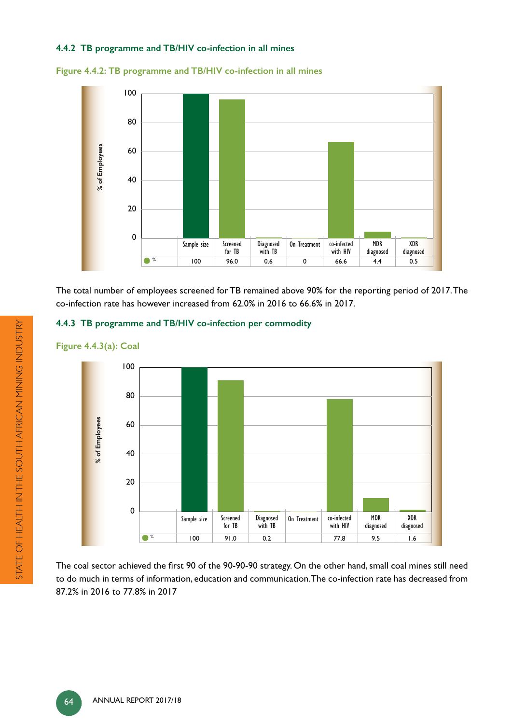# **4.4.2 TB programme and TB/HIV co-infection in all mines**



**Figure 4.4.2: TB programme and TB/HIV co-infection in all mines**



The total number of employees screened for TB remained above 90% for the reporting period of 2017. The co-infection rate has however increased from 62.0% in 2016 to 66.6% in 2017.

# **4.4.3 TB programme and TB/HIV co-infection per commodity**



**Figure 4.4.3(a): Coal**

The coal sector achieved the first 90 of the 90-90-90 strategy. On the other hand, small coal mines still need to do much in terms of information, education and communication. The co-infection rate has decreased from 87.2% in 2016 to 77.8% in 2017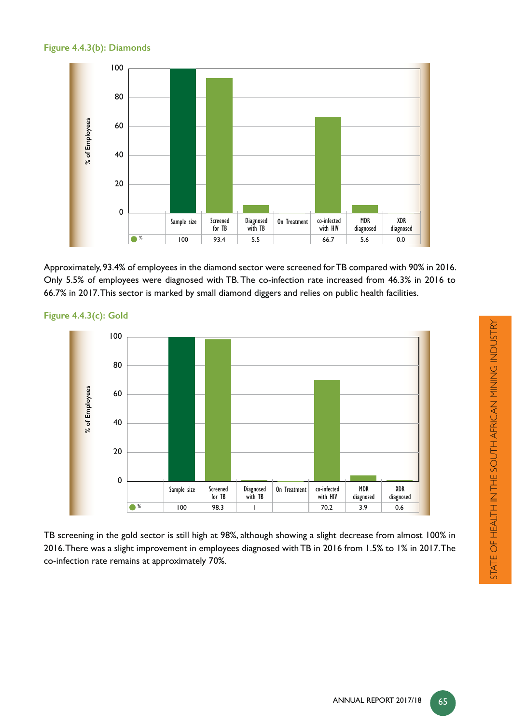#### **Figure 4.4.3(b): Diamonds**



Approximately, 93.4% of employees in the diamond sector were screened for TB compared with 90% in 2016. Only 5.5% of employees were diagnosed with TB. The co-infection rate increased from 46.3% in 2016 to 66.7% in 2017. This sector is marked by small diamond diggers and relies on public health facilities.



**Figure 4.4.3(c): Gold**

TB screening in the gold sector is still high at 98%, although showing a slight decrease from almost 100% in 2016. There was a slight improvement in employees diagnosed with TB in 2016 from 1.5% to 1% in 2017. The co-infection rate remains at approximately 70%.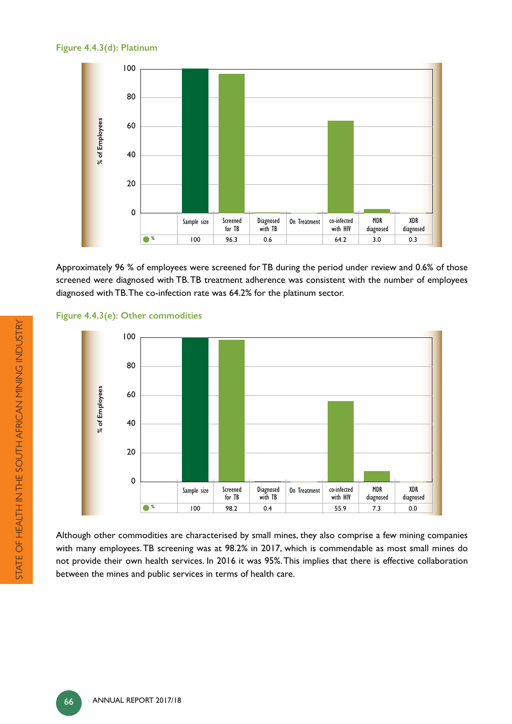# **Figure 4.4.3(d): Platinum**



Approximately 96 % of employees were screened for TB during the period under review and 0.6% of those screened were diagnosed with TB. TB treatment adherence was consistent with the number of employees diagnosed with TB. The co-infection rate was 64.2% for the platinum sector.





Although other commodities are characterised by small mines, they also comprise a few mining companies with many employees. TB screening was at 98.2% in 2017, which is commendable as most small mines do not provide their own health services. In 2016 it was 95%. This implies that there is effective collaboration between the mines and public services in terms of health care.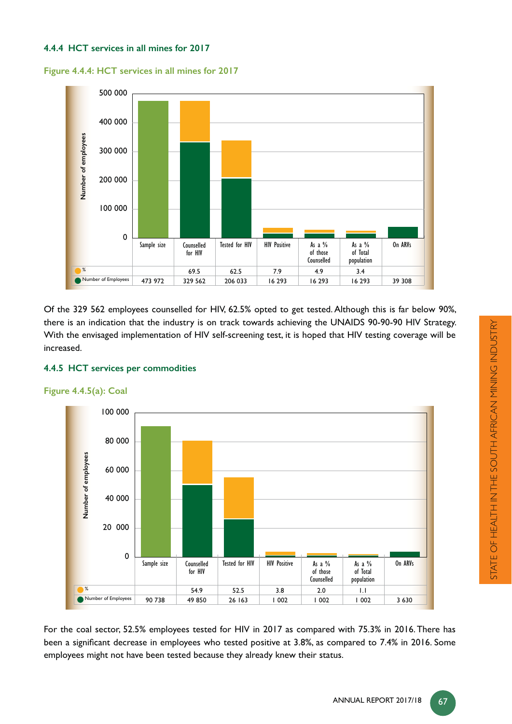# **4.4.4 HCT services in all mines for 2017**

**Figure 4.4.4: HCT services in all mines for 2017**



Of the 329 562 employees counselled for HIV, 62.5% opted to get tested. Although this is far below 90%, there is an indication that the industry is on track towards achieving the UNAIDS 90-90-90 HIV Strategy. With the envisaged implementation of HIV self-screening test, it is hoped that HIV testing coverage will be increased.



#### **Figure 4.4.5(a): Coal**



For the coal sector, 52.5% employees tested for HIV in 2017 as compared with 75.3% in 2016. There has been a significant decrease in employees who tested positive at 3.8%, as compared to 7.4% in 2016. Some employees might not have been tested because they already knew their status.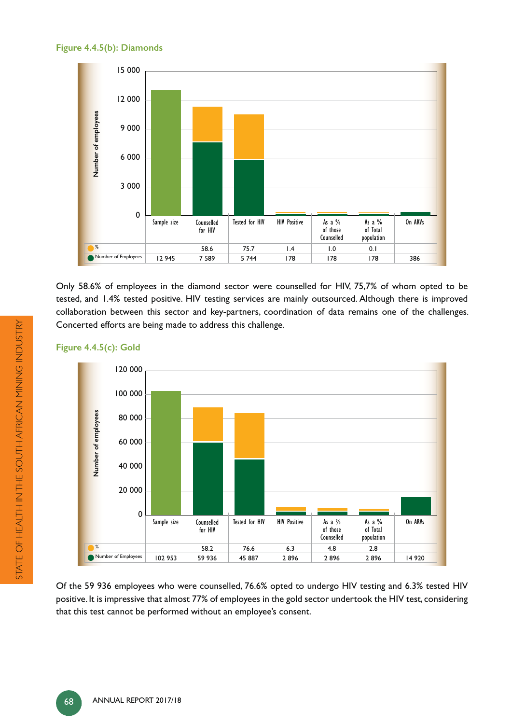# **Figure 4.4.5(b): Diamonds**



Only 58.6% of employees in the diamond sector were counselled for HIV, 75,7% of whom opted to be tested, and 1.4% tested positive. HIV testing services are mainly outsourced. Although there is improved collaboration between this sector and key-partners, coordination of data remains one of the challenges. Concerted efforts are being made to address this challenge.

# **Figure 4.4.5(c): Gold**



Of the 59 936 employees who were counselled, 76.6% opted to undergo HIV testing and 6.3% tested HIV positive. It is impressive that almost 77% of employees in the gold sector undertook the HIV test, considering that this test cannot be performed without an employee's consent.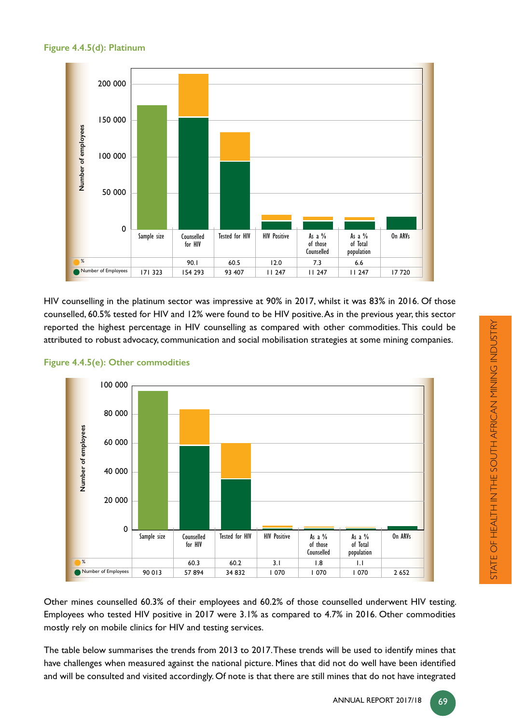



HIV counselling in the platinum sector was impressive at 90% in 2017, whilst it was 83% in 2016. Of those counselled, 60.5% tested for HIV and 12% were found to be HIV positive. As in the previous year, this sector reported the highest percentage in HIV counselling as compared with other commodities. This could be attributed to robust advocacy, communication and social mobilisation strategies at some mining companies.



# **Figure 4.4.5(e): Other commodities**

Other mines counselled 60.3% of their employees and 60.2% of those counselled underwent HIV testing. Employees who tested HIV positive in 2017 were 3.1% as compared to 4.7% in 2016. Other commodities mostly rely on mobile clinics for HIV and testing services.

The table below summarises the trends from 2013 to 2017. These trends will be used to identify mines that have challenges when measured against the national picture. Mines that did not do well have been identified and will be consulted and visited accordingly. Of note is that there are still mines that do not have integrated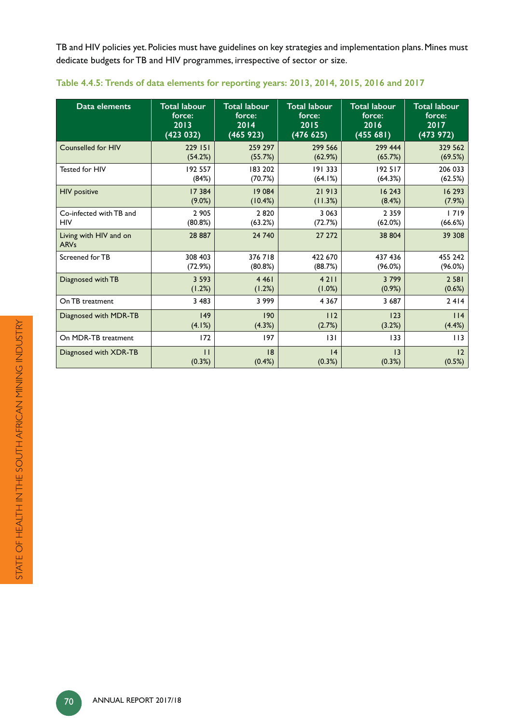TB and HIV policies yet. Policies must have guidelines on key strategies and implementation plans. Mines must dedicate budgets for TB and HIV programmes, irrespective of sector or size.

| Data elements                         | <b>Total labour</b> | <b>Total labour</b> | <b>Total labour</b> | <b>Total labour</b> | <b>Total labour</b> |
|---------------------------------------|---------------------|---------------------|---------------------|---------------------|---------------------|
|                                       | force:              | force:              | force:              | force:              | force:              |
|                                       | 2013                | 2014                | 2015                | 2016                | 2017                |
|                                       | (423 032)           | (465923)            | (476 625)           | (455681)            | (473972)            |
| Counselled for HIV                    | 229 151             | 259 297             | 299 566             | 299 444             | 329 562             |
|                                       | (54.2%)             | (55.7%)             | (62.9%)             | (65.7%)             | (69.5%)             |
| Tested for HIV                        | 192 557             | 183 202             | 191 333             | 192 517             | 206 033             |
|                                       | (84%)               | (70.7%)             | (64.1%)             | (64.3%)             | (62.5%)             |
| <b>HIV</b> positive                   | 17 384              | 19084               | 21913               | 16 243              | 16 293              |
|                                       | $(9.0\%)$           | (10.4%)             | (11.3%)             | (8.4%)              | (7.9%)              |
| Co-infected with TB and               | 2 9 0 5             | 2820                | 3 0 6 3             | 2 3 5 9             | 1719                |
| <b>HIV</b>                            | (80.8%)             | (63.2%)             | (72.7%)             | (62.0%)             | (66.6%)             |
| Living with HIV and on<br><b>ARVs</b> | 28 887              | 24 740              | 27 27 2             | 38 804              | 39 308              |
| Screened for TB                       | 308 403             | 376718              | 422 670             | 437 436             | 455 242             |
|                                       | (72.9%)             | (80.8%)             | (88.7%)             | (96.0%)             | (96.0%)             |
| Diagnosed with TB                     | 3 5 9 3             | 4 4 6 1             | 4211                | 3799                | 2 5 8 1             |
|                                       | (1.2%)              | (1.2%)              | (1.0%)              | (0.9%)              | (0.6%)              |
| On TB treatment                       | 3 4 8 3             | 3 9 9 9             | 4 3 6 7             | 3 6 8 7             | 2414                |
| Diagnosed with MDR-TB                 | 149                 | 190                 | 112                 | 123                 | 114                 |
|                                       | (4.1%)              | (4.3%)              | (2.7%)              | (3.2%)              | (4.4%)              |
| On MDR-TB treatment                   | 172                 | 197                 | 3                   | 133                 | 113                 |
| Diagnosed with XDR-TB                 | $\mathbf{H}$        | 8                   | 4                   | $\overline{13}$     | 12                  |
|                                       | (0.3%)              | $(0.4\%)$           | (0.3%)              | (0.3%)              | (0.5%)              |

|  | Table 4.4.5: Trends of data elements for reporting years: 2013, 2014, 2015, 2016 and 2017 |  |  |  |  |
|--|-------------------------------------------------------------------------------------------|--|--|--|--|
|--|-------------------------------------------------------------------------------------------|--|--|--|--|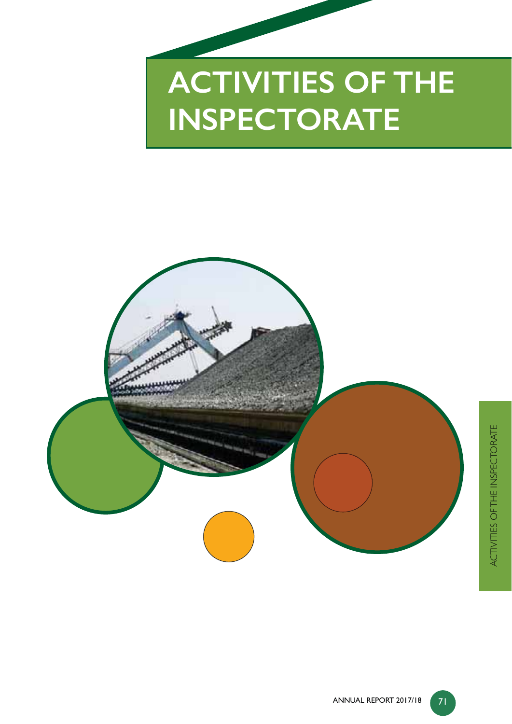# **ACTIVITIES OF THE INSPECTORATE**

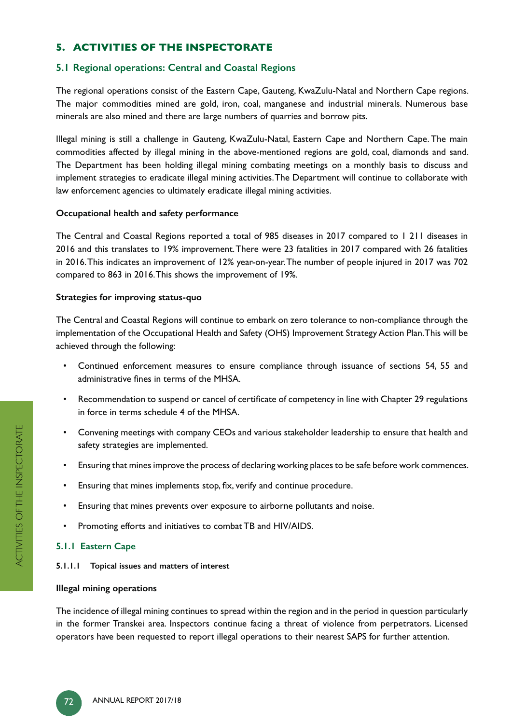# **5. ACTIVITIES OF THE INSPECTORATE**

# **5.1 Regional operations: Central and Coastal Regions**

The regional operations consist of the Eastern Cape, Gauteng, KwaZulu-Natal and Northern Cape regions. The major commodities mined are gold, iron, coal, manganese and industrial minerals. Numerous base minerals are also mined and there are large numbers of quarries and borrow pits.

Illegal mining is still a challenge in Gauteng, KwaZulu-Natal, Eastern Cape and Northern Cape. The main commodities affected by illegal mining in the above-mentioned regions are gold, coal, diamonds and sand. The Department has been holding illegal mining combating meetings on a monthly basis to discuss and implement strategies to eradicate illegal mining activities. The Department will continue to collaborate with law enforcement agencies to ultimately eradicate illegal mining activities.

#### **Occupational health and safety performance**

The Central and Coastal Regions reported a total of 985 diseases in 2017 compared to 1 211 diseases in 2016 and this translates to 19% improvement. There were 23 fatalities in 2017 compared with 26 fatalities in 2016. This indicates an improvement of 12% year-on-year. The number of people injured in 2017 was 702 compared to 863 in 2016. This shows the improvement of 19%.

#### **Strategies for improving status-quo**

The Central and Coastal Regions will continue to embark on zero tolerance to non-compliance through the implementation of the Occupational Health and Safety (OHS) Improvement Strategy Action Plan. This will be achieved through the following:

- Continued enforcement measures to ensure compliance through issuance of sections 54, 55 and administrative fines in terms of the MHSA.
- Recommendation to suspend or cancel of certificate of competency in line with Chapter 29 regulations in force in terms schedule 4 of the MHSA.
- Convening meetings with company CEOs and various stakeholder leadership to ensure that health and safety strategies are implemented.
- Ensuring that mines improve the process of declaring working places to be safe before work commences.
- Ensuring that mines implements stop, fix, verify and continue procedure.
- Ensuring that mines prevents over exposure to airborne pollutants and noise.
- Promoting efforts and initiatives to combat TB and HIV/AIDS.

# **5.1.1 Eastern Cape**

**5.1.1.1 Topical issues and matters of interest**

#### **Illegal mining operations**

The incidence of illegal mining continues to spread within the region and in the period in question particularly in the former Transkei area. Inspectors continue facing a threat of violence from perpetrators. Licensed operators have been requested to report illegal operations to their nearest SAPS for further attention.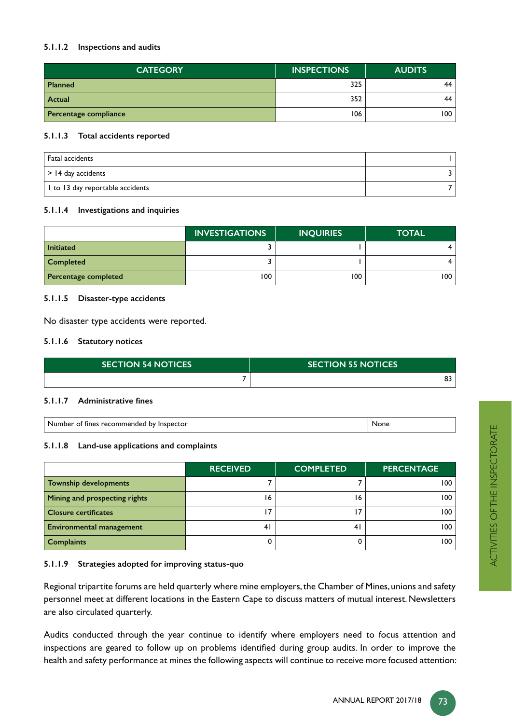#### **5.1.1.2 Inspections and audits**

| <b>CATEGORY</b>       | <b>INSPECTIONS</b> | <b>AUDITS</b> |
|-----------------------|--------------------|---------------|
| <b>Planned</b>        | 325                | 44            |
| Actual                | 352                | 44            |
| Percentage compliance | 106                | 100           |

#### **5.1.1.3 Total accidents reported**

| Fatal accidents                  |  |
|----------------------------------|--|
| $\vert$ > 14 day accidents       |  |
| I to 13 day reportable accidents |  |

#### **5.1.1.4 Investigations and inquiries**

|                      | <b>INVESTIGATIONS</b> | <b>INQUIRIES</b> | <b>TOTAL</b> |
|----------------------|-----------------------|------------------|--------------|
| <b>Initiated</b>     |                       |                  |              |
| <b>Completed</b>     |                       |                  |              |
| Percentage completed | 100                   | 100              | 100          |

#### **5.1.1.5 Disaster-type accidents**

No disaster type accidents were reported.

#### **5.1.1.6 Statutory notices**

| <b>SECTION 54 NOTICES</b> | <b>SECTION 55 NOTICES</b> |
|---------------------------|---------------------------|
|                           |                           |

#### 5.1.1.7 Administrative fines

| Number of fines recommended by Inspector | None |
|------------------------------------------|------|
|------------------------------------------|------|

#### **5.1.1.8 Land-use applications and complaints**

|                                 | <b>RECEIVED</b> | <b>COMPLETED</b> | <b>PERCENTAGE</b> |
|---------------------------------|-----------------|------------------|-------------------|
| <b>Township developments</b>    |                 |                  | 100               |
| Mining and prospecting rights   | 16              | 16               | 100               |
| <b>Closure certificates</b>     |                 |                  | 100               |
| <b>Environmental management</b> | 4 <sub>1</sub>  | 4 <sub>1</sub>   | 100               |
| <b>Complaints</b>               |                 |                  | 100               |

#### **5.1.1.9 Strategies adopted for improving status-quo**

Regional tripartite forums are held quarterly where mine employers, the Chamber of Mines, unions and safety personnel meet at different locations in the Eastern Cape to discuss matters of mutual interest. Newsletters are also circulated quarterly.

Audits conducted through the year continue to identify where employers need to focus attention and inspections are geared to follow up on problems identified during group audits. In order to improve the health and safety performance at mines the following aspects will continue to receive more focused attention: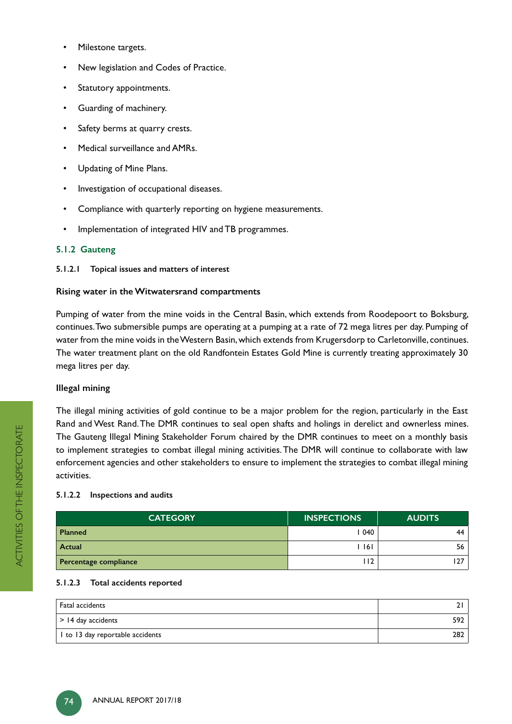- Milestone targets.
- New legislation and Codes of Practice.
- Statutory appointments.
- Guarding of machinery.
- Safety berms at quarry crests.
- Medical surveillance and AMRs.
- Updating of Mine Plans.
- Investigation of occupational diseases.
- Compliance with quarterly reporting on hygiene measurements.
- Implementation of integrated HIV and TB programmes.

#### **5.1.2 Gauteng**

**5.1.2.1 Topical issues and matters of interest**

#### **Rising water in the Witwatersrand compartments**

Pumping of water from the mine voids in the Central Basin, which extends from Roodepoort to Boksburg, continues. Two submersible pumps are operating at a pumping at a rate of 72 mega litres per day. Pumping of water from the mine voids in the Western Basin, which extends from Krugersdorp to Carletonville, continues. The water treatment plant on the old Randfontein Estates Gold Mine is currently treating approximately 30 mega litres per day.

#### **Illegal mining**

The illegal mining activities of gold continue to be a major problem for the region, particularly in the East Rand and West Rand. The DMR continues to seal open shafts and holings in derelict and ownerless mines. The Gauteng Illegal Mining Stakeholder Forum chaired by the DMR continues to meet on a monthly basis to implement strategies to combat illegal mining activities. The DMR will continue to collaborate with law enforcement agencies and other stakeholders to ensure to implement the strategies to combat illegal mining activities.

#### **5.1.2.2 Inspections and audits**

| <b>CATEGORY</b>       | <b>INSPECTIONS</b> | <b>AUDITS</b> |
|-----------------------|--------------------|---------------|
| <b>Planned</b>        | 1040               | 44            |
| Actual                | l 161              | 56            |
| Percentage compliance | ' 12               | 27            |

# **5.1.2.3 Total accidents reported**

| Fatal accidents                  |     |
|----------------------------------|-----|
| $>$ 14 day accidents             | 592 |
| I to 13 day reportable accidents | 282 |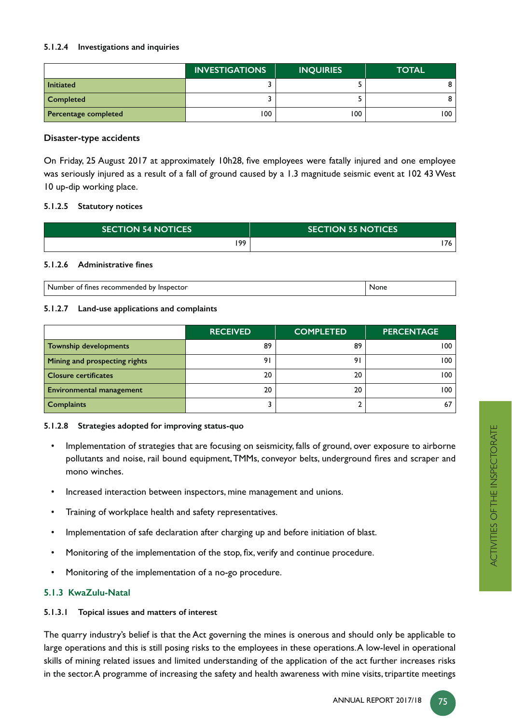#### **5.1.2.4 Investigations and inquiries**

|                      | <b>INVESTIGATIONS</b> | <b>INQUIRIES</b> | <b>TOTAL</b> |
|----------------------|-----------------------|------------------|--------------|
| <b>Initiated</b>     |                       |                  |              |
| <b>Completed</b>     |                       |                  |              |
| Percentage completed | 100                   | 100              | 100.         |

#### **Disaster-type accidents**

On Friday, 25 August 2017 at approximately 10h28, five employees were fatally injured and one employee was seriously injured as a result of a fall of ground caused by a 1.3 magnitude seismic event at 102 43 West 10 up-dip working place.

#### **5.1.2.5 Statutory notices**

| <b>SECTION 54 NOTICES</b> | <b>SECTION 55 NOTICES</b> |
|---------------------------|---------------------------|
| 199                       |                           |

#### 5.1.2.6 Administrative fines

| -Nh<br>ער<br>-tor<br>16<br>inspe.<br>rınes<br>o<br>، دے<br>ne.<br>. | uone |
|---------------------------------------------------------------------|------|
|---------------------------------------------------------------------|------|

#### **5.1.2.7 Land-use applications and complaints**

|                                 | <b>RECEIVED</b> | <b>COMPLETED</b> | <b>PERCENTAGE</b> |
|---------------------------------|-----------------|------------------|-------------------|
| <b>Township developments</b>    | 89              | 89               | 100               |
| Mining and prospecting rights   | 91              | 9                | 100               |
| <b>Closure certificates</b>     | 20              | 20               | 100               |
| <b>Environmental management</b> | 20              | 20               | 100               |
| <b>Complaints</b>               |                 |                  | 67                |

#### **5.1.2.8 Strategies adopted for improving status-quo**

- Implementation of strategies that are focusing on seismicity, falls of ground, over exposure to airborne pollutants and noise, rail bound equipment, TMMs, conveyor belts, underground fires and scraper and mono winches.
- Increased interaction between inspectors, mine management and unions.
- Training of workplace health and safety representatives.
- Implementation of safe declaration after charging up and before initiation of blast.
- Monitoring of the implementation of the stop, fix, verify and continue procedure.
- Monitoring of the implementation of a no-go procedure.

#### **5.1.3 KwaZulu-Natal**

#### **5.1.3.1 Topical issues and matters of interest**

The quarry industry's belief is that the Act governing the mines is onerous and should only be applicable to large operations and this is still posing risks to the employees in these operations. A low-level in operational skills of mining related issues and limited understanding of the application of the act further increases risks in the sector. A programme of increasing the safety and health awareness with mine visits, tripartite meetings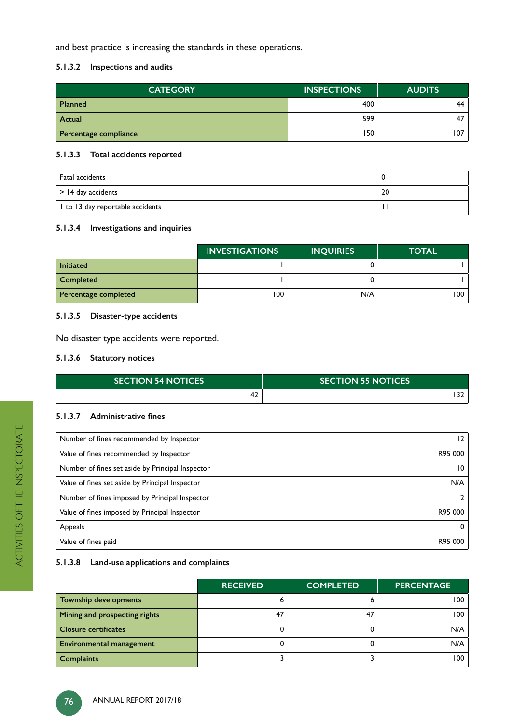and best practice is increasing the standards in these operations.

#### **5.1.3.2 Inspections and audits**

| <b>CATEGORY</b>       | <b>INSPECTIONS</b> | <b>AUDITS</b> |
|-----------------------|--------------------|---------------|
| <b>Planned</b>        | 400                | 44            |
| <b>Actual</b>         | 599                | 47            |
| Percentage compliance | 150                | 107           |

#### **5.1.3.3 Total accidents reported**

| Fatal accidents                  |    |
|----------------------------------|----|
| $\vert$ > 14 day accidents       | 20 |
| I to 13 day reportable accidents |    |

#### **5.1.3.4 Investigations and inquiries**

|                      | <b>INVESTIGATIONS</b> | <b>INQUIRIES</b> | <b>TOTAL</b> |
|----------------------|-----------------------|------------------|--------------|
| <b>Initiated</b>     |                       |                  |              |
| <b>Completed</b>     |                       |                  |              |
| Percentage completed | 100                   | N/A              | 100          |

# **5.1.3.5 Disaster-type accidents**

No disaster type accidents were reported.

#### **5.1.3.6 Statutory notices**

| <b>SECTION 54 NOTICES</b> | <b>SECTION 55 NOTICES</b> |  |
|---------------------------|---------------------------|--|
| יי                        |                           |  |

#### 5.1.3.7 Administrative fines

| Number of fines recommended by Inspector         | 12      |
|--------------------------------------------------|---------|
| Value of fines recommended by Inspector          | R95 000 |
| Number of fines set aside by Principal Inspector | 10      |
| Value of fines set aside by Principal Inspector  | N/A     |
| Number of fines imposed by Principal Inspector   |         |
| Value of fines imposed by Principal Inspector    | R95 000 |
| Appeals                                          | 0       |
| Value of fines paid                              | R95 000 |

#### **5.1.3.8 Land-use applications and complaints**

|                                 | <b>RECEIVED</b> | <b>COMPLETED</b> | <b>PERCENTAGE</b> |
|---------------------------------|-----------------|------------------|-------------------|
| <b>Township developments</b>    |                 |                  | 100               |
| Mining and prospecting rights   | 47              | 47               | 100               |
| <b>Closure certificates</b>     |                 |                  | N/A               |
| <b>Environmental management</b> |                 |                  | N/A               |
| <b>Complaints</b>               |                 |                  | 100               |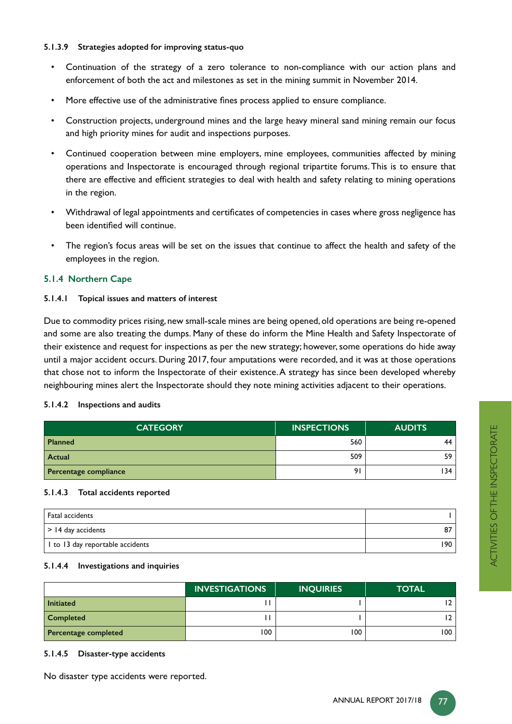#### **5.1.3.9 Strategies adopted for improving status-quo**

- Continuation of the strategy of a zero tolerance to non-compliance with our action plans and enforcement of both the act and milestones as set in the mining summit in November 2014.
- More effective use of the administrative fines process applied to ensure compliance.
- Construction projects, underground mines and the large heavy mineral sand mining remain our focus and high priority mines for audit and inspections purposes.
- Continued cooperation between mine employers, mine employees, communities affected by mining operations and Inspectorate is encouraged through regional tripartite forums. This is to ensure that there are effective and efficient strategies to deal with health and safety relating to mining operations in the region.
- Withdrawal of legal appointments and certificates of competencies in cases where gross negligence has been identified will continue.
- The region's focus areas will be set on the issues that continue to affect the health and safety of the employees in the region.

#### **5.1.4 Northern Cape**

#### **5.1.4.1 Topical issues and matters of interest**

Due to commodity prices rising, new small-scale mines are being opened, old operations are being re-opened and some are also treating the dumps. Many of these do inform the Mine Health and Safety Inspectorate of their existence and request for inspections as per the new strategy; however, some operations do hide away until a major accident occurs. During 2017, four amputations were recorded, and it was at those operations that chose not to inform the Inspectorate of their existence. A strategy has since been developed whereby neighbouring mines alert the Inspectorate should they note mining activities adjacent to their operations.

#### **5.1.4.2 Inspections and audits**

| <b>CATEGORY</b>       | <b>INSPECTIONS</b> | <b>AUDITS</b> |
|-----------------------|--------------------|---------------|
| <b>Planned</b>        | 560                | 44            |
| Actual                | 509                | 59            |
| Percentage compliance | 91                 | 134           |

#### **5.1.4.3 Total accidents reported**

| <sup>1</sup> Fatal accidents     |    |
|----------------------------------|----|
| $\vert$ > 14 day accidents       | 87 |
| I to 13 day reportable accidents | 90 |

#### **5.1.4.4 Investigations and inquiries**

|                      | <b>INVESTIGATIONS</b> | <b>INQUIRIES</b> | <b>TOTAL</b> |
|----------------------|-----------------------|------------------|--------------|
| <b>Initiated</b>     |                       |                  | 12           |
| <b>Completed</b>     |                       |                  | 12           |
| Percentage completed | 100                   | 100              | 100          |

#### **5.1.4.5 Disaster-type accidents**

No disaster type accidents were reported.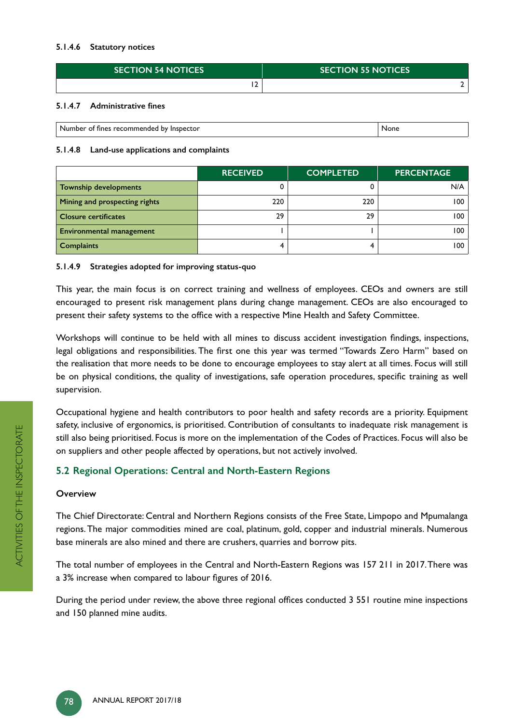#### **5.1.4.6 Statutory notices**

| <b>SECTION 54 NOTICES</b> | <b>SECTION 55 NOTICES</b> |
|---------------------------|---------------------------|
|                           |                           |

#### 5.1.4.7 Administrative fines

| Number<br>' Inspector<br>: recommended<br>.<br><b>TINES</b><br>nv<br>ΩT | None |
|-------------------------------------------------------------------------|------|

#### **5.1.4.8 Land-use applications and complaints**

|                                 | <b>RECEIVED</b> | <b>COMPLETED</b> | <b>PERCENTAGE</b> |
|---------------------------------|-----------------|------------------|-------------------|
| <b>Township developments</b>    |                 |                  | N/A               |
| Mining and prospecting rights   | 220             | 220              | 100               |
| <b>Closure certificates</b>     | 29              | 29               | 100               |
| <b>Environmental management</b> |                 |                  | 100               |
| <b>Complaints</b>               |                 |                  | 100               |

#### **5.1.4.9 Strategies adopted for improving status-quo**

This year, the main focus is on correct training and wellness of employees. CEOs and owners are still encouraged to present risk management plans during change management. CEOs are also encouraged to present their safety systems to the office with a respective Mine Health and Safety Committee.

Workshops will continue to be held with all mines to discuss accident investigation findings, inspections, legal obligations and responsibilities. The first one this year was termed "Towards Zero Harm" based on the realisation that more needs to be done to encourage employees to stay alert at all times. Focus will still be on physical conditions, the quality of investigations, safe operation procedures, specific training as well supervision.

Occupational hygiene and health contributors to poor health and safety records are a priority. Equipment safety, inclusive of ergonomics, is prioritised. Contribution of consultants to inadequate risk management is still also being prioritised. Focus is more on the implementation of the Codes of Practices. Focus will also be on suppliers and other people affected by operations, but not actively involved.

# **5.2 Regional Operations: Central and North-Eastern Regions**

#### **Overview**

The Chief Directorate: Central and Northern Regions consists of the Free State, Limpopo and Mpumalanga regions. The major commodities mined are coal, platinum, gold, copper and industrial minerals. Numerous base minerals are also mined and there are crushers, quarries and borrow pits.

The total number of employees in the Central and North-Eastern Regions was 157 211 in 2017. There was a 3% increase when compared to labour figures of 2016.

During the period under review, the above three regional offices conducted 3 551 routine mine inspections and 150 planned mine audits.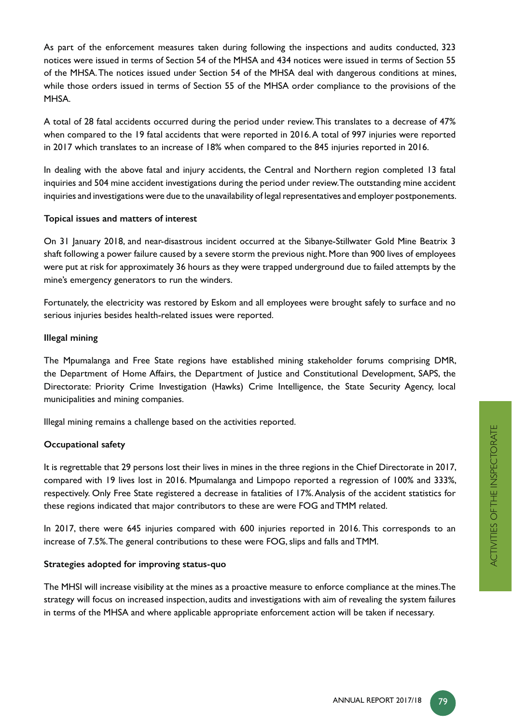As part of the enforcement measures taken during following the inspections and audits conducted, 323 notices were issued in terms of Section 54 of the MHSA and 434 notices were issued in terms of Section 55 of the MHSA. The notices issued under Section 54 of the MHSA deal with dangerous conditions at mines, while those orders issued in terms of Section 55 of the MHSA order compliance to the provisions of the MHSA.

A total of 28 fatal accidents occurred during the period under review. This translates to a decrease of 47% when compared to the 19 fatal accidents that were reported in 2016. A total of 997 injuries were reported in 2017 which translates to an increase of 18% when compared to the 845 injuries reported in 2016.

In dealing with the above fatal and injury accidents, the Central and Northern region completed 13 fatal inquiries and 504 mine accident investigations during the period under review. The outstanding mine accident inquiries and investigations were due to the unavailability of legal representatives and employer postponements.

#### **Topical issues and matters of interest**

On 31 January 2018, and near-disastrous incident occurred at the Sibanye-Stillwater Gold Mine Beatrix 3 shaft following a power failure caused by a severe storm the previous night. More than 900 lives of employees were put at risk for approximately 36 hours as they were trapped underground due to failed attempts by the mine's emergency generators to run the winders.

Fortunately, the electricity was restored by Eskom and all employees were brought safely to surface and no serious injuries besides health-related issues were reported.

#### **Illegal mining**

The Mpumalanga and Free State regions have established mining stakeholder forums comprising DMR, the Department of Home Affairs, the Department of Justice and Constitutional Development, SAPS, the Directorate: Priority Crime Investigation (Hawks) Crime Intelligence, the State Security Agency, local municipalities and mining companies.

Illegal mining remains a challenge based on the activities reported.

#### **Occupational safety**

It is regrettable that 29 persons lost their lives in mines in the three regions in the Chief Directorate in 2017, compared with 19 lives lost in 2016. Mpumalanga and Limpopo reported a regression of 100% and 333%, respectively. Only Free State registered a decrease in fatalities of 17%. Analysis of the accident statistics for these regions indicated that major contributors to these are were FOG and TMM related.

In 2017, there were 645 injuries compared with 600 injuries reported in 2016. This corresponds to an increase of 7.5%. The general contributions to these were FOG, slips and falls and TMM.

#### **Strategies adopted for improving status-quo**

The MHSI will increase visibility at the mines as a proactive measure to enforce compliance at the mines. The strategy will focus on increased inspection, audits and investigations with aim of revealing the system failures in terms of the MHSA and where applicable appropriate enforcement action will be taken if necessary.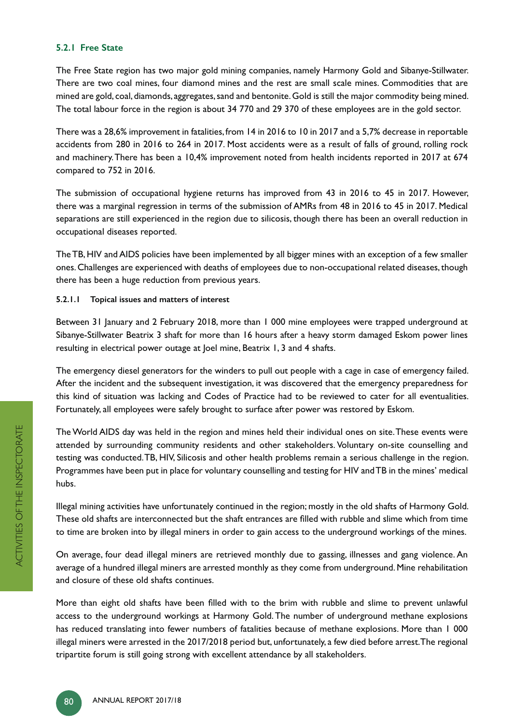#### **5.2.1 Free State**

The Free State region has two major gold mining companies, namely Harmony Gold and Sibanye-Stillwater. There are two coal mines, four diamond mines and the rest are small scale mines. Commodities that are mined are gold, coal, diamonds, aggregates, sand and bentonite. Gold is still the major commodity being mined. The total labour force in the region is about 34 770 and 29 370 of these employees are in the gold sector.

There was a 28,6% improvement in fatalities, from 14 in 2016 to 10 in 2017 and a 5,7% decrease in reportable accidents from 280 in 2016 to 264 in 2017. Most accidents were as a result of falls of ground, rolling rock and machinery. There has been a 10,4% improvement noted from health incidents reported in 2017 at 674 compared to 752 in 2016.

The submission of occupational hygiene returns has improved from 43 in 2016 to 45 in 2017. However, there was a marginal regression in terms of the submission of AMRs from 48 in 2016 to 45 in 2017. Medical separations are still experienced in the region due to silicosis, though there has been an overall reduction in occupational diseases reported.

The TB, HIV and AIDS policies have been implemented by all bigger mines with an exception of a few smaller ones. Challenges are experienced with deaths of employees due to non-occupational related diseases, though there has been a huge reduction from previous years.

**5.2.1.1 Topical issues and matters of interest**

Between 31 January and 2 February 2018, more than 1 000 mine employees were trapped underground at Sibanye-Stillwater Beatrix 3 shaft for more than 16 hours after a heavy storm damaged Eskom power lines resulting in electrical power outage at Joel mine, Beatrix 1, 3 and 4 shafts.

The emergency diesel generators for the winders to pull out people with a cage in case of emergency failed. After the incident and the subsequent investigation, it was discovered that the emergency preparedness for this kind of situation was lacking and Codes of Practice had to be reviewed to cater for all eventualities. Fortunately, all employees were safely brought to surface after power was restored by Eskom.

The World AIDS day was held in the region and mines held their individual ones on site. These events were attended by surrounding community residents and other stakeholders. Voluntary on-site counselling and testing was conducted. TB, HIV, Silicosis and other health problems remain a serious challenge in the region. Programmes have been put in place for voluntary counselling and testing for HIV and TB in the mines' medical hubs.

Illegal mining activities have unfortunately continued in the region; mostly in the old shafts of Harmony Gold. These old shafts are interconnected but the shaft entrances are filled with rubble and slime which from time to time are broken into by illegal miners in order to gain access to the underground workings of the mines.

On average, four dead illegal miners are retrieved monthly due to gassing, illnesses and gang violence. An average of a hundred illegal miners are arrested monthly as they come from underground. Mine rehabilitation and closure of these old shafts continues.

More than eight old shafts have been filled with to the brim with rubble and slime to prevent unlawful access to the underground workings at Harmony Gold. The number of underground methane explosions has reduced translating into fewer numbers of fatalities because of methane explosions. More than 1 000 illegal miners were arrested in the 2017/2018 period but, unfortunately, a few died before arrest. The regional tripartite forum is still going strong with excellent attendance by all stakeholders.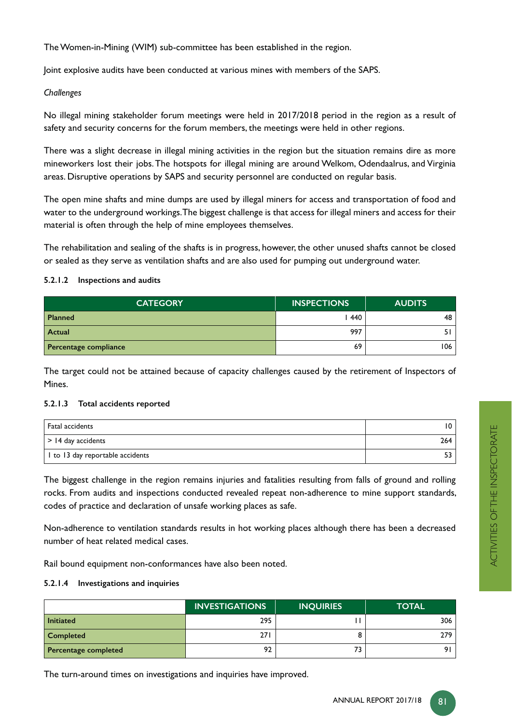The Women-in-Mining (WIM) sub-committee has been established in the region.

Joint explosive audits have been conducted at various mines with members of the SAPS.

#### *Challenges*

No illegal mining stakeholder forum meetings were held in 2017/2018 period in the region as a result of safety and security concerns for the forum members, the meetings were held in other regions.

There was a slight decrease in illegal mining activities in the region but the situation remains dire as more mineworkers lost their jobs. The hotspots for illegal mining are around Welkom, Odendaalrus, and Virginia areas. Disruptive operations by SAPS and security personnel are conducted on regular basis.

The open mine shafts and mine dumps are used by illegal miners for access and transportation of food and water to the underground workings. The biggest challenge is that access for illegal miners and access for their material is often through the help of mine employees themselves.

The rehabilitation and sealing of the shafts is in progress, however, the other unused shafts cannot be closed or sealed as they serve as ventilation shafts and are also used for pumping out underground water.

#### **5.2.1.2 Inspections and audits**

| <b>CATEGORY</b>       | <b>INSPECTIONS</b> | <b>AUDITS</b> |
|-----------------------|--------------------|---------------|
| <b>Planned</b>        | 1440               | 48            |
| Actual                | 997                |               |
| Percentage compliance | 69                 | 106           |

The target could not be attained because of capacity challenges caused by the retirement of Inspectors of Mines.

#### **5.2.1.3 Total accidents reported**

| Fatal accidents                  | 10. |
|----------------------------------|-----|
| $\vert$ > 14 day accidents       | 264 |
| I to 13 day reportable accidents |     |

The biggest challenge in the region remains injuries and fatalities resulting from falls of ground and rolling rocks. From audits and inspections conducted revealed repeat non-adherence to mine support standards, codes of practice and declaration of unsafe working places as safe.

Non-adherence to ventilation standards results in hot working places although there has been a decreased number of heat related medical cases.

Rail bound equipment non-conformances have also been noted.

#### **5.2.1.4 Investigations and inquiries**

|                      | <b>INVESTIGATIONS</b> | <b>INQUIRIES</b> | <b>TOTAL</b> |
|----------------------|-----------------------|------------------|--------------|
| <b>Initiated</b>     | 295                   |                  | 306          |
| <b>Completed</b>     | 271                   |                  | 279          |
| Percentage completed | 92                    |                  | 91.          |

The turn-around times on investigations and inquiries have improved.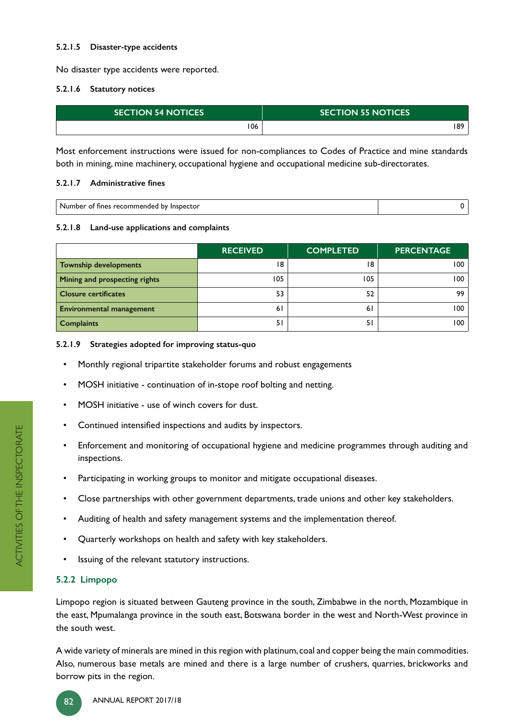#### **5.2.1.5 Disaster-type accidents**

No disaster type accidents were reported.

#### **5.2.1.6 Statutory notices**

| <b>SECTION 54 NOTICES</b> | <b>SECTION 55 NOTICES</b> |
|---------------------------|---------------------------|
| 06                        | 189                       |

Most enforcement instructions were issued for non-compliances to Codes of Practice and mine standards both in mining, mine machinery, occupational hygiene and occupational medicine sub-directorates.

#### 5.2.1.7 Administrative fines

| hv<br>tines<br>insner<br>- 20<br>ΩT<br>mer<br>ector<br>חוזו<br>. |  |
|------------------------------------------------------------------|--|
|                                                                  |  |

#### **5.2.1.8 Land-use applications and complaints**

|                                 | <b>RECEIVED</b> | <b>COMPLETED</b> | <b>PERCENTAGE</b> |
|---------------------------------|-----------------|------------------|-------------------|
| <b>Township developments</b>    | 18              | 18               | 100               |
| Mining and prospecting rights   | 105             | 105              | 100               |
| <b>Closure certificates</b>     | 53              | 52               | 99                |
| <b>Environmental management</b> | 61              | 61               | 100               |
| <b>Complaints</b>               | 51              |                  | 100               |

#### **5.2.1.9 Strategies adopted for improving status-quo**

- Monthly regional tripartite stakeholder forums and robust engagements
- MOSH initiative continuation of in-stope roof bolting and netting.
- MOSH initiative use of winch covers for dust.
- Continued intensified inspections and audits by inspectors.
- Enforcement and monitoring of occupational hygiene and medicine programmes through auditing and inspections.
- Participating in working groups to monitor and mitigate occupational diseases.
- Close partnerships with other government departments, trade unions and other key stakeholders.
- Auditing of health and safety management systems and the implementation thereof.
- Quarterly workshops on health and safety with key stakeholders.
- Issuing of the relevant statutory instructions.

# **5.2.2 Limpopo**

Limpopo region is situated between Gauteng province in the south, Zimbabwe in the north, Mozambique in the east, Mpumalanga province in the south east, Botswana border in the west and North-West province in the south west.

A wide variety of minerals are mined in this region with platinum, coal and copper being the main commodities. Also, numerous base metals are mined and there is a large number of crushers, quarries, brickworks and borrow pits in the region.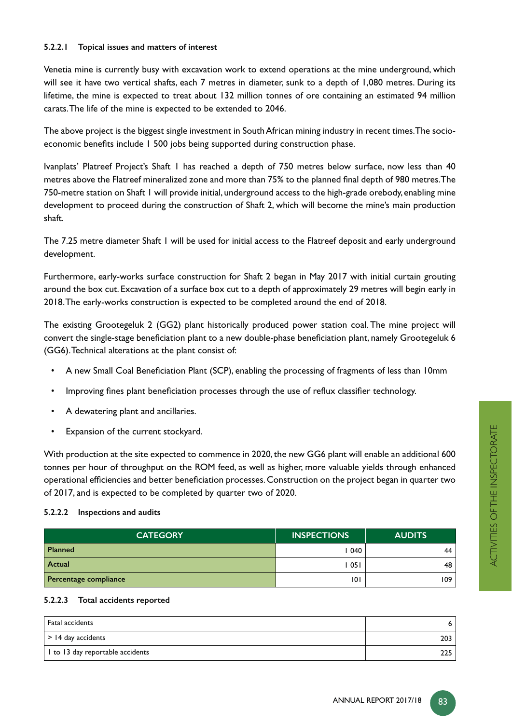#### **5.2.2.1 Topical issues and matters of interest**

Venetia mine is currently busy with excavation work to extend operations at the mine underground, which will see it have two vertical shafts, each 7 metres in diameter, sunk to a depth of 1,080 metres. During its lifetime, the mine is expected to treat about 132 million tonnes of ore containing an estimated 94 million carats. The life of the mine is expected to be extended to 2046.

The above project is the biggest single investment in South African mining industry in recent times. The socio economic benefits include 1 500 jobs being supported during construction phase.

Ivanplats' Platreef Project's Shaft 1 has reached a depth of 750 metres below surface, now less than 40 metres above the Flatreef mineralized zone and more than 75% to the planned final depth of 980 metres.The 750-metre station on Shaft 1 will provide initial, underground access to the high-grade orebody, enabling mine development to proceed during the construction of Shaft 2, which will become the mine's main production shaft.

The 7.25 metre diameter Shaft 1 will be used for initial access to the Flatreef deposit and early underground development.

Furthermore, early-works surface construction for Shaft 2 began in May 2017 with initial curtain grouting around the box cut. Excavation of a surface box cut to a depth of approximately 29 metres will begin early in 2018. The early-works construction is expected to be completed around the end of 2018.

The existing Grootegeluk 2 (GG2) plant historically produced power station coal. The mine project will convert the single-stage beneficiation plant to a new double-phase beneficiation plant, namely Grootegeluk 6 (GG6). Technical alterations at the plant consist of:

- $\;$  A new Small Coal Beneficiation Plant (SCP), enabling the processing of fragments of less than 10mm
- Improving fines plant beneficiation processes through the use of reflux classifier technology.
- A dewatering plant and ancillaries.
- Expansion of the current stockyard.

With production at the site expected to commence in 2020, the new GG6 plant will enable an additional 600 tonnes per hour of throughput on the ROM feed, as well as higher, more valuable yields through enhanced operational efficiencies and better beneficiation processes. Construction on the project began in quarter two of 2017, and is expected to be completed by quarter two of 2020.

#### **5.2.2.2 Inspections and audits**

| <b>CATEGORY</b>       | <b>INSPECTIONS</b> | <b>AUDITS</b> |
|-----------------------|--------------------|---------------|
| Planned               | 040                | 44            |
| Actual                | 051                | 48            |
| Percentage compliance | 0                  | 109           |

#### **5.2.2.3 Total accidents reported**

| Fatal accidents                  |     |
|----------------------------------|-----|
| $\vert$ > 14 day accidents       | 203 |
| I to 13 day reportable accidents | ววย |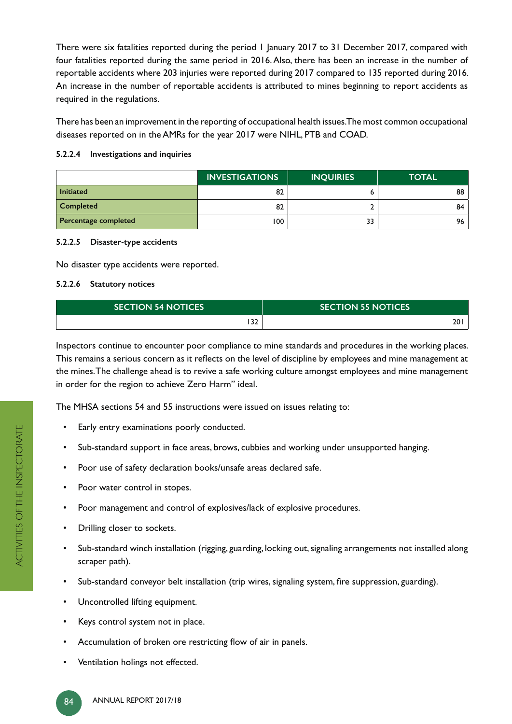There were six fatalities reported during the period 1 January 2017 to 31 December 2017, compared with four fatalities reported during the same period in 2016. Also, there has been an increase in the number of reportable accidents where 203 injuries were reported during 2017 compared to 135 reported during 2016. An increase in the number of reportable accidents is attributed to mines beginning to report accidents as required in the regulations.

There has been an improvement in the reporting of occupational health issues. The most common occupational diseases reported on in the AMRs for the year 2017 were NIHL, PTB and COAD.

#### **5.2.2.4 Investigations and inquiries**

|                      | <b>INVESTIGATIONS</b> | <b>INQUIRIES</b> | <b>TOTAL</b> |
|----------------------|-----------------------|------------------|--------------|
| <b>Initiated</b>     | 82                    |                  | 88           |
| <b>Completed</b>     | 82                    |                  | 84           |
| Percentage completed | 100                   | 33               | 96           |

#### **5.2.2.5 Disaster-type accidents**

No disaster type accidents were reported.

#### **5.2.2.6 Statutory notices**

| <b>ISECTION 54 NOTICES</b> | <b>SECTION 55 NOTICES</b> |
|----------------------------|---------------------------|
| רכ<br>34                   | 20                        |

Inspectors continue to encounter poor compliance to mine standards and procedures in the working places. This remains a serious concern as it reflects on the level of discipline by employees and mine management at the mines. The challenge ahead is to revive a safe working culture amongst employees and mine management in order for the region to achieve Zero Harm" ideal.

The MHSA sections 54 and 55 instructions were issued on issues relating to:

- Early entry examinations poorly conducted.
- Sub-standard support in face areas, brows, cubbies and working under unsupported hanging.
- Poor use of safety declaration books/unsafe areas declared safe.
- Poor water control in stopes.
- Poor management and control of explosives/lack of explosive procedures.
- Drilling closer to sockets.
- Sub-standard winch installation (rigging, guarding, locking out, signaling arrangements not installed along scraper path).
- Sub-standard conveyor belt installation (trip wires, signaling system, fire suppression, guarding).
- Uncontrolled lifting equipment.
- Keys control system not in place.
- Accumulation of broken ore restricting flow of air in panels.
- Ventilation holings not effected.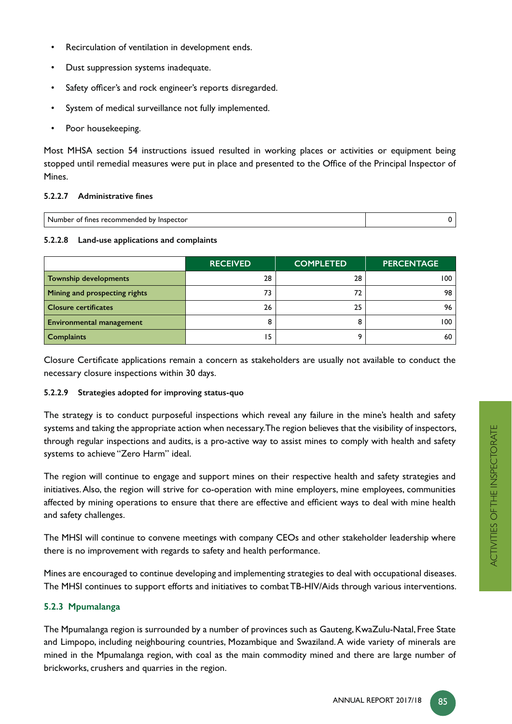- Recirculation of ventilation in development ends.
- Dust suppression systems inadequate.
- Safety officer's and rock engineer's reports disregarded.
- System of medical surveillance not fully implemented.
- Poor housekeeping.

Most MHSA section 54 instructions issued resulted in working places or activities or equipment being stopped until remedial measures were put in place and presented to the Office of the Principal Inspector of Mines.

#### 5.2.2.7 Administrative fines

| ю<br>n<br> |  |
|------------|--|
|            |  |

#### **5.2.2.8 Land-use applications and complaints**

|                                 | <b>RECEIVED</b> | <b>COMPLETED</b> | <b>PERCENTAGE</b> |
|---------------------------------|-----------------|------------------|-------------------|
| <b>Township developments</b>    | 28              | 28               | 100               |
| Mining and prospecting rights   | 73              | 72               | 98                |
| <b>Closure certificates</b>     | 26              | 25               | 96                |
| <b>Environmental management</b> |                 |                  | 100               |
| <b>Complaints</b>               | 15              |                  | 60                |

Closure Certificate applications remain a concern as stakeholders are usually not available to conduct the necessary closure inspections within 30 days.

#### **5.2.2.9 Strategies adopted for improving status-quo**

The strategy is to conduct purposeful inspections which reveal any failure in the mine's health and safety systems and taking the appropriate action when necessary. The region believes that the visibility of inspectors, through regular inspections and audits, is a pro-active way to assist mines to comply with health and safety systems to achieve "Zero Harm" ideal.

The region will continue to engage and support mines on their respective health and safety strategies and initiatives. Also, the region will strive for co-operation with mine employers, mine employees, communities affected by mining operations to ensure that there are effective and efficient ways to deal with mine health and safety challenges.

The MHSI will continue to convene meetings with company CEOs and other stakeholder leadership where there is no improvement with regards to safety and health performance.

Mines are encouraged to continue developing and implementing strategies to deal with occupational diseases. The MHSI continues to support efforts and initiatives to combat TB-HIV/Aids through various interventions.

# **5.2.3 Mpumalanga**

The Mpumalanga region is surrounded by a number of provinces such as Gauteng, KwaZulu-Natal, Free State and Limpopo, including neighbouring countries, Mozambique and Swaziland. A wide variety of minerals are mined in the Mpumalanga region, with coal as the main commodity mined and there are large number of brickworks, crushers and quarries in the region.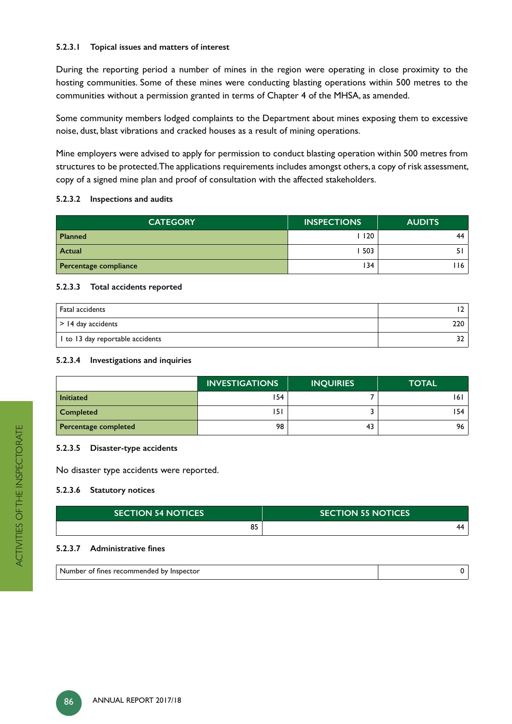#### **5.2.3.1 Topical issues and matters of interest**

During the reporting period a number of mines in the region were operating in close proximity to the hosting communities. Some of these mines were conducting blasting operations within 500 metres to the communities without a permission granted in terms of Chapter 4 of the MHSA, as amended.

Some community members lodged complaints to the Department about mines exposing them to excessive noise, dust, blast vibrations and cracked houses as a result of mining operations.

Mine employers were advised to apply for permission to conduct blasting operation within 500 metres from structures to be protected. The applications requirements includes amongst others, a copy of risk assessment, copy of a signed mine plan and proof of consultation with the affected stakeholders.

#### **5.2.3.2 Inspections and audits**

| <b>CATEGORY</b>       | <b>INSPECTIONS</b> | <b>AUDITS</b> |
|-----------------------|--------------------|---------------|
| <b>Planned</b>        | 120                | 44            |
| Actual                | 503                |               |
| Percentage compliance | 134                | 16            |

#### **5.2.3.3 Total accidents reported**

| Fatal accidents                  |     |
|----------------------------------|-----|
| $\vert$ > 14 day accidents       | 220 |
| I to 13 day reportable accidents |     |

#### **5.2.3.4 Investigations and inquiries**

|                      | <b>INVESTIGATIONS</b> | <b>INQUIRIES</b> | <b>TOTAL</b> |
|----------------------|-----------------------|------------------|--------------|
| <b>Initiated</b>     | 154                   |                  | 161          |
| <b>Completed</b>     | 151                   |                  | 154          |
| Percentage completed | 98                    | 43               | 96           |

#### **5.2.3.5 Disaster-type accidents**

No disaster type accidents were reported.

#### **5.2.3.6 Statutory notices**

| <b>ISECTION 54 NOTICES</b> | <b>SECTION 55 NOTICES</b> |
|----------------------------|---------------------------|
| 0F<br>ບ                    | 44                        |

#### 5.2.3.7 Administrative fines

| <sup>.</sup> recommended<br>.<br>`bv<br>∵ insbector<br><b>TINES</b><br>Οī<br>mer |  |
|----------------------------------------------------------------------------------|--|
|----------------------------------------------------------------------------------|--|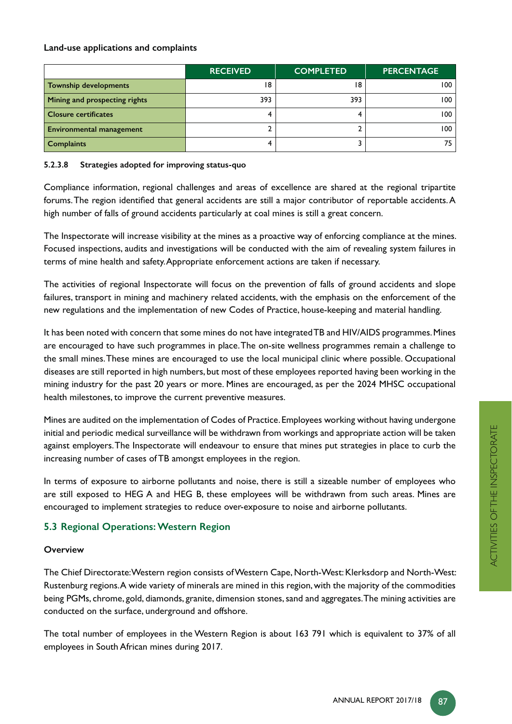## **Land-use applications and complaints**

|                                 | <b>RECEIVED</b> | <b>COMPLETED</b> | <b>PERCENTAGE</b> |
|---------------------------------|-----------------|------------------|-------------------|
| <b>Township developments</b>    | 18              | 18               | 100               |
| Mining and prospecting rights   | 393             | 393              | 100               |
| <b>Closure certificates</b>     |                 |                  | 100               |
| <b>Environmental management</b> |                 |                  | 100               |
| <b>Complaints</b>               |                 |                  | 75                |

#### **5.2.3.8 Strategies adopted for improving status-quo**

Compliance information, regional challenges and areas of excellence are shared at the regional tripartite forums. The region identified that general accidents are still a major contributor of reportable accidents. A high number of falls of ground accidents particularly at coal mines is still a great concern.

The Inspectorate will increase visibility at the mines as a proactive way of enforcing compliance at the mines. Focused inspections, audits and investigations will be conducted with the aim of revealing system failures in terms of mine health and safety. Appropriate enforcement actions are taken if necessary.

The activities of regional Inspectorate will focus on the prevention of falls of ground accidents and slope failures, transport in mining and machinery related accidents, with the emphasis on the enforcement of the new regulations and the implementation of new Codes of Practice, house-keeping and material handling.

It has been noted with concern that some mines do not have integrated TB and HIV/AIDS programmes. Mines are encouraged to have such programmes in place. The on-site wellness programmes remain a challenge to the small mines. These mines are encouraged to use the local municipal clinic where possible. Occupational diseases are still reported in high numbers, but most of these employees reported having been working in the mining industry for the past 20 years or more. Mines are encouraged, as per the 2024 MHSC occupational health milestones, to improve the current preventive measures.

Mines are audited on the implementation of Codes of Practice. Employees working without having undergone initial and periodic medical surveillance will be withdrawn from workings and appropriate action will be taken against employers. The Inspectorate will endeavour to ensure that mines put strategies in place to curb the increasing number of cases of TB amongst employees in the region.

In terms of exposure to airborne pollutants and noise, there is still a sizeable number of employees who are still exposed to HEG A and HEG B, these employees will be withdrawn from such areas. Mines are encouraged to implement strategies to reduce over-exposure to noise and airborne pollutants.

# **5.3 Regional Operations: Western Region**

#### **Overview**

The Chief Directorate: Western region consists of Western Cape, North-West: Klerksdorp and North-West: Rustenburg regions. A wide variety of minerals are mined in this region, with the majority of the commodities being PGMs, chrome, gold, diamonds, granite, dimension stones, sand and aggregates. The mining activities are conducted on the surface, underground and offshore.

The total number of employees in the Western Region is about 163 791 which is equivalent to 37% of all employees in South African mines during 2017.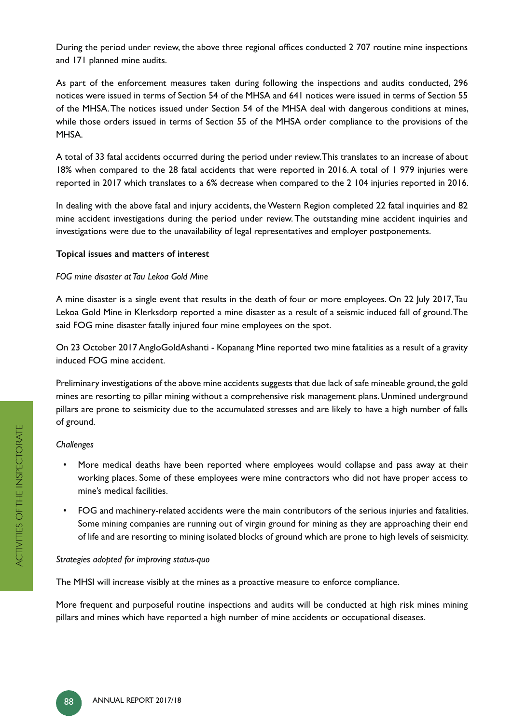During the period under review, the above three regional offices conducted 2 707 routine mine inspections and 171 planned mine audits.

As part of the enforcement measures taken during following the inspections and audits conducted, 296 notices were issued in terms of Section 54 of the MHSA and 641 notices were issued in terms of Section 55 of the MHSA. The notices issued under Section 54 of the MHSA deal with dangerous conditions at mines, while those orders issued in terms of Section 55 of the MHSA order compliance to the provisions of the MHSA.

A total of 33 fatal accidents occurred during the period under review. This translates to an increase of about 18% when compared to the 28 fatal accidents that were reported in 2016. A total of 1 979 injuries were reported in 2017 which translates to a 6% decrease when compared to the 2 104 injuries reported in 2016.

In dealing with the above fatal and injury accidents, the Western Region completed 22 fatal inquiries and 82 mine accident investigations during the period under review. The outstanding mine accident inquiries and investigations were due to the unavailability of legal representatives and employer postponements.

#### **Topical issues and matters of interest**

#### *FOG mine disaster at Tau Lekoa Gold Mine*

A mine disaster is a single event that results in the death of four or more employees. On 22 July 2017, Tau Lekoa Gold Mine in Klerksdorp reported a mine disaster as a result of a seismic induced fall of ground. The said FOG mine disaster fatally injured four mine employees on the spot.

On 23 October 2017 AngloGoldAshanti - Kopanang Mine reported two mine fatalities as a result of a gravity induced FOG mine accident.

Preliminary investigations of the above mine accidents suggests that due lack of safe mineable ground, the gold mines are resorting to pillar mining without a comprehensive risk management plans. Unmined underground pillars are prone to seismicity due to the accumulated stresses and are likely to have a high number of falls of ground.

#### *Challenges*

- More medical deaths have been reported where employees would collapse and pass away at their working places. Some of these employees were mine contractors who did not have proper access to mine's medical facilities.
- FOG and machinery-related accidents were the main contributors of the serious injuries and fatalities. Some mining companies are running out of virgin ground for mining as they are approaching their end of life and are resorting to mining isolated blocks of ground which are prone to high levels of seismicity.

#### *Strategies adopted for improving status-quo*

The MHSI will increase visibly at the mines as a proactive measure to enforce compliance.

More frequent and purposeful routine inspections and audits will be conducted at high risk mines mining pillars and mines which have reported a high number of mine accidents or occupational diseases.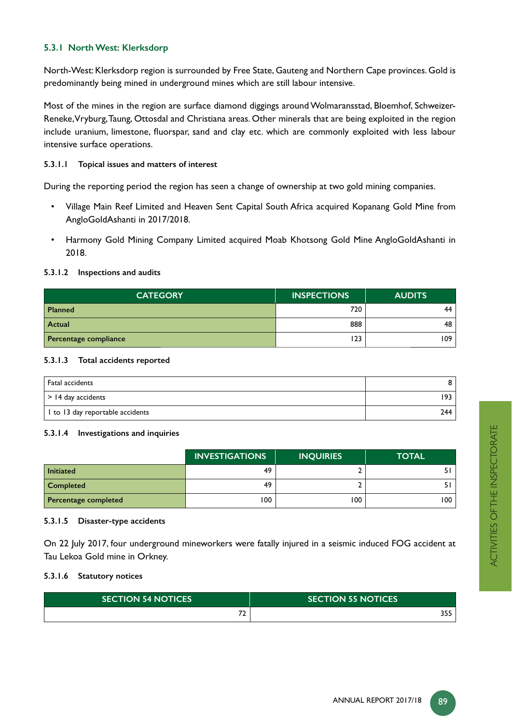# **5.3.1 North West: Klerksdorp**

North-West: Klerksdorp region is surrounded by Free State, Gauteng and Northern Cape provinces. Gold is predominantly being mined in underground mines which are still labour intensive.

Most of the mines in the region are surface diamond diggings around Wolmaransstad, Bloemhof, Schweizer-Reneke, Vryburg, Taung, Ottosdal and Christiana areas. Other minerals that are being exploited in the region include uranium, limestone, fluorspar, sand and clay etc. which are commonly exploited with less labour intensive surface operations.

#### **5.3.1.1 Topical issues and matters of interest**

During the reporting period the region has seen a change of ownership at two gold mining companies.

- Village Main Reef Limited and Heaven Sent Capital South Africa acquired Kopanang Gold Mine from AngloGoldAshanti in 2017/2018.
- Harmony Gold Mining Company Limited acquired Moab Khotsong Gold Mine AngloGoldAshanti in 2018.

#### **5.3.1.2 Inspections and audits**

| <b>CATEGORY</b>       | <b>INSPECTIONS</b> | <b>AUDITS</b> |
|-----------------------|--------------------|---------------|
| <b>Planned</b>        | 720                | 44            |
| Actual                | 888                | 48            |
| Percentage compliance | 123                | 109           |

#### **5.3.1.3 Total accidents reported**

| Fatal accidents                  |     |
|----------------------------------|-----|
| $\vert$ > 14 day accidents       | 193 |
| 1 to 13 day reportable accidents | 244 |

#### **5.3.1.4 Investigations and inquiries**

|                      | <b>INVESTIGATIONS</b> | <b>INQUIRIES</b> | <b>TOTAL</b> |
|----------------------|-----------------------|------------------|--------------|
| <b>Initiated</b>     | 49                    |                  | 51           |
| <b>Completed</b>     | 49                    |                  | 51           |
| Percentage completed | 100                   | 100              | 100          |

#### **5.3.1.5 Disaster-type accidents**

On 22 July 2017, four underground mineworkers were fatally injured in a seismic induced FOG accident at Tau Lekoa Gold mine in Orkney.

#### **5.3.1.6 Statutory notices**

| <b>ISECTION 54 NOTICES</b> | <b>SECTION 55 NOTICES</b> |
|----------------------------|---------------------------|
| $\sim$                     | <b>DEE</b><br>355         |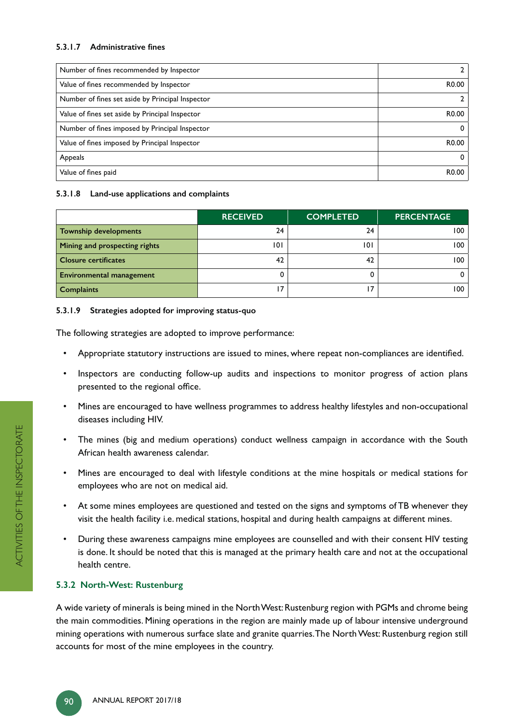#### 5.3.1.7 Administrative fines

| Number of fines recommended by Inspector         |                   |
|--------------------------------------------------|-------------------|
| Value of fines recommended by Inspector          | R <sub>0.00</sub> |
| Number of fines set aside by Principal Inspector |                   |
| Value of fines set aside by Principal Inspector  | R <sub>0.00</sub> |
| Number of fines imposed by Principal Inspector   | 0                 |
| Value of fines imposed by Principal Inspector    | R0.00             |
| Appeals                                          | 0                 |
| Value of fines paid                              | R0.00             |

#### **5.3.1.8 Land-use applications and complaints**

|                                 | <b>RECEIVED</b> | <b>COMPLETED</b> | <b>PERCENTAGE</b> |
|---------------------------------|-----------------|------------------|-------------------|
| <b>Township developments</b>    | 24              | 24               | 100               |
| Mining and prospecting rights   | 101             | 101              | 100               |
| <b>Closure certificates</b>     | 42              | 42               | 100               |
| <b>Environmental management</b> |                 |                  |                   |
| <b>Complaints</b>               |                 |                  | 100               |

#### **5.3.1.9 Strategies adopted for improving status-quo**

The following strategies are adopted to improve performance:

- Appropriate statutory instructions are issued to mines, where repeat non-compliances are identified.
- Inspectors are conducting follow-up audits and inspections to monitor progress of action plans presented to the regional office.
- Mines are encouraged to have wellness programmes to address healthy lifestyles and non-occupational diseases including HIV.
- The mines (big and medium operations) conduct wellness campaign in accordance with the South African health awareness calendar.
- Mines are encouraged to deal with lifestyle conditions at the mine hospitals or medical stations for employees who are not on medical aid.
- At some mines employees are questioned and tested on the signs and symptoms of TB whenever they visit the health facility i.e. medical stations, hospital and during health campaigns at different mines.
- During these awareness campaigns mine employees are counselled and with their consent HIV testing is done. It should be noted that this is managed at the primary health care and not at the occupational health centre.

# **5.3.2 North-West: Rustenburg**

A wide variety of minerals is being mined in the North West: Rustenburg region with PGMs and chrome being the main commodities. Mining operations in the region are mainly made up of labour intensive underground mining operations with numerous surface slate and granite quarries. The North West: Rustenburg region still accounts for most of the mine employees in the country.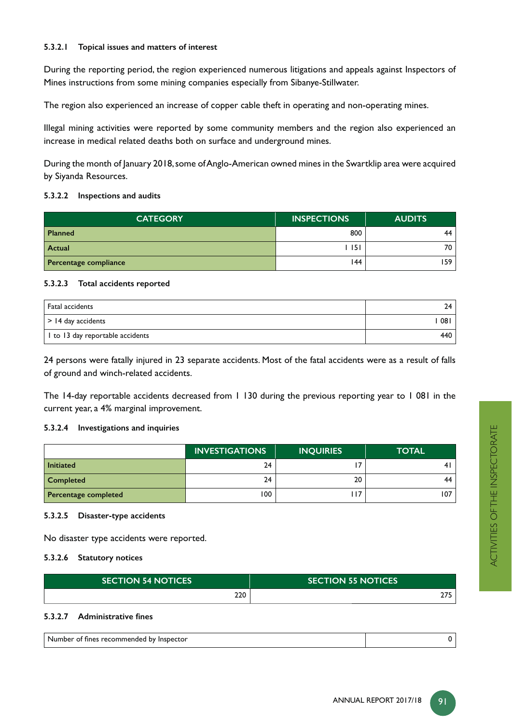#### **5.3.2.1 Topical issues and matters of interest**

During the reporting period, the region experienced numerous litigations and appeals against Inspectors of Mines instructions from some mining companies especially from Sibanye-Stillwater.

The region also experienced an increase of copper cable theft in operating and non-operating mines.

Illegal mining activities were reported by some community members and the region also experienced an increase in medical related deaths both on surface and underground mines.

During the month of January 2018, some of Anglo-American owned mines in the Swartklip area were acquired by Siyanda Resources.

#### **5.3.2.2 Inspections and audits**

| <b>CATEGORY</b>       | <b>INSPECTIONS</b> | <b>AUDITS</b> |
|-----------------------|--------------------|---------------|
| <b>Planned</b>        | 800                | 44            |
| Actual                | l 151              | 70            |
| Percentage compliance | 144                | 159           |

#### **5.3.2.3 Total accidents reported**

| Fatal accidents                  | 24  |
|----------------------------------|-----|
| $\vert$ > 14 day accidents       | 081 |
| I to 13 day reportable accidents | 440 |

24 persons were fatally injured in 23 separate accidents. Most of the fatal accidents were as a result of falls of ground and winch-related accidents.

The 14-day reportable accidents decreased from 1 130 during the previous reporting year to 1 081 in the current year, a 4% marginal improvement.

#### **5.3.2.4 Investigations and inquiries**

|                      | <b>INVESTIGATIONS</b> | <b>INQUIRIES</b> | <b>TOTAL</b> |
|----------------------|-----------------------|------------------|--------------|
| <b>Initiated</b>     | 24                    |                  | 41           |
| Completed            | 24                    | 20               | 44           |
| Percentage completed | 100                   | ד ו              | 107          |

#### **5.3.2.5 Disaster-type accidents**

No disaster type accidents were reported.

#### **5.3.2.6 Statutory notices**

| <b>SECTION 54 NOTICES</b> | <b>SECTION 55 NOTICES</b> |
|---------------------------|---------------------------|
| 220                       | <b>075</b><br>21 J        |

#### 5.3.2.7 Administrative fines

| --- <i>--</i> ---<br>- - -- -<br><b>Inspector</b><br>fines<br>rec<br>commenaea<br>. DV<br>ОT<br>'mber |  |
|-------------------------------------------------------------------------------------------------------|--|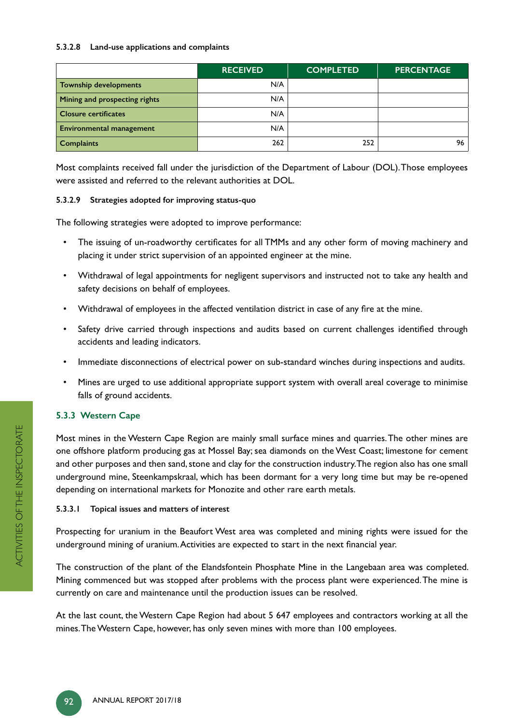#### **5.3.2.8 Land-use applications and complaints**

|                                 | <b>RECEIVED</b> | <b>COMPLETED</b> | <b>PERCENTAGE</b> |
|---------------------------------|-----------------|------------------|-------------------|
| Township developments           | N/A             |                  |                   |
| Mining and prospecting rights   | N/A             |                  |                   |
| <b>Closure certificates</b>     | N/A             |                  |                   |
| <b>Environmental management</b> | N/A             |                  |                   |
| <b>Complaints</b>               | 262             | 252              | 96                |

Most complaints received fall under the jurisdiction of the Department of Labour (DOL). Those employees were assisted and referred to the relevant authorities at DOL.

#### **5.3.2.9 Strategies adopted for improving status-quo**

The following strategies were adopted to improve performance:

- The issuing of un-roadworthy certificates for all TMMs and any other form of moving machinery and placing it under strict supervision of an appointed engineer at the mine.
- Withdrawal of legal appointments for negligent supervisors and instructed not to take any health and safety decisions on behalf of employees.
- Withdrawal of employees in the affected ventilation district in case of any fire at the mine.
- Safety drive carried through inspections and audits based on current challenges identified through accidents and leading indicators.
- Immediate disconnections of electrical power on sub-standard winches during inspections and audits.
- Mines are urged to use additional appropriate support system with overall areal coverage to minimise falls of ground accidents.

# **5.3.3 Western Cape**

Most mines in the Western Cape Region are mainly small surface mines and quarries. The other mines are one offshore platform producing gas at Mossel Bay; sea diamonds on the West Coast; limestone for cement and other purposes and then sand, stone and clay for the construction industry. The region also has one small underground mine, Steenkampskraal, which has been dormant for a very long time but may be re-opened depending on international markets for Monozite and other rare earth metals.

#### **5.3.3.1 Topical issues and matters of interest**

Prospecting for uranium in the Beaufort West area was completed and mining rights were issued for the underground mining of uranium. Activities are expected to start in the next financial year.

The construction of the plant of the Elandsfontein Phosphate Mine in the Langebaan area was completed. Mining commenced but was stopped after problems with the process plant were experienced. The mine is currently on care and maintenance until the production issues can be resolved.

At the last count, the Western Cape Region had about 5 647 employees and contractors working at all the mines. The Western Cape, however, has only seven mines with more than 100 employees.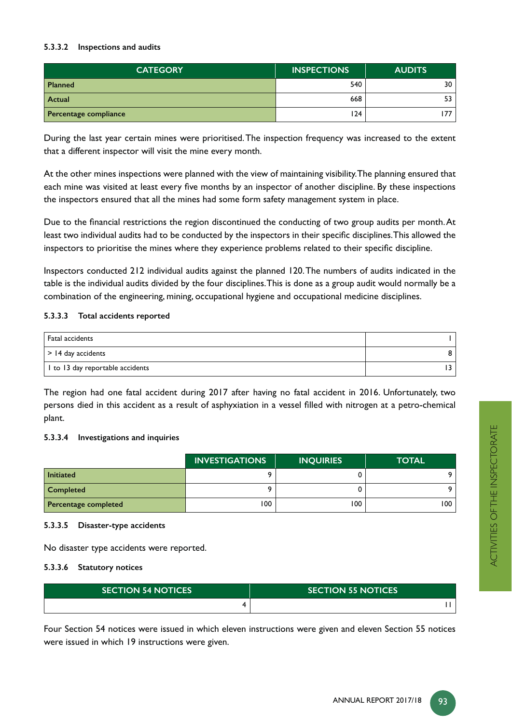#### **5.3.3.2 Inspections and audits**

| <b>CATEGORY</b>       | <b>INSPECTIONS</b> | <b>AUDITS</b> |
|-----------------------|--------------------|---------------|
| <b>Planned</b>        | 540                | 30            |
| Actual                | 668                | 53            |
| Percentage compliance | 124                | 77.           |

During the last year certain mines were prioritised. The inspection frequency was increased to the extent that a different inspector will visit the mine every month.

At the other mines inspections were planned with the view of maintaining visibility. The planning ensured that each mine was visited at least every five months by an inspector of another discipline. By these inspections the inspectors ensured that all the mines had some form safety management system in place.

Due to the financial restrictions the region discontinued the conducting of two group audits per month. At least two individual audits had to be conducted by the inspectors in their specific disciplines. This allowed the inspectors to prioritise the mines where they experience problems related to their specific discipline.

Inspectors conducted 212 individual audits against the planned 120. The numbers of audits indicated in the table is the individual audits divided by the four disciplines. This is done as a group audit would normally be a combination of the engineering, mining, occupational hygiene and occupational medicine disciplines.

#### **5.3.3.3 Total accidents reported**

| Fatal accidents                  |  |
|----------------------------------|--|
| $\vert$ > 14 day accidents       |  |
| I to 13 day reportable accidents |  |

The region had one fatal accident during 2017 after having no fatal accident in 2016. Unfortunately, two persons died in this accident as a result of asphyxiation in a vessel filled with nitrogen at a petro-chemical plant.

#### **5.3.3.4 Investigations and inquiries**

|                      | <b>INVESTIGATIONS</b> | <b>INQUIRIES</b> | <b>TOTAL</b> |
|----------------------|-----------------------|------------------|--------------|
| <b>Initiated</b>     |                       |                  | ີດ           |
| <b>Completed</b>     |                       |                  | ີດ           |
| Percentage completed | 100                   | 100              | 100          |

#### **5.3.3.5 Disaster-type accidents**

No disaster type accidents were reported.

#### **5.3.3.6 Statutory notices**

| <b>SECTION 54 NOTICES</b> | <b>SECTION 55 NOTICES</b> |
|---------------------------|---------------------------|
|                           |                           |

Four Section 54 notices were issued in which eleven instructions were given and eleven Section 55 notices were issued in which 19 instructions were given.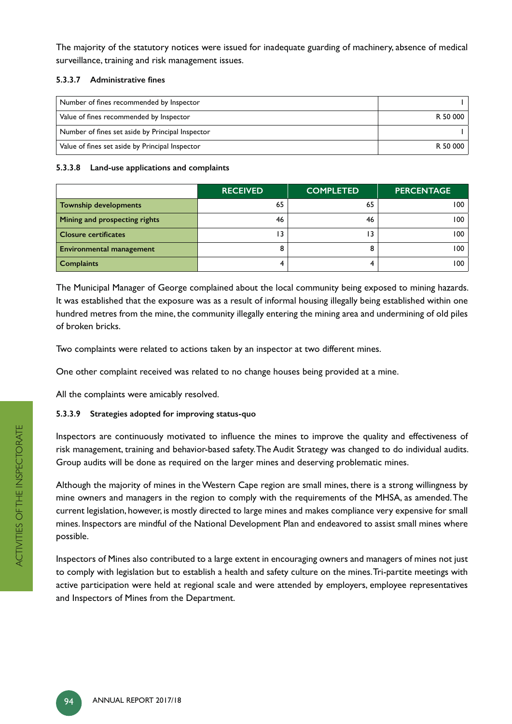The majority of the statutory notices were issued for inadequate guarding of machinery, absence of medical surveillance, training and risk management issues.

#### 5.3.3.7 Administrative fines

| Number of fines recommended by Inspector         |          |
|--------------------------------------------------|----------|
| Value of fines recommended by Inspector          | R 50 000 |
| Number of fines set aside by Principal Inspector |          |
| Value of fines set aside by Principal Inspector  | R 50 000 |

#### **5.3.3.8 Land-use applications and complaints**

|                                 | <b>RECEIVED</b> | <b>COMPLETED</b> | <b>PERCENTAGE</b> |
|---------------------------------|-----------------|------------------|-------------------|
| <b>Township developments</b>    | 65              | 65               | 100               |
| Mining and prospecting rights   | 46              | 46               | 100               |
| <b>Closure certificates</b>     | 13              |                  | 100               |
| <b>Environmental management</b> |                 |                  | 100               |
| <b>Complaints</b>               |                 |                  | 100               |

The Municipal Manager of George complained about the local community being exposed to mining hazards. It was established that the exposure was as a result of informal housing illegally being established within one hundred metres from the mine, the community illegally entering the mining area and undermining of old piles of broken bricks.

Two complaints were related to actions taken by an inspector at two different mines.

One other complaint received was related to no change houses being provided at a mine.

All the complaints were amicably resolved.

# **5.3.3.9 Strategies adopted for improving status-quo**

Inspectors are continuously motivated to influence the mines to improve the quality and effectiveness of risk management, training and behavior-based safety. The Audit Strategy was changed to do individual audits. Group audits will be done as required on the larger mines and deserving problematic mines.

Although the majority of mines in the Western Cape region are small mines, there is a strong willingness by mine owners and managers in the region to comply with the requirements of the MHSA, as amended. The current legislation, however, is mostly directed to large mines and makes compliance very expensive for small mines. Inspectors are mindful of the National Development Plan and endeavored to assist small mines where possible.

Inspectors of Mines also contributed to a large extent in encouraging owners and managers of mines not just to comply with legislation but to establish a health and safety culture on the mines. Tri-partite meetings with active participation were held at regional scale and were attended by employers, employee representatives and Inspectors of Mines from the Department.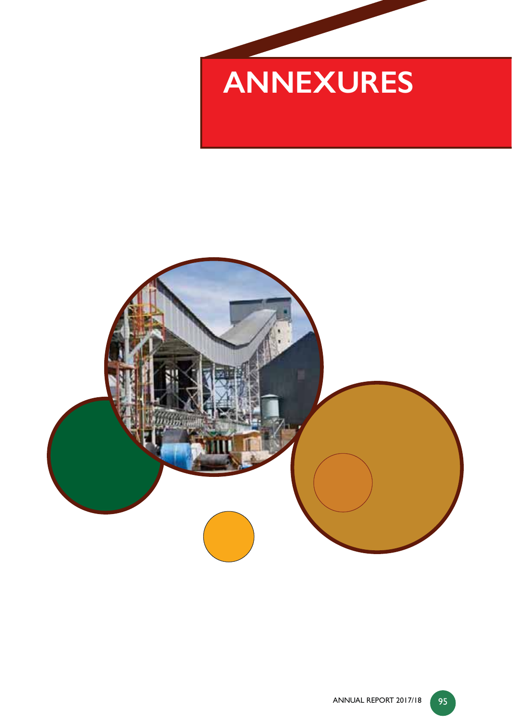

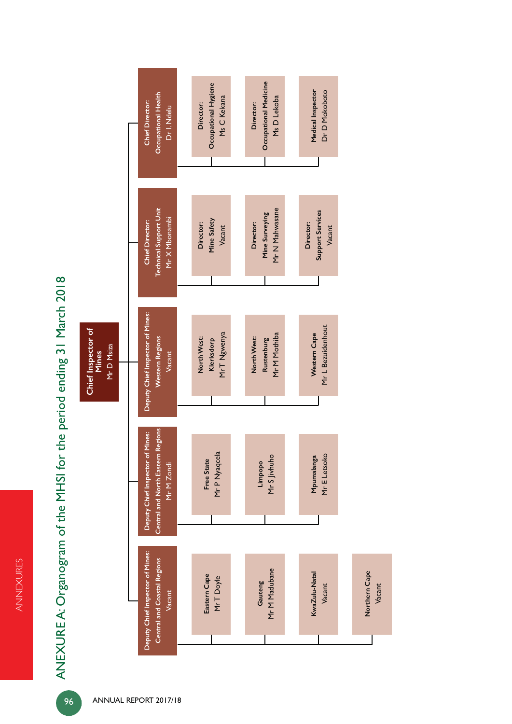ANNEXURES ANNEXURES

ANEXURE A: Organogram of the MHSI for the period ending 31 March 2018 ANEXURE A: Organogram of the MHSI for the period ending 31 March 2018

**Chief Inspector of** 

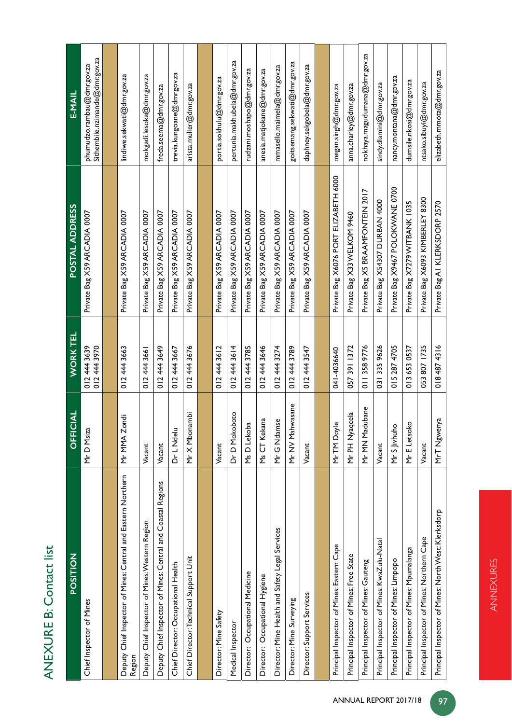# ANEXURE B: Contact list ANEXURE B: Contact list

| POSITION                                                                | CIAL<br><b>ことの</b>            | <b>WORK TEL</b>              | POSTAL ADDRESS                        | <b>E-MAIL</b>                                                    |
|-------------------------------------------------------------------------|-------------------------------|------------------------------|---------------------------------------|------------------------------------------------------------------|
| Chief Inspector of Mines                                                | Mr D Msiza                    | 012 444 3970<br>012 444 3639 | Private Bag X59 ARCADIA 0007          | Sithembile.nzimande $@$ dmr.gov.za<br>phumudzo.rambau@dmr.gov.za |
|                                                                         |                               |                              |                                       |                                                                  |
| Deputy Chief Inspector of Mines: Central and Eastern Northern<br>Region | ipuc<br>Mr MMA Z              | 012 444 3663                 | Private Bag X59 ARCADIA 0007          | lindiwe.sekwati@dmr.gov.za                                       |
| Deputy Chief Inspector of Mines: Western Region                         | Vacant                        | 012 444 3661                 | Private Bag X59 ARCADIA 0007          | mokgadi.lesoka@dmr.gov.za                                        |
| Deputy Chief Inspector of Mines: Central and Coastal Regions            | Vacant                        | 012 444 3649                 | Private Bag X59 ARCADIA 0007          | freda.seema@dmr.gov.za                                           |
| Chief Director: Occupational Health                                     | Dr L Ndel                     | 012 444 3667                 | Private Bag X59 ARCADIA 0007          | trevia.kungoane@dmr.gov.za                                       |
| Chief Director: Technical Support Unit                                  | Mr X Mbonambi                 | 012 444 3676                 | Private Bag X59 ARCADIA 0007          | arista.muller@dmr.gov.za                                         |
|                                                                         |                               |                              |                                       |                                                                  |
| Director: Mine Safety                                                   | Vacant                        | 012 444 3612                 | Private Bag X59 ARCADIA 0007          | portia.sokhulu@dmr.gov.za                                        |
| Medical Inspector                                                       | Dr D Mokoboto                 | 012 444 3614                 | Private Bag X59 ARCADIA 0007          | pertunia.makhubela@dmr.gov.za                                    |
| Director: Occupational Medicine                                         | Ms D Lekoba                   | 012 444 3785                 | Private Bag X59 ARCADIA 0007          | rudzani.moshapo@dmr.gov.za                                       |
| Director: Occupational Hygiene                                          | Ms CT Kekana                  | 012 444 3646                 | Private Bag X59 ARCADIA 0007          | anesia.matjokane@dmr.gov.za                                      |
| Director: Mine Health and Safety Legal Services                         | Mr G Ndamse                   | 012 444 3274                 | Private Bag X59 ARCADIA 0007          | mmasello.maimela@dmr.gov.za                                      |
| Director: Mine Surveying                                                | Mr NV Mahwasane               | 0124443789                   | Private Bag X59 ARCADIA 0007          | goitsemang.sekwati@dmr.gov.za                                    |
| Director: Support Services                                              | Vacant                        | 3547<br>012444               | Private Bag X59 ARCADIA 0007          | daphney.sekgobela@dmr.gov.za                                     |
|                                                                         |                               |                              |                                       |                                                                  |
| Principal Inspector of Mines: Eastern Cape                              | MrTM Doyle                    | 041-4036640                  | Private Bag X6076 PORT ELIZABETH 6000 | megan.singh@dmr.gov.za                                           |
| Principal Inspector of Mines: Free State                                | Mr PH Nyaqcela                | 057 391 1372                 | Private Bag X33 WELKOM 9460           | anna.charley@dmr.gov.za                                          |
| Principal Inspector of Mines: Gauteng                                   | Mr MN Madubane                | 011 358 9776                 | Private Bag X5 BRAAMFONTEIN 2017      | nokhaya.magudumana@dmr.gov.za                                    |
| Principal Inspector of Mines: KwaZulu-Natal                             | Vacant                        | 031 335 9626                 | Private Bag X54307 DURBAN 4000        | sindy.dlamini@dmr.gov.za                                         |
| Principal Inspector of Mines: Limpopo                                   | $\overline{Q}$<br>Mr S Jivhuh | 015 287 4705                 | Private Bag X9467 POLOKWANE 0700      | nancy.montana@dmr.gov.za                                         |
| Principal Inspector of Mines: Mpumalanga                                | $\overline{6}$<br>Mr E Letso  | 0136530537                   | Private Bag X7279 WITBANK 1035        | dumsile.nkosi@dmr.gov.za                                         |
| Principal Inspector of Mines: Northern Cape                             | Vacant                        | 053 807 1735                 | Private Bag X6093 KIMBERLEY 8300      | ntsako.sibuyi@dmr.gov.za                                         |
| Principal Inspector of Mines: North West: Klerksdorp                    | MrT Ngwenya                   | 0184874316                   | Private Bag A1 KLERKSDORP 2570        | elizabeth.mmota@dmr.gov.za                                       |

ANNEXURES

ANNEXURES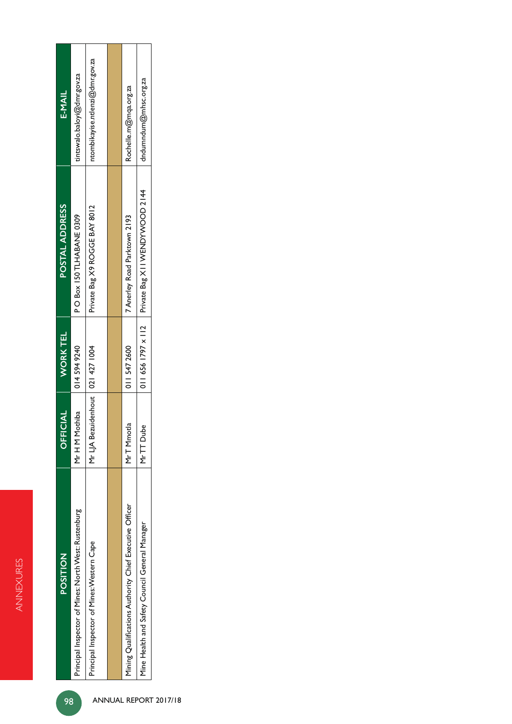| <b>POSITION</b>                                         | <b>OFFICIAL</b>                    | <b>WORKTEL</b>          | POSTAL ADDRESS                 | E-MAIL                          |
|---------------------------------------------------------|------------------------------------|-------------------------|--------------------------------|---------------------------------|
| Principal Inspector of Mines: North West: Rustenburg    | Mr H M Mothiba                     | 014 594 9240            | P O Box 150 TLHABANE 0309      | tintswalo.baloyi@dmr.gov.za     |
| Principal Inspector of Mines: Western Cape              | Mr LJA Bezuidenhout   021 427 1004 |                         | Private Bag X9 ROGE BAY 8012   | ntombikayise.ntlenzi@dmr.gov.za |
|                                                         |                                    |                         |                                |                                 |
| Mining Qualifications Authority Chief Executive Officer | 음<br>MrT Mmot                      | 011 547 2600            | 7 Anerley Road Parktown 2193   | Rochelle.m@mqa.org.za           |
| Mine Health and Safety Council General Manager          | Φ<br>MrTT Dub                      | $0116561797 \times 112$ | Private Bag XII WENDYWOOD 2144 | dndumndum@mhsc.org.za           |
|                                                         |                                    |                         |                                |                                 |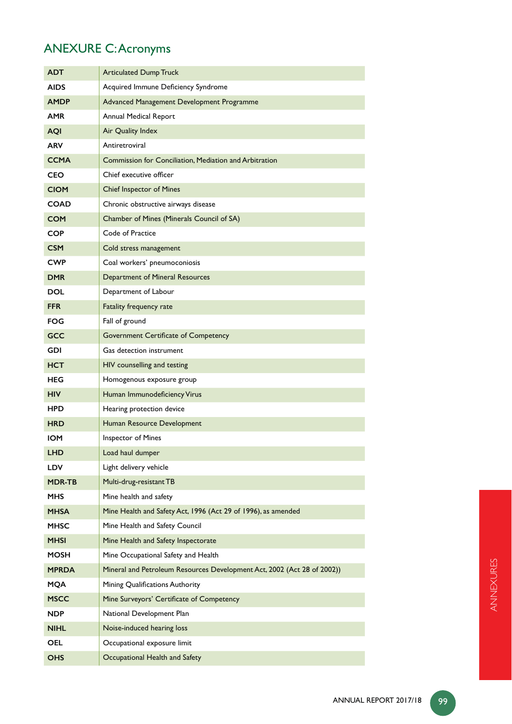# ANEXURE C: Acronyms

| ADT           | <b>Articulated Dump Truck</b>                                           |
|---------------|-------------------------------------------------------------------------|
| <b>AIDS</b>   | Acquired Immune Deficiency Syndrome                                     |
| <b>AMDP</b>   | Advanced Management Development Programme                               |
| AMR           | Annual Medical Report                                                   |
| <b>AQI</b>    | Air Quality Index                                                       |
| ARV           | Antiretroviral                                                          |
| <b>CCMA</b>   | Commission for Conciliation, Mediation and Arbitration                  |
| CEO           | Chief executive officer                                                 |
| <b>CIOM</b>   | <b>Chief Inspector of Mines</b>                                         |
| <b>COAD</b>   | Chronic obstructive airways disease                                     |
| <b>COM</b>    | Chamber of Mines (Minerals Council of SA)                               |
| <b>COP</b>    | Code of Practice                                                        |
| <b>CSM</b>    | Cold stress management                                                  |
| CWP           | Coal workers' pneumoconiosis                                            |
| <b>DMR</b>    | Department of Mineral Resources                                         |
| DOL           | Department of Labour                                                    |
| <b>FFR</b>    | Fatality frequency rate                                                 |
| FOG           | Fall of ground                                                          |
| <b>GCC</b>    | Government Certificate of Competency                                    |
| GDI           | Gas detection instrument                                                |
| <b>HCT</b>    | HIV counselling and testing                                             |
| HEG           | Homogenous exposure group                                               |
| <b>HIV</b>    | Human Immunodeficiency Virus                                            |
| HPD           | Hearing protection device                                               |
| HRD           | Human Resource Development                                              |
| IOM           | Inspector of Mines                                                      |
| LHD           | Load haul dumper                                                        |
| <b>LDV</b>    | Light delivery vehicle                                                  |
| <b>MDR-TB</b> | Multi-drug-resistant TB                                                 |
| <b>MHS</b>    | Mine health and safety                                                  |
| MHSA          | Mine Health and Safety Act, 1996 (Act 29 of 1996), as amended           |
| <b>MHSC</b>   | Mine Health and Safety Council                                          |
| <b>MHSI</b>   | Mine Health and Safety Inspectorate                                     |
| MOSH          | Mine Occupational Safety and Health                                     |
| <b>MPRDA</b>  | Mineral and Petroleum Resources Development Act, 2002 (Act 28 of 2002)) |
| <b>MQA</b>    | Mining Qualifications Authority                                         |
| <b>MSCC</b>   | Mine Surveyors' Certificate of Competency                               |
| NDP.          | National Development Plan                                               |
| <b>NIHL</b>   | Noise-induced hearing loss                                              |
| OEL.          | Occupational exposure limit                                             |
| <b>OHS</b>    | Occupational Health and Safety                                          |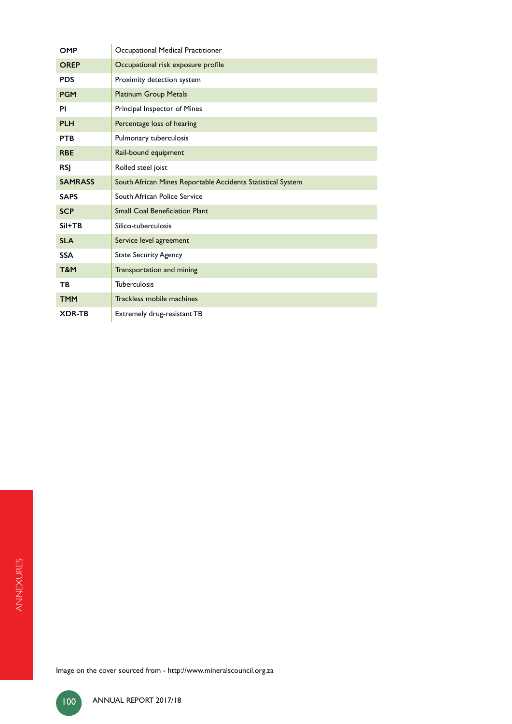| <b>OMP</b>     | Occupational Medical Practitioner                           |
|----------------|-------------------------------------------------------------|
| <b>OREP</b>    | Occupational risk exposure profile                          |
| <b>PDS</b>     | Proximity detection system                                  |
| <b>PGM</b>     | <b>Platinum Group Metals</b>                                |
| ΡI             | Principal Inspector of Mines                                |
| <b>PLH</b>     | Percentage loss of hearing                                  |
| <b>PTB</b>     | Pulmonary tuberculosis                                      |
| <b>RBE</b>     | Rail-bound equipment                                        |
| <b>RSI</b>     | Rolled steel joist                                          |
| <b>SAMRASS</b> | South African Mines Reportable Accidents Statistical System |
| <b>SAPS</b>    | South African Police Service                                |
| <b>SCP</b>     | <b>Small Coal Beneficiation Plant</b>                       |
| $SiI+TB$       | Silico-tuberculosis                                         |
| <b>SLA</b>     | Service level agreement                                     |
| <b>SSA</b>     | <b>State Security Agency</b>                                |
| T&M            | Transportation and mining                                   |
| TB.            | Tuberculosis                                                |
| <b>TMM</b>     | Trackless mobile machines                                   |
| <b>XDR-TB</b>  | Extremely drug-resistant TB                                 |

Image on the cover sourced from - http://www.mineralscouncil.org.za